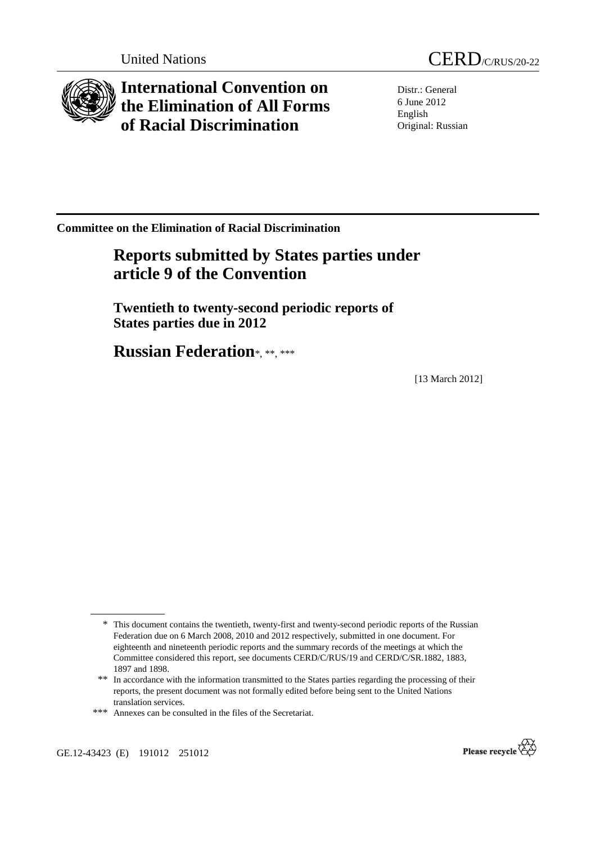

**International Convention on the Elimination of All Forms of Racial Discrimination** 



Distr.: General 6 June 2012 English Original: Russian

**Committee on the Elimination of Racial Discrimination** 

# **Reports submitted by States parties under article 9 of the Convention**

 **Twentieth to twenty-second periodic reports of States parties due in 2012** 

 **Russian Federation**\*, \*\*, \*\*\*

[13 March 2012]



<sup>\*</sup> This document contains the twentieth, twenty-first and twenty-second periodic reports of the Russian Federation due on 6 March 2008, 2010 and 2012 respectively, submitted in one document. For eighteenth and nineteenth periodic reports and the summary records of the meetings at which the Committee considered this report, see documents CERD/C/RUS/19 and CERD/C/SR.1882, 1883, 1897 and 1898.

<sup>\*\*</sup> In accordance with the information transmitted to the States parties regarding the processing of their reports, the present document was not formally edited before being sent to the United Nations translation services.

<sup>\*\*\*</sup> Annexes can be consulted in the files of the Secretariat.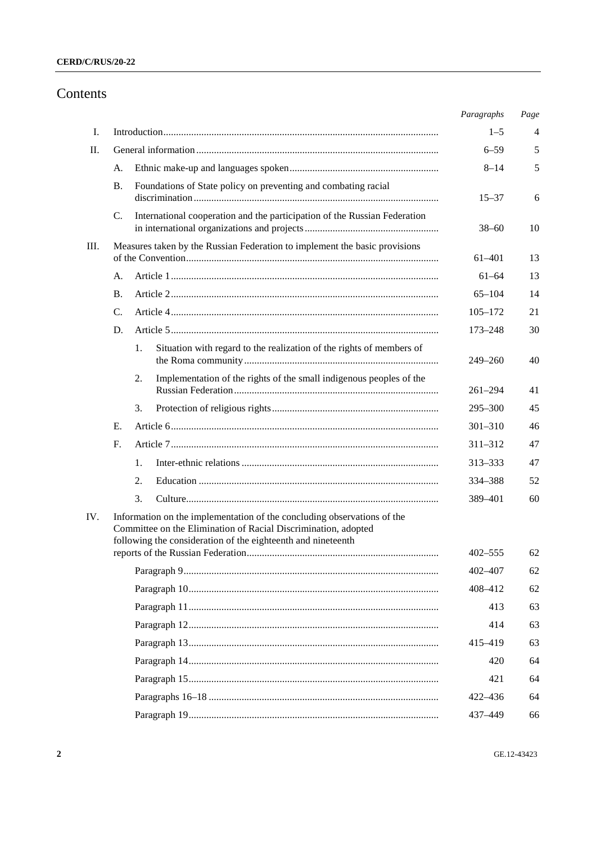# Contents

|     |    |                                                                                                                                                                                                           | Paragraphs  | Page |
|-----|----|-----------------------------------------------------------------------------------------------------------------------------------------------------------------------------------------------------------|-------------|------|
| I.  |    |                                                                                                                                                                                                           | $1 - 5$     | 4    |
| П.  |    |                                                                                                                                                                                                           | $6 - 59$    | 5    |
|     | А. |                                                                                                                                                                                                           | $8 - 14$    | 5    |
|     | Β. | Foundations of State policy on preventing and combating racial                                                                                                                                            | $15 - 37$   | 6    |
|     | C. | International cooperation and the participation of the Russian Federation                                                                                                                                 | $38 - 60$   | 10   |
| Ш.  |    | Measures taken by the Russian Federation to implement the basic provisions                                                                                                                                | 61-401      | 13   |
|     | А. |                                                                                                                                                                                                           | $61 - 64$   | 13   |
|     | В. |                                                                                                                                                                                                           | $65 - 104$  | 14   |
|     | C. |                                                                                                                                                                                                           | $105 - 172$ | 21   |
|     | D. |                                                                                                                                                                                                           | $173 - 248$ | 30   |
|     |    | Situation with regard to the realization of the rights of members of<br>1.                                                                                                                                | $249 - 260$ | 40   |
|     |    | Implementation of the rights of the small indigenous peoples of the<br>2.                                                                                                                                 | $261 - 294$ | 41   |
|     |    | 3.                                                                                                                                                                                                        | $295 - 300$ | 45   |
|     | Е. |                                                                                                                                                                                                           | $301 - 310$ | 46   |
|     | F. |                                                                                                                                                                                                           | $311 - 312$ | 47   |
|     |    | 1.                                                                                                                                                                                                        | 313–333     | 47   |
|     |    | 2.                                                                                                                                                                                                        | 334-388     | 52   |
|     |    | 3.                                                                                                                                                                                                        | 389-401     | 60   |
| IV. |    | Information on the implementation of the concluding observations of the<br>Committee on the Elimination of Racial Discrimination, adopted<br>following the consideration of the eighteenth and nineteenth |             |      |
|     |    |                                                                                                                                                                                                           | 402–555     | 62   |
|     |    |                                                                                                                                                                                                           | 402-407     | 62   |
|     |    |                                                                                                                                                                                                           | 408-412     | 62   |
|     |    |                                                                                                                                                                                                           | 413         | 63   |
|     |    |                                                                                                                                                                                                           | 414         | 63   |
|     |    |                                                                                                                                                                                                           | 415-419     | 63   |
|     |    |                                                                                                                                                                                                           | 420         | 64   |
|     |    |                                                                                                                                                                                                           | 421         | 64   |
|     |    |                                                                                                                                                                                                           | 422-436     | 64   |
|     |    |                                                                                                                                                                                                           | 437-449     | 66   |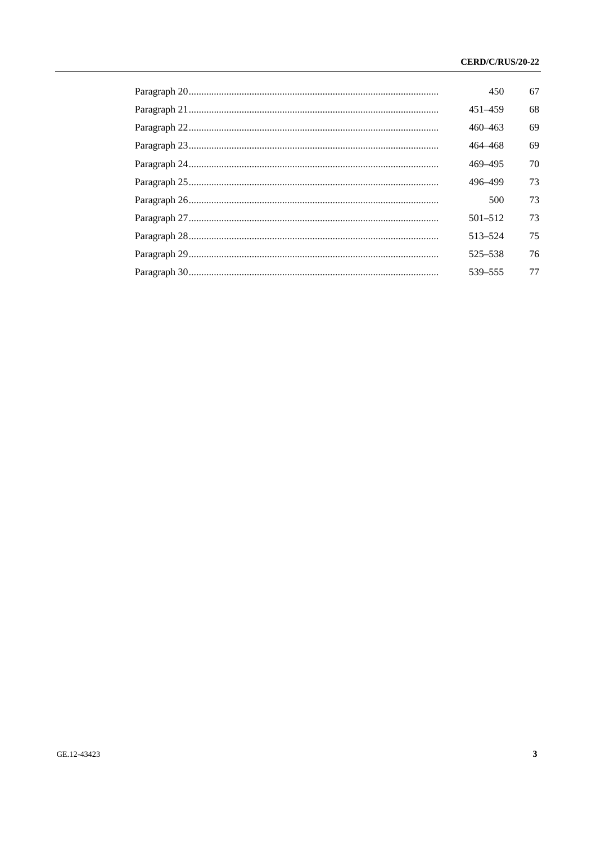| 450         | 67 |
|-------------|----|
| $451 - 459$ | 68 |
| $460 - 463$ | 69 |
| 464–468     | 69 |
| 469-495     | 70 |
| 496-499     | 73 |
| 500         | 73 |
| $501 - 512$ | 73 |
| 513-524     | 75 |
| 525-538     | 76 |
| 539-555     | 77 |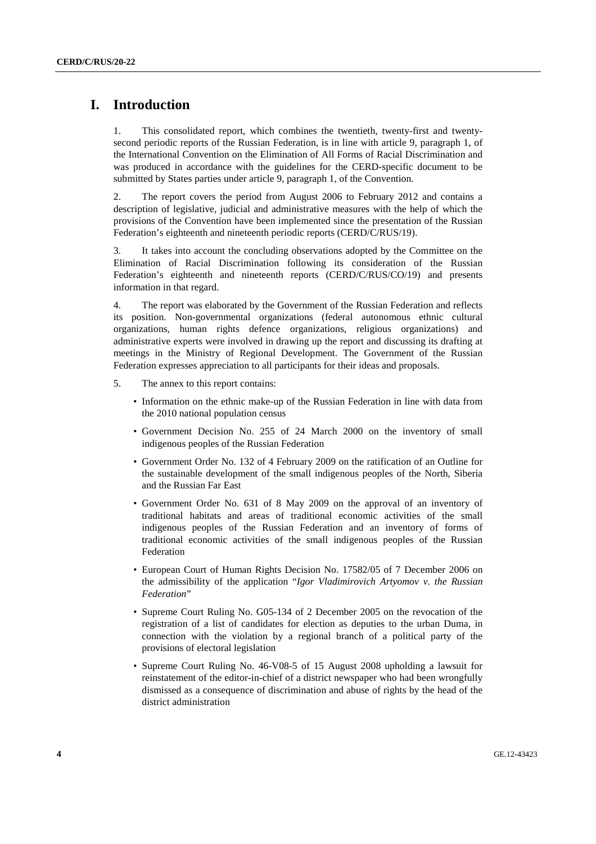# **I. Introduction**

1. This consolidated report, which combines the twentieth, twenty-first and twentysecond periodic reports of the Russian Federation, is in line with article 9, paragraph 1, of the International Convention on the Elimination of All Forms of Racial Discrimination and was produced in accordance with the guidelines for the CERD-specific document to be submitted by States parties under article 9, paragraph 1, of the Convention.

2. The report covers the period from August 2006 to February 2012 and contains a description of legislative, judicial and administrative measures with the help of which the provisions of the Convention have been implemented since the presentation of the Russian Federation's eighteenth and nineteenth periodic reports (CERD/C/RUS/19).

3. It takes into account the concluding observations adopted by the Committee on the Elimination of Racial Discrimination following its consideration of the Russian Federation's eighteenth and nineteenth reports (CERD/C/RUS/CO/19) and presents information in that regard.

4. The report was elaborated by the Government of the Russian Federation and reflects its position. Non-governmental organizations (federal autonomous ethnic cultural organizations, human rights defence organizations, religious organizations) and administrative experts were involved in drawing up the report and discussing its drafting at meetings in the Ministry of Regional Development. The Government of the Russian Federation expresses appreciation to all participants for their ideas and proposals.

- 5. The annex to this report contains:
	- Information on the ethnic make-up of the Russian Federation in line with data from the 2010 national population census
	- Government Decision No. 255 of 24 March 2000 on the inventory of small indigenous peoples of the Russian Federation
	- Government Order No. 132 of 4 February 2009 on the ratification of an Outline for the sustainable development of the small indigenous peoples of the North, Siberia and the Russian Far East
	- Government Order No. 631 of 8 May 2009 on the approval of an inventory of traditional habitats and areas of traditional economic activities of the small indigenous peoples of the Russian Federation and an inventory of forms of traditional economic activities of the small indigenous peoples of the Russian Federation
	- European Court of Human Rights Decision No. 17582/05 of 7 December 2006 on the admissibility of the application "*Igor Vladimirovich Artyomov v. the Russian Federation*"
	- Supreme Court Ruling No. G05-134 of 2 December 2005 on the revocation of the registration of a list of candidates for election as deputies to the urban Duma, in connection with the violation by a regional branch of a political party of the provisions of electoral legislation
	- Supreme Court Ruling No. 46-V08-5 of 15 August 2008 upholding a lawsuit for reinstatement of the editor-in-chief of a district newspaper who had been wrongfully dismissed as a consequence of discrimination and abuse of rights by the head of the district administration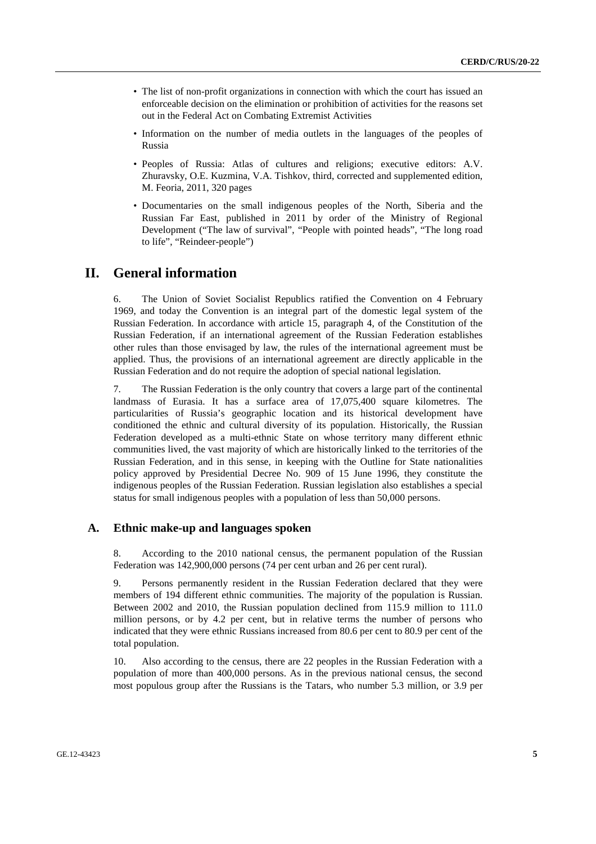- The list of non-profit organizations in connection with which the court has issued an enforceable decision on the elimination or prohibition of activities for the reasons set out in the Federal Act on Combating Extremist Activities
- Information on the number of media outlets in the languages of the peoples of Russia
- Peoples of Russia: Atlas of cultures and religions; executive editors: A.V. Zhuravsky, O.E. Kuzmina, V.A. Tishkov, third, corrected and supplemented edition, M. Feoria, 2011, 320 pages
- Documentaries on the small indigenous peoples of the North, Siberia and the Russian Far East, published in 2011 by order of the Ministry of Regional Development ("The law of survival", "People with pointed heads", "The long road to life", "Reindeer-people")

## **II. General information**

6. The Union of Soviet Socialist Republics ratified the Convention on 4 February 1969, and today the Convention is an integral part of the domestic legal system of the Russian Federation. In accordance with article 15, paragraph 4, of the Constitution of the Russian Federation, if an international agreement of the Russian Federation establishes other rules than those envisaged by law, the rules of the international agreement must be applied. Thus, the provisions of an international agreement are directly applicable in the Russian Federation and do not require the adoption of special national legislation.

7. The Russian Federation is the only country that covers a large part of the continental landmass of Eurasia. It has a surface area of 17,075,400 square kilometres. The particularities of Russia's geographic location and its historical development have conditioned the ethnic and cultural diversity of its population. Historically, the Russian Federation developed as a multi-ethnic State on whose territory many different ethnic communities lived, the vast majority of which are historically linked to the territories of the Russian Federation, and in this sense, in keeping with the Outline for State nationalities policy approved by Presidential Decree No. 909 of 15 June 1996, they constitute the indigenous peoples of the Russian Federation. Russian legislation also establishes a special status for small indigenous peoples with a population of less than 50,000 persons.

#### **A. Ethnic make-up and languages spoken**

8. According to the 2010 national census, the permanent population of the Russian Federation was 142,900,000 persons (74 per cent urban and 26 per cent rural).

9. Persons permanently resident in the Russian Federation declared that they were members of 194 different ethnic communities. The majority of the population is Russian. Between 2002 and 2010, the Russian population declined from 115.9 million to 111.0 million persons, or by 4.2 per cent, but in relative terms the number of persons who indicated that they were ethnic Russians increased from 80.6 per cent to 80.9 per cent of the total population.

10. Also according to the census, there are 22 peoples in the Russian Federation with a population of more than 400,000 persons. As in the previous national census, the second most populous group after the Russians is the Tatars, who number 5.3 million, or 3.9 per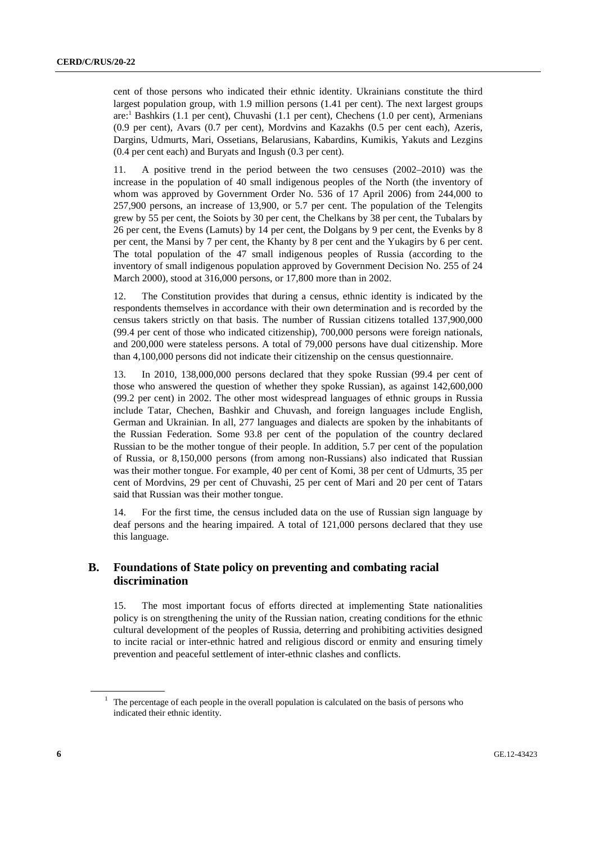cent of those persons who indicated their ethnic identity. Ukrainians constitute the third largest population group, with 1.9 million persons (1.41 per cent). The next largest groups are:<sup>1</sup> Bashkirs (1.1 per cent), Chuvashi (1.1 per cent), Chechens (1.0 per cent), Armenians (0.9 per cent), Avars (0.7 per cent), Mordvins and Kazakhs (0.5 per cent each), Azeris, Dargins, Udmurts, Mari, Ossetians, Belarusians, Kabardins, Kumikis, Yakuts and Lezgins (0.4 per cent each) and Buryats and Ingush (0.3 per cent).

11. A positive trend in the period between the two censuses (2002–2010) was the increase in the population of 40 small indigenous peoples of the North (the inventory of whom was approved by Government Order No. 536 of 17 April 2006) from 244,000 to 257,900 persons, an increase of 13,900, or 5.7 per cent. The population of the Telengits grew by 55 per cent, the Soiots by 30 per cent, the Chelkans by 38 per cent, the Tubalars by 26 per cent, the Evens (Lamuts) by 14 per cent, the Dolgans by 9 per cent, the Evenks by 8 per cent, the Mansi by 7 per cent, the Khanty by 8 per cent and the Yukagirs by 6 per cent. The total population of the 47 small indigenous peoples of Russia (according to the inventory of small indigenous population approved by Government Decision No. 255 of 24 March 2000), stood at 316,000 persons, or 17,800 more than in 2002.

12. The Constitution provides that during a census, ethnic identity is indicated by the respondents themselves in accordance with their own determination and is recorded by the census takers strictly on that basis. The number of Russian citizens totalled 137,900,000 (99.4 per cent of those who indicated citizenship), 700,000 persons were foreign nationals, and 200,000 were stateless persons. A total of 79,000 persons have dual citizenship. More than 4,100,000 persons did not indicate their citizenship on the census questionnaire.

13. In 2010, 138,000,000 persons declared that they spoke Russian (99.4 per cent of those who answered the question of whether they spoke Russian), as against 142,600,000 (99.2 per cent) in 2002. The other most widespread languages of ethnic groups in Russia include Tatar, Chechen, Bashkir and Chuvash, and foreign languages include English, German and Ukrainian. In all, 277 languages and dialects are spoken by the inhabitants of the Russian Federation. Some 93.8 per cent of the population of the country declared Russian to be the mother tongue of their people. In addition, 5.7 per cent of the population of Russia, or 8,150,000 persons (from among non-Russians) also indicated that Russian was their mother tongue. For example, 40 per cent of Komi, 38 per cent of Udmurts, 35 per cent of Mordvins, 29 per cent of Chuvashi, 25 per cent of Mari and 20 per cent of Tatars said that Russian was their mother tongue.

14. For the first time, the census included data on the use of Russian sign language by deaf persons and the hearing impaired. A total of 121,000 persons declared that they use this language.

## **B. Foundations of State policy on preventing and combating racial discrimination**

15. The most important focus of efforts directed at implementing State nationalities policy is on strengthening the unity of the Russian nation, creating conditions for the ethnic cultural development of the peoples of Russia, deterring and prohibiting activities designed to incite racial or inter-ethnic hatred and religious discord or enmity and ensuring timely prevention and peaceful settlement of inter-ethnic clashes and conflicts.

<sup>&</sup>lt;sup>1</sup> The percentage of each people in the overall population is calculated on the basis of persons who indicated their ethnic identity.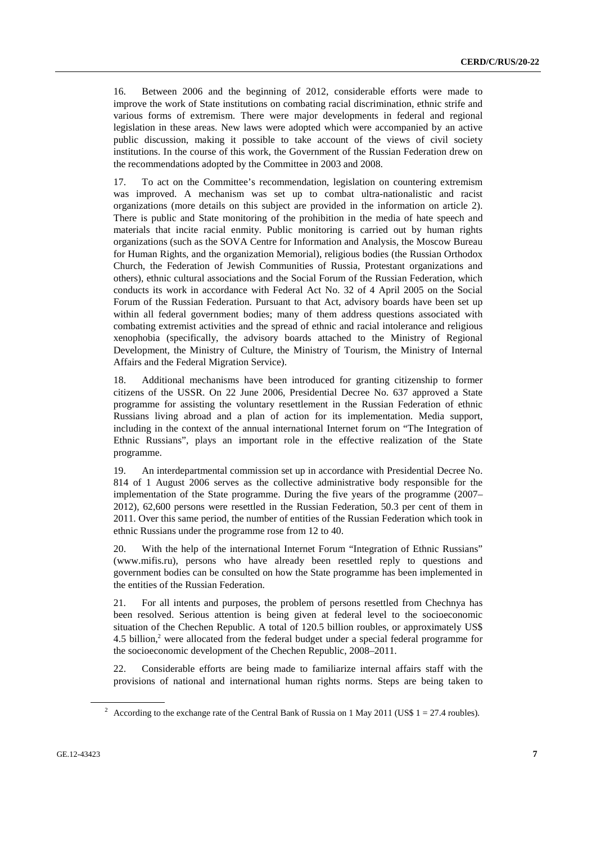16. Between 2006 and the beginning of 2012, considerable efforts were made to improve the work of State institutions on combating racial discrimination, ethnic strife and various forms of extremism. There were major developments in federal and regional legislation in these areas. New laws were adopted which were accompanied by an active public discussion, making it possible to take account of the views of civil society institutions. In the course of this work, the Government of the Russian Federation drew on the recommendations adopted by the Committee in 2003 and 2008.

17. To act on the Committee's recommendation, legislation on countering extremism was improved. A mechanism was set up to combat ultra-nationalistic and racist organizations (more details on this subject are provided in the information on article 2). There is public and State monitoring of the prohibition in the media of hate speech and materials that incite racial enmity. Public monitoring is carried out by human rights organizations (such as the SOVA Centre for Information and Analysis, the Moscow Bureau for Human Rights, and the organization Memorial), religious bodies (the Russian Orthodox Church, the Federation of Jewish Communities of Russia, Protestant organizations and others), ethnic cultural associations and the Social Forum of the Russian Federation, which conducts its work in accordance with Federal Act No. 32 of 4 April 2005 on the Social Forum of the Russian Federation. Pursuant to that Act, advisory boards have been set up within all federal government bodies; many of them address questions associated with combating extremist activities and the spread of ethnic and racial intolerance and religious xenophobia (specifically, the advisory boards attached to the Ministry of Regional Development, the Ministry of Culture, the Ministry of Tourism, the Ministry of Internal Affairs and the Federal Migration Service).

18. Additional mechanisms have been introduced for granting citizenship to former citizens of the USSR. On 22 June 2006, Presidential Decree No. 637 approved a State programme for assisting the voluntary resettlement in the Russian Federation of ethnic Russians living abroad and a plan of action for its implementation. Media support, including in the context of the annual international Internet forum on "The Integration of Ethnic Russians", plays an important role in the effective realization of the State programme.

19. An interdepartmental commission set up in accordance with Presidential Decree No. 814 of 1 August 2006 serves as the collective administrative body responsible for the implementation of the State programme. During the five years of the programme (2007– 2012), 62,600 persons were resettled in the Russian Federation, 50.3 per cent of them in 2011. Over this same period, the number of entities of the Russian Federation which took in ethnic Russians under the programme rose from 12 to 40.

20. With the help of the international Internet Forum "Integration of Ethnic Russians" (www.mifis.ru), persons who have already been resettled reply to questions and government bodies can be consulted on how the State programme has been implemented in the entities of the Russian Federation.

21. For all intents and purposes, the problem of persons resettled from Chechnya has been resolved. Serious attention is being given at federal level to the socioeconomic situation of the Chechen Republic. A total of 120.5 billion roubles, or approximately US\$ 4.5 billion,<sup>2</sup> were allocated from the federal budget under a special federal programme for the socioeconomic development of the Chechen Republic, 2008–2011.

22. Considerable efforts are being made to familiarize internal affairs staff with the provisions of national and international human rights norms. Steps are being taken to

<sup>&</sup>lt;sup>2</sup> According to the exchange rate of the Central Bank of Russia on 1 May 2011 (US\$  $1 = 27.4$  roubles).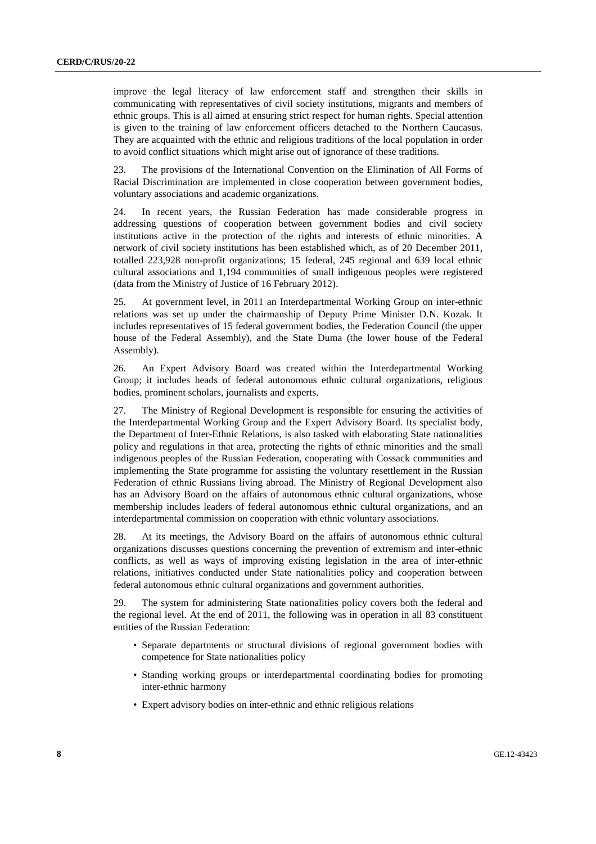improve the legal literacy of law enforcement staff and strengthen their skills in communicating with representatives of civil society institutions, migrants and members of ethnic groups. This is all aimed at ensuring strict respect for human rights. Special attention is given to the training of law enforcement officers detached to the Northern Caucasus. They are acquainted with the ethnic and religious traditions of the local population in order to avoid conflict situations which might arise out of ignorance of these traditions.

23. The provisions of the International Convention on the Elimination of All Forms of Racial Discrimination are implemented in close cooperation between government bodies, voluntary associations and academic organizations.

24. In recent years, the Russian Federation has made considerable progress in addressing questions of cooperation between government bodies and civil society institutions active in the protection of the rights and interests of ethnic minorities. A network of civil society institutions has been established which, as of 20 December 2011, totalled 223,928 non-profit organizations; 15 federal, 245 regional and 639 local ethnic cultural associations and 1,194 communities of small indigenous peoples were registered (data from the Ministry of Justice of 16 February 2012).

25. At government level, in 2011 an Interdepartmental Working Group on inter-ethnic relations was set up under the chairmanship of Deputy Prime Minister D.N. Kozak. It includes representatives of 15 federal government bodies, the Federation Council (the upper house of the Federal Assembly), and the State Duma (the lower house of the Federal Assembly).

26. An Expert Advisory Board was created within the Interdepartmental Working Group; it includes heads of federal autonomous ethnic cultural organizations, religious bodies, prominent scholars, journalists and experts.

27. The Ministry of Regional Development is responsible for ensuring the activities of the Interdepartmental Working Group and the Expert Advisory Board. Its specialist body, the Department of Inter-Ethnic Relations, is also tasked with elaborating State nationalities policy and regulations in that area, protecting the rights of ethnic minorities and the small indigenous peoples of the Russian Federation, cooperating with Cossack communities and implementing the State programme for assisting the voluntary resettlement in the Russian Federation of ethnic Russians living abroad. The Ministry of Regional Development also has an Advisory Board on the affairs of autonomous ethnic cultural organizations, whose membership includes leaders of federal autonomous ethnic cultural organizations, and an interdepartmental commission on cooperation with ethnic voluntary associations.

28. At its meetings, the Advisory Board on the affairs of autonomous ethnic cultural organizations discusses questions concerning the prevention of extremism and inter-ethnic conflicts, as well as ways of improving existing legislation in the area of inter-ethnic relations, initiatives conducted under State nationalities policy and cooperation between federal autonomous ethnic cultural organizations and government authorities.

29. The system for administering State nationalities policy covers both the federal and the regional level. At the end of 2011, the following was in operation in all 83 constituent entities of the Russian Federation:

- Separate departments or structural divisions of regional government bodies with competence for State nationalities policy
- Standing working groups or interdepartmental coordinating bodies for promoting inter-ethnic harmony
- Expert advisory bodies on inter-ethnic and ethnic religious relations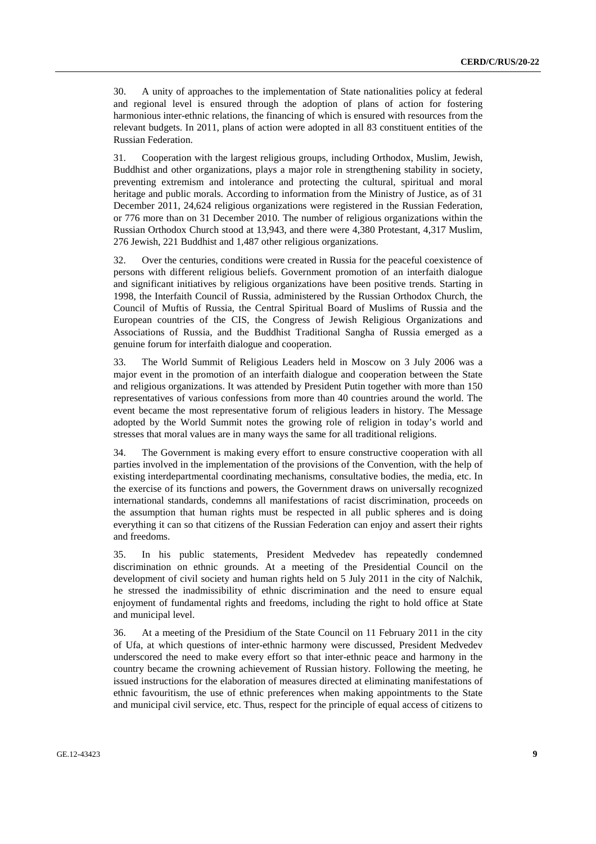30. A unity of approaches to the implementation of State nationalities policy at federal and regional level is ensured through the adoption of plans of action for fostering harmonious inter-ethnic relations, the financing of which is ensured with resources from the relevant budgets. In 2011, plans of action were adopted in all 83 constituent entities of the Russian Federation.

31. Cooperation with the largest religious groups, including Orthodox, Muslim, Jewish, Buddhist and other organizations, plays a major role in strengthening stability in society, preventing extremism and intolerance and protecting the cultural, spiritual and moral heritage and public morals. According to information from the Ministry of Justice, as of 31 December 2011, 24,624 religious organizations were registered in the Russian Federation, or 776 more than on 31 December 2010. The number of religious organizations within the Russian Orthodox Church stood at 13,943, and there were 4,380 Protestant, 4,317 Muslim, 276 Jewish, 221 Buddhist and 1,487 other religious organizations.

32. Over the centuries, conditions were created in Russia for the peaceful coexistence of persons with different religious beliefs. Government promotion of an interfaith dialogue and significant initiatives by religious organizations have been positive trends. Starting in 1998, the Interfaith Council of Russia, administered by the Russian Orthodox Church, the Council of Muftis of Russia, the Central Spiritual Board of Muslims of Russia and the European countries of the CIS, the Congress of Jewish Religious Organizations and Associations of Russia, and the Buddhist Traditional Sangha of Russia emerged as a genuine forum for interfaith dialogue and cooperation.

33. The World Summit of Religious Leaders held in Moscow on 3 July 2006 was a major event in the promotion of an interfaith dialogue and cooperation between the State and religious organizations. It was attended by President Putin together with more than 150 representatives of various confessions from more than 40 countries around the world. The event became the most representative forum of religious leaders in history. The Message adopted by the World Summit notes the growing role of religion in today's world and stresses that moral values are in many ways the same for all traditional religions.

34. The Government is making every effort to ensure constructive cooperation with all parties involved in the implementation of the provisions of the Convention, with the help of existing interdepartmental coordinating mechanisms, consultative bodies, the media, etc. In the exercise of its functions and powers, the Government draws on universally recognized international standards, condemns all manifestations of racist discrimination, proceeds on the assumption that human rights must be respected in all public spheres and is doing everything it can so that citizens of the Russian Federation can enjoy and assert their rights and freedoms.

35. In his public statements, President Medvedev has repeatedly condemned discrimination on ethnic grounds. At a meeting of the Presidential Council on the development of civil society and human rights held on 5 July 2011 in the city of Nalchik, he stressed the inadmissibility of ethnic discrimination and the need to ensure equal enjoyment of fundamental rights and freedoms, including the right to hold office at State and municipal level.

36. At a meeting of the Presidium of the State Council on 11 February 2011 in the city of Ufa, at which questions of inter-ethnic harmony were discussed, President Medvedev underscored the need to make every effort so that inter-ethnic peace and harmony in the country became the crowning achievement of Russian history. Following the meeting, he issued instructions for the elaboration of measures directed at eliminating manifestations of ethnic favouritism, the use of ethnic preferences when making appointments to the State and municipal civil service, etc. Thus, respect for the principle of equal access of citizens to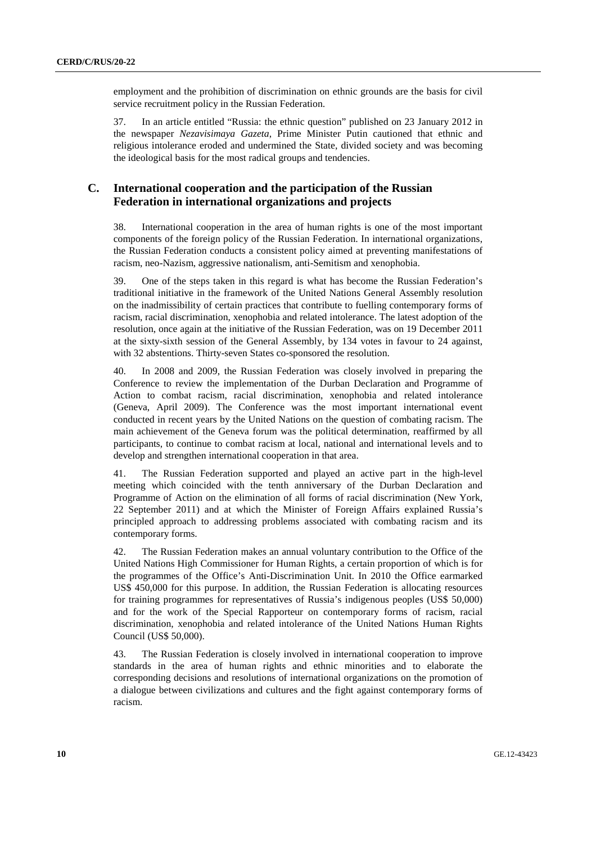employment and the prohibition of discrimination on ethnic grounds are the basis for civil service recruitment policy in the Russian Federation.

37. In an article entitled "Russia: the ethnic question" published on 23 January 2012 in the newspaper *Nezavisimaya Gazeta*, Prime Minister Putin cautioned that ethnic and religious intolerance eroded and undermined the State, divided society and was becoming the ideological basis for the most radical groups and tendencies.

## **C. International cooperation and the participation of the Russian Federation in international organizations and projects**

38. International cooperation in the area of human rights is one of the most important components of the foreign policy of the Russian Federation. In international organizations, the Russian Federation conducts a consistent policy aimed at preventing manifestations of racism, neo-Nazism, aggressive nationalism, anti-Semitism and xenophobia.

39. One of the steps taken in this regard is what has become the Russian Federation's traditional initiative in the framework of the United Nations General Assembly resolution on the inadmissibility of certain practices that contribute to fuelling contemporary forms of racism, racial discrimination, xenophobia and related intolerance. The latest adoption of the resolution, once again at the initiative of the Russian Federation, was on 19 December 2011 at the sixty-sixth session of the General Assembly, by 134 votes in favour to 24 against, with 32 abstentions. Thirty-seven States co-sponsored the resolution.

40. In 2008 and 2009, the Russian Federation was closely involved in preparing the Conference to review the implementation of the Durban Declaration and Programme of Action to combat racism, racial discrimination, xenophobia and related intolerance (Geneva, April 2009). The Conference was the most important international event conducted in recent years by the United Nations on the question of combating racism. The main achievement of the Geneva forum was the political determination, reaffirmed by all participants, to continue to combat racism at local, national and international levels and to develop and strengthen international cooperation in that area.

41. The Russian Federation supported and played an active part in the high-level meeting which coincided with the tenth anniversary of the Durban Declaration and Programme of Action on the elimination of all forms of racial discrimination (New York, 22 September 2011) and at which the Minister of Foreign Affairs explained Russia's principled approach to addressing problems associated with combating racism and its contemporary forms.

42. The Russian Federation makes an annual voluntary contribution to the Office of the United Nations High Commissioner for Human Rights, a certain proportion of which is for the programmes of the Office's Anti-Discrimination Unit. In 2010 the Office earmarked US\$ 450,000 for this purpose. In addition, the Russian Federation is allocating resources for training programmes for representatives of Russia's indigenous peoples (US\$ 50,000) and for the work of the Special Rapporteur on contemporary forms of racism, racial discrimination, xenophobia and related intolerance of the United Nations Human Rights Council (US\$ 50,000).

43. The Russian Federation is closely involved in international cooperation to improve standards in the area of human rights and ethnic minorities and to elaborate the corresponding decisions and resolutions of international organizations on the promotion of a dialogue between civilizations and cultures and the fight against contemporary forms of racism.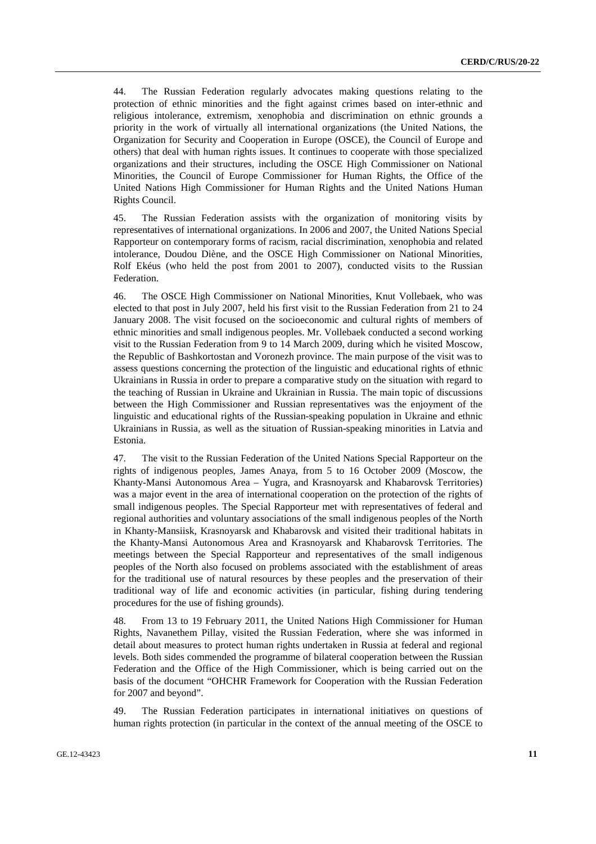44. The Russian Federation regularly advocates making questions relating to the protection of ethnic minorities and the fight against crimes based on inter-ethnic and religious intolerance, extremism, xenophobia and discrimination on ethnic grounds a priority in the work of virtually all international organizations (the United Nations, the Organization for Security and Cooperation in Europe (OSCE), the Council of Europe and others) that deal with human rights issues. It continues to cooperate with those specialized organizations and their structures, including the OSCE High Commissioner on National Minorities, the Council of Europe Commissioner for Human Rights, the Office of the United Nations High Commissioner for Human Rights and the United Nations Human Rights Council.

45. The Russian Federation assists with the organization of monitoring visits by representatives of international organizations. In 2006 and 2007, the United Nations Special Rapporteur on contemporary forms of racism, racial discrimination, xenophobia and related intolerance, Doudou Diène, and the OSCE High Commissioner on National Minorities, Rolf Ekéus (who held the post from 2001 to 2007), conducted visits to the Russian Federation.

46. The OSCE High Commissioner on National Minorities, Knut Vollebaek, who was elected to that post in July 2007, held his first visit to the Russian Federation from 21 to 24 January 2008. The visit focused on the socioeconomic and cultural rights of members of ethnic minorities and small indigenous peoples. Mr. Vollebaek conducted a second working visit to the Russian Federation from 9 to 14 March 2009, during which he visited Moscow, the Republic of Bashkortostan and Voronezh province. The main purpose of the visit was to assess questions concerning the protection of the linguistic and educational rights of ethnic Ukrainians in Russia in order to prepare a comparative study on the situation with regard to the teaching of Russian in Ukraine and Ukrainian in Russia. The main topic of discussions between the High Commissioner and Russian representatives was the enjoyment of the linguistic and educational rights of the Russian-speaking population in Ukraine and ethnic Ukrainians in Russia, as well as the situation of Russian-speaking minorities in Latvia and Estonia.

47. The visit to the Russian Federation of the United Nations Special Rapporteur on the rights of indigenous peoples, James Anaya, from 5 to 16 October 2009 (Moscow, the Khanty-Mansi Autonomous Area – Yugra, and Krasnoyarsk and Khabarovsk Territories) was a major event in the area of international cooperation on the protection of the rights of small indigenous peoples. The Special Rapporteur met with representatives of federal and regional authorities and voluntary associations of the small indigenous peoples of the North in Khanty-Mansiisk, Krasnoyarsk and Khabarovsk and visited their traditional habitats in the Khanty-Mansi Autonomous Area and Krasnoyarsk and Khabarovsk Territories. The meetings between the Special Rapporteur and representatives of the small indigenous peoples of the North also focused on problems associated with the establishment of areas for the traditional use of natural resources by these peoples and the preservation of their traditional way of life and economic activities (in particular, fishing during tendering procedures for the use of fishing grounds).

48. From 13 to 19 February 2011, the United Nations High Commissioner for Human Rights, Navanethem Pillay, visited the Russian Federation, where she was informed in detail about measures to protect human rights undertaken in Russia at federal and regional levels. Both sides commended the programme of bilateral cooperation between the Russian Federation and the Office of the High Commissioner, which is being carried out on the basis of the document "OHCHR Framework for Cooperation with the Russian Federation for 2007 and beyond".

49. The Russian Federation participates in international initiatives on questions of human rights protection (in particular in the context of the annual meeting of the OSCE to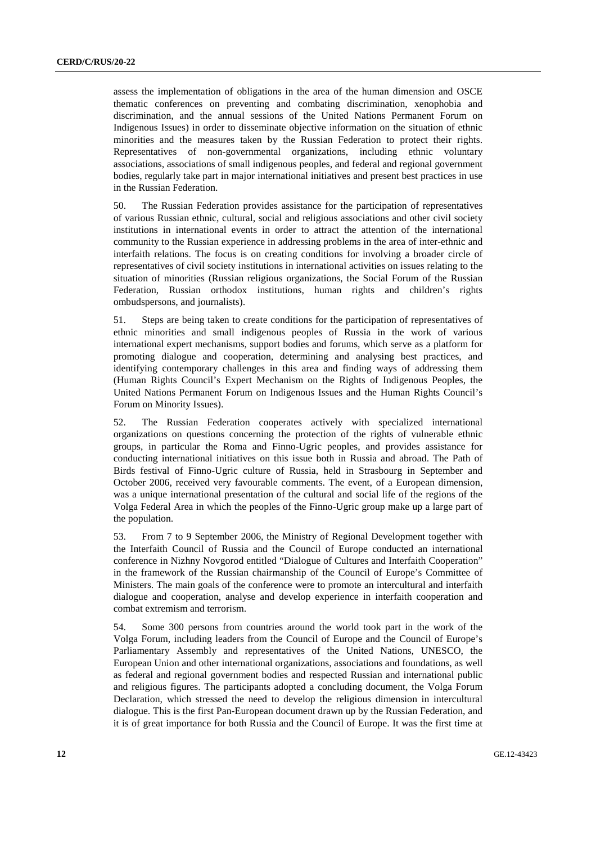assess the implementation of obligations in the area of the human dimension and OSCE thematic conferences on preventing and combating discrimination, xenophobia and discrimination, and the annual sessions of the United Nations Permanent Forum on Indigenous Issues) in order to disseminate objective information on the situation of ethnic minorities and the measures taken by the Russian Federation to protect their rights. Representatives of non-governmental organizations, including ethnic voluntary associations, associations of small indigenous peoples, and federal and regional government bodies, regularly take part in major international initiatives and present best practices in use in the Russian Federation.

50. The Russian Federation provides assistance for the participation of representatives of various Russian ethnic, cultural, social and religious associations and other civil society institutions in international events in order to attract the attention of the international community to the Russian experience in addressing problems in the area of inter-ethnic and interfaith relations. The focus is on creating conditions for involving a broader circle of representatives of civil society institutions in international activities on issues relating to the situation of minorities (Russian religious organizations, the Social Forum of the Russian Federation, Russian orthodox institutions, human rights and children's rights ombudspersons, and journalists).

51. Steps are being taken to create conditions for the participation of representatives of ethnic minorities and small indigenous peoples of Russia in the work of various international expert mechanisms, support bodies and forums, which serve as a platform for promoting dialogue and cooperation, determining and analysing best practices, and identifying contemporary challenges in this area and finding ways of addressing them (Human Rights Council's Expert Mechanism on the Rights of Indigenous Peoples, the United Nations Permanent Forum on Indigenous Issues and the Human Rights Council's Forum on Minority Issues).

52. The Russian Federation cooperates actively with specialized international organizations on questions concerning the protection of the rights of vulnerable ethnic groups, in particular the Roma and Finno-Ugric peoples, and provides assistance for conducting international initiatives on this issue both in Russia and abroad. The Path of Birds festival of Finno-Ugric culture of Russia, held in Strasbourg in September and October 2006, received very favourable comments. The event, of a European dimension, was a unique international presentation of the cultural and social life of the regions of the Volga Federal Area in which the peoples of the Finno-Ugric group make up a large part of the population.

53. From 7 to 9 September 2006, the Ministry of Regional Development together with the Interfaith Council of Russia and the Council of Europe conducted an international conference in Nizhny Novgorod entitled "Dialogue of Cultures and Interfaith Cooperation" in the framework of the Russian chairmanship of the Council of Europe's Committee of Ministers. The main goals of the conference were to promote an intercultural and interfaith dialogue and cooperation, analyse and develop experience in interfaith cooperation and combat extremism and terrorism.

54. Some 300 persons from countries around the world took part in the work of the Volga Forum, including leaders from the Council of Europe and the Council of Europe's Parliamentary Assembly and representatives of the United Nations, UNESCO, the European Union and other international organizations, associations and foundations, as well as federal and regional government bodies and respected Russian and international public and religious figures. The participants adopted a concluding document, the Volga Forum Declaration, which stressed the need to develop the religious dimension in intercultural dialogue. This is the first Pan-European document drawn up by the Russian Federation, and it is of great importance for both Russia and the Council of Europe. It was the first time at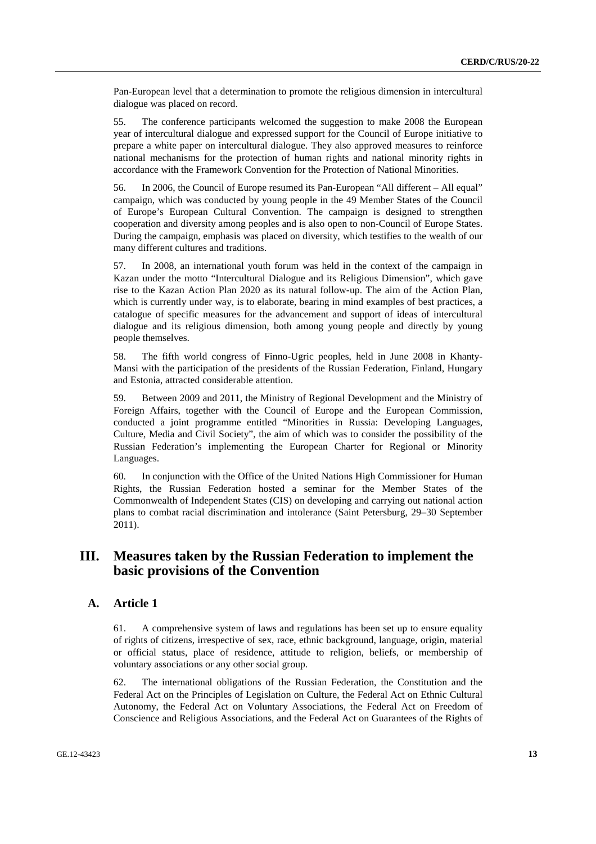Pan-European level that a determination to promote the religious dimension in intercultural dialogue was placed on record.

55. The conference participants welcomed the suggestion to make 2008 the European year of intercultural dialogue and expressed support for the Council of Europe initiative to prepare a white paper on intercultural dialogue. They also approved measures to reinforce national mechanisms for the protection of human rights and national minority rights in accordance with the Framework Convention for the Protection of National Minorities.

56. In 2006, the Council of Europe resumed its Pan-European "All different – All equal" campaign, which was conducted by young people in the 49 Member States of the Council of Europe's European Cultural Convention. The campaign is designed to strengthen cooperation and diversity among peoples and is also open to non-Council of Europe States. During the campaign, emphasis was placed on diversity, which testifies to the wealth of our many different cultures and traditions.

57. In 2008, an international youth forum was held in the context of the campaign in Kazan under the motto "Intercultural Dialogue and its Religious Dimension", which gave rise to the Kazan Action Plan 2020 as its natural follow-up. The aim of the Action Plan, which is currently under way, is to elaborate, bearing in mind examples of best practices, a catalogue of specific measures for the advancement and support of ideas of intercultural dialogue and its religious dimension, both among young people and directly by young people themselves.

58. The fifth world congress of Finno-Ugric peoples, held in June 2008 in Khanty-Mansi with the participation of the presidents of the Russian Federation, Finland, Hungary and Estonia, attracted considerable attention.

59. Between 2009 and 2011, the Ministry of Regional Development and the Ministry of Foreign Affairs, together with the Council of Europe and the European Commission, conducted a joint programme entitled "Minorities in Russia: Developing Languages, Culture, Media and Civil Society", the aim of which was to consider the possibility of the Russian Federation's implementing the European Charter for Regional or Minority Languages.

60. In conjunction with the Office of the United Nations High Commissioner for Human Rights, the Russian Federation hosted a seminar for the Member States of the Commonwealth of Independent States (CIS) on developing and carrying out national action plans to combat racial discrimination and intolerance (Saint Petersburg, 29–30 September 2011).

# **III. Measures taken by the Russian Federation to implement the basic provisions of the Convention**

#### **A. Article 1**

61. A comprehensive system of laws and regulations has been set up to ensure equality of rights of citizens, irrespective of sex, race, ethnic background, language, origin, material or official status, place of residence, attitude to religion, beliefs, or membership of voluntary associations or any other social group.

62. The international obligations of the Russian Federation, the Constitution and the Federal Act on the Principles of Legislation on Culture, the Federal Act on Ethnic Cultural Autonomy, the Federal Act on Voluntary Associations, the Federal Act on Freedom of Conscience and Religious Associations, and the Federal Act on Guarantees of the Rights of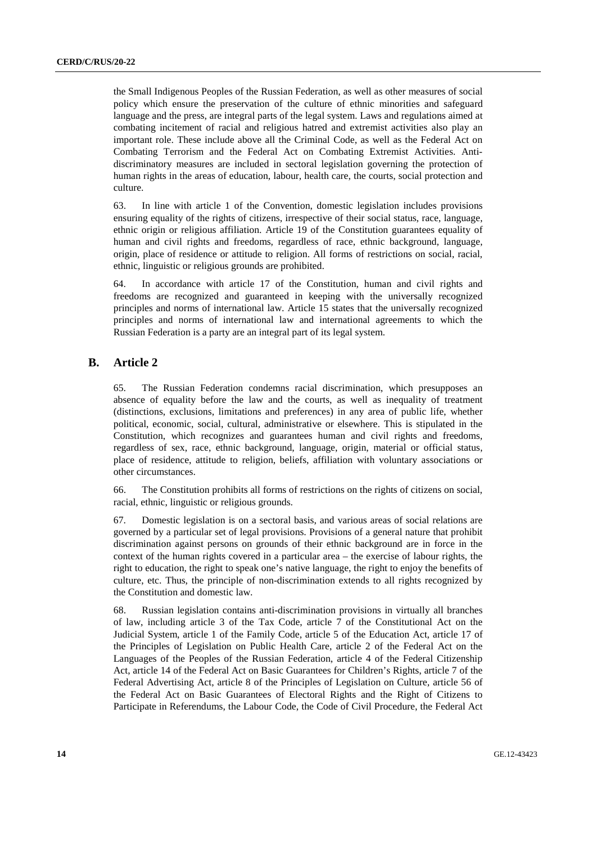the Small Indigenous Peoples of the Russian Federation, as well as other measures of social policy which ensure the preservation of the culture of ethnic minorities and safeguard language and the press, are integral parts of the legal system. Laws and regulations aimed at combating incitement of racial and religious hatred and extremist activities also play an important role. These include above all the Criminal Code, as well as the Federal Act on Combating Terrorism and the Federal Act on Combating Extremist Activities. Antidiscriminatory measures are included in sectoral legislation governing the protection of human rights in the areas of education, labour, health care, the courts, social protection and culture.

63. In line with article 1 of the Convention, domestic legislation includes provisions ensuring equality of the rights of citizens, irrespective of their social status, race, language, ethnic origin or religious affiliation. Article 19 of the Constitution guarantees equality of human and civil rights and freedoms, regardless of race, ethnic background, language, origin, place of residence or attitude to religion. All forms of restrictions on social, racial, ethnic, linguistic or religious grounds are prohibited.

64. In accordance with article 17 of the Constitution, human and civil rights and freedoms are recognized and guaranteed in keeping with the universally recognized principles and norms of international law. Article 15 states that the universally recognized principles and norms of international law and international agreements to which the Russian Federation is a party are an integral part of its legal system.

#### **B. Article 2**

65. The Russian Federation condemns racial discrimination, which presupposes an absence of equality before the law and the courts, as well as inequality of treatment (distinctions, exclusions, limitations and preferences) in any area of public life, whether political, economic, social, cultural, administrative or elsewhere. This is stipulated in the Constitution, which recognizes and guarantees human and civil rights and freedoms, regardless of sex, race, ethnic background, language, origin, material or official status, place of residence, attitude to religion, beliefs, affiliation with voluntary associations or other circumstances.

66. The Constitution prohibits all forms of restrictions on the rights of citizens on social, racial, ethnic, linguistic or religious grounds.

67. Domestic legislation is on a sectoral basis, and various areas of social relations are governed by a particular set of legal provisions. Provisions of a general nature that prohibit discrimination against persons on grounds of their ethnic background are in force in the context of the human rights covered in a particular area – the exercise of labour rights, the right to education, the right to speak one's native language, the right to enjoy the benefits of culture, etc. Thus, the principle of non-discrimination extends to all rights recognized by the Constitution and domestic law.

68. Russian legislation contains anti-discrimination provisions in virtually all branches of law, including article 3 of the Tax Code, article 7 of the Constitutional Act on the Judicial System, article 1 of the Family Code, article 5 of the Education Act, article 17 of the Principles of Legislation on Public Health Care, article 2 of the Federal Act on the Languages of the Peoples of the Russian Federation, article 4 of the Federal Citizenship Act, article 14 of the Federal Act on Basic Guarantees for Children's Rights, article 7 of the Federal Advertising Act, article 8 of the Principles of Legislation on Culture, article 56 of the Federal Act on Basic Guarantees of Electoral Rights and the Right of Citizens to Participate in Referendums, the Labour Code, the Code of Civil Procedure, the Federal Act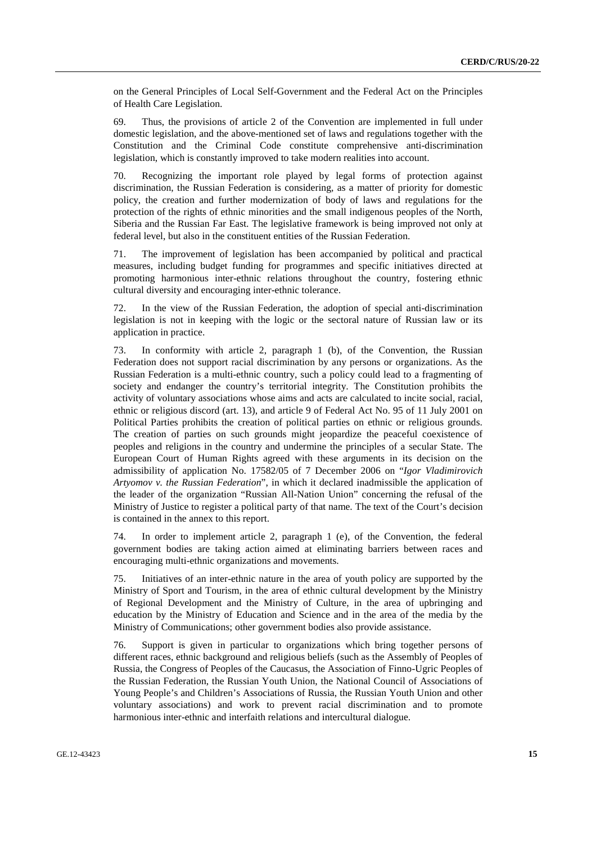on the General Principles of Local Self-Government and the Federal Act on the Principles of Health Care Legislation.

69. Thus, the provisions of article 2 of the Convention are implemented in full under domestic legislation, and the above-mentioned set of laws and regulations together with the Constitution and the Criminal Code constitute comprehensive anti-discrimination legislation, which is constantly improved to take modern realities into account.

70. Recognizing the important role played by legal forms of protection against discrimination, the Russian Federation is considering, as a matter of priority for domestic policy, the creation and further modernization of body of laws and regulations for the protection of the rights of ethnic minorities and the small indigenous peoples of the North, Siberia and the Russian Far East. The legislative framework is being improved not only at federal level, but also in the constituent entities of the Russian Federation.

71. The improvement of legislation has been accompanied by political and practical measures, including budget funding for programmes and specific initiatives directed at promoting harmonious inter-ethnic relations throughout the country, fostering ethnic cultural diversity and encouraging inter-ethnic tolerance.

72. In the view of the Russian Federation, the adoption of special anti-discrimination legislation is not in keeping with the logic or the sectoral nature of Russian law or its application in practice.

73. In conformity with article 2, paragraph 1 (b), of the Convention, the Russian Federation does not support racial discrimination by any persons or organizations. As the Russian Federation is a multi-ethnic country, such a policy could lead to a fragmenting of society and endanger the country's territorial integrity. The Constitution prohibits the activity of voluntary associations whose aims and acts are calculated to incite social, racial, ethnic or religious discord (art. 13), and article 9 of Federal Act No. 95 of 11 July 2001 on Political Parties prohibits the creation of political parties on ethnic or religious grounds. The creation of parties on such grounds might jeopardize the peaceful coexistence of peoples and religions in the country and undermine the principles of a secular State. The European Court of Human Rights agreed with these arguments in its decision on the admissibility of application No. 17582/05 of 7 December 2006 on "*Igor Vladimirovich Artyomov v. the Russian Federation*", in which it declared inadmissible the application of the leader of the organization "Russian All-Nation Union" concerning the refusal of the Ministry of Justice to register a political party of that name. The text of the Court's decision is contained in the annex to this report.

74. In order to implement article 2, paragraph 1 (e), of the Convention, the federal government bodies are taking action aimed at eliminating barriers between races and encouraging multi-ethnic organizations and movements.

75. Initiatives of an inter-ethnic nature in the area of youth policy are supported by the Ministry of Sport and Tourism, in the area of ethnic cultural development by the Ministry of Regional Development and the Ministry of Culture, in the area of upbringing and education by the Ministry of Education and Science and in the area of the media by the Ministry of Communications; other government bodies also provide assistance.

76. Support is given in particular to organizations which bring together persons of different races, ethnic background and religious beliefs (such as the Assembly of Peoples of Russia, the Congress of Peoples of the Caucasus, the Association of Finno-Ugric Peoples of the Russian Federation, the Russian Youth Union, the National Council of Associations of Young People's and Children's Associations of Russia, the Russian Youth Union and other voluntary associations) and work to prevent racial discrimination and to promote harmonious inter-ethnic and interfaith relations and intercultural dialogue.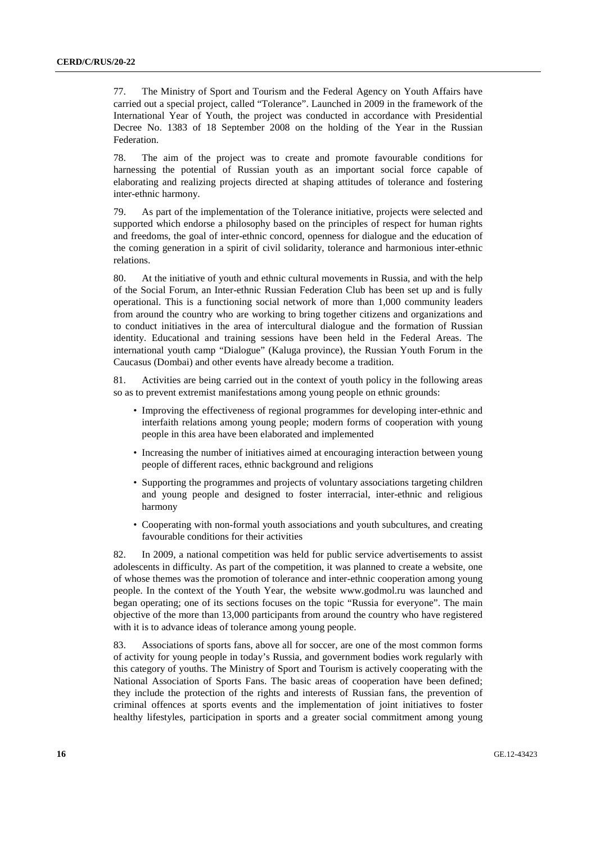77. The Ministry of Sport and Tourism and the Federal Agency on Youth Affairs have carried out a special project, called "Tolerance". Launched in 2009 in the framework of the International Year of Youth, the project was conducted in accordance with Presidential Decree No. 1383 of 18 September 2008 on the holding of the Year in the Russian Federation.

78. The aim of the project was to create and promote favourable conditions for harnessing the potential of Russian youth as an important social force capable of elaborating and realizing projects directed at shaping attitudes of tolerance and fostering inter-ethnic harmony.

79. As part of the implementation of the Tolerance initiative, projects were selected and supported which endorse a philosophy based on the principles of respect for human rights and freedoms, the goal of inter-ethnic concord, openness for dialogue and the education of the coming generation in a spirit of civil solidarity, tolerance and harmonious inter-ethnic relations.

80. At the initiative of youth and ethnic cultural movements in Russia, and with the help of the Social Forum, an Inter-ethnic Russian Federation Club has been set up and is fully operational. This is a functioning social network of more than 1,000 community leaders from around the country who are working to bring together citizens and organizations and to conduct initiatives in the area of intercultural dialogue and the formation of Russian identity. Educational and training sessions have been held in the Federal Areas. The international youth camp "Dialogue" (Kaluga province), the Russian Youth Forum in the Caucasus (Dombai) and other events have already become a tradition.

81. Activities are being carried out in the context of youth policy in the following areas so as to prevent extremist manifestations among young people on ethnic grounds:

- Improving the effectiveness of regional programmes for developing inter-ethnic and interfaith relations among young people; modern forms of cooperation with young people in this area have been elaborated and implemented
- Increasing the number of initiatives aimed at encouraging interaction between young people of different races, ethnic background and religions
- Supporting the programmes and projects of voluntary associations targeting children and young people and designed to foster interracial, inter-ethnic and religious harmony
- Cooperating with non-formal youth associations and youth subcultures, and creating favourable conditions for their activities

82. In 2009, a national competition was held for public service advertisements to assist adolescents in difficulty. As part of the competition, it was planned to create a website, one of whose themes was the promotion of tolerance and inter-ethnic cooperation among young people. In the context of the Youth Year, the website www.godmol.ru was launched and began operating; one of its sections focuses on the topic "Russia for everyone". The main objective of the more than 13,000 participants from around the country who have registered with it is to advance ideas of tolerance among young people.

83. Associations of sports fans, above all for soccer, are one of the most common forms of activity for young people in today's Russia, and government bodies work regularly with this category of youths. The Ministry of Sport and Tourism is actively cooperating with the National Association of Sports Fans. The basic areas of cooperation have been defined; they include the protection of the rights and interests of Russian fans, the prevention of criminal offences at sports events and the implementation of joint initiatives to foster healthy lifestyles, participation in sports and a greater social commitment among young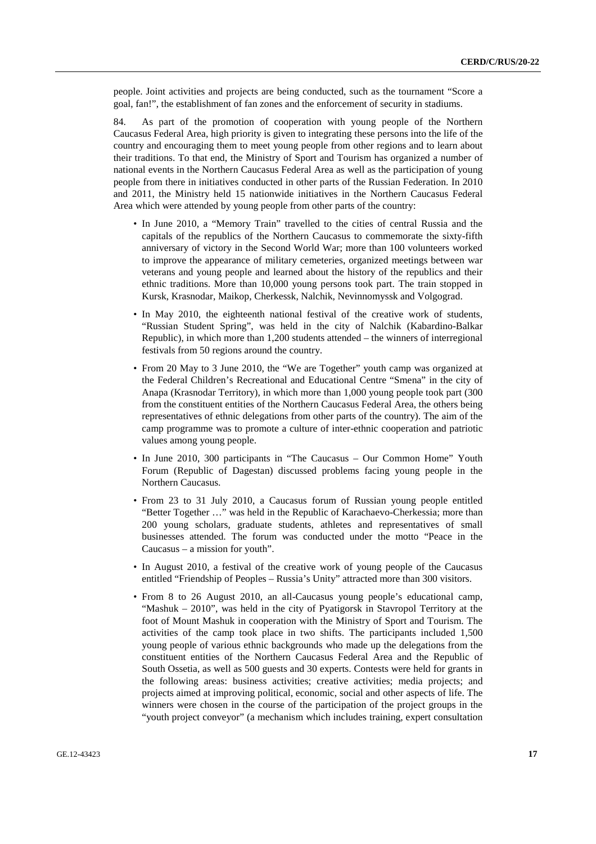people. Joint activities and projects are being conducted, such as the tournament "Score a goal, fan!", the establishment of fan zones and the enforcement of security in stadiums.

84. As part of the promotion of cooperation with young people of the Northern Caucasus Federal Area, high priority is given to integrating these persons into the life of the country and encouraging them to meet young people from other regions and to learn about their traditions. To that end, the Ministry of Sport and Tourism has organized a number of national events in the Northern Caucasus Federal Area as well as the participation of young people from there in initiatives conducted in other parts of the Russian Federation. In 2010 and 2011, the Ministry held 15 nationwide initiatives in the Northern Caucasus Federal Area which were attended by young people from other parts of the country:

- In June 2010, a "Memory Train" travelled to the cities of central Russia and the capitals of the republics of the Northern Caucasus to commemorate the sixty-fifth anniversary of victory in the Second World War; more than 100 volunteers worked to improve the appearance of military cemeteries, organized meetings between war veterans and young people and learned about the history of the republics and their ethnic traditions. More than 10,000 young persons took part. The train stopped in Kursk, Krasnodar, Maikop, Cherkessk, Nalchik, Nevinnomyssk and Volgograd.
- In May 2010, the eighteenth national festival of the creative work of students, "Russian Student Spring", was held in the city of Nalchik (Kabardino-Balkar Republic), in which more than 1,200 students attended – the winners of interregional festivals from 50 regions around the country.
- From 20 May to 3 June 2010, the "We are Together" youth camp was organized at the Federal Children's Recreational and Educational Centre "Smena" in the city of Anapa (Krasnodar Territory), in which more than 1,000 young people took part (300 from the constituent entities of the Northern Caucasus Federal Area, the others being representatives of ethnic delegations from other parts of the country). The aim of the camp programme was to promote a culture of inter-ethnic cooperation and patriotic values among young people.
- In June 2010, 300 participants in "The Caucasus Our Common Home" Youth Forum (Republic of Dagestan) discussed problems facing young people in the Northern Caucasus.
- From 23 to 31 July 2010, a Caucasus forum of Russian young people entitled "Better Together …" was held in the Republic of Karachaevo-Cherkessia; more than 200 young scholars, graduate students, athletes and representatives of small businesses attended. The forum was conducted under the motto "Peace in the Caucasus – a mission for youth".
- In August 2010, a festival of the creative work of young people of the Caucasus entitled "Friendship of Peoples – Russia's Unity" attracted more than 300 visitors.
- From 8 to 26 August 2010, an all-Caucasus young people's educational camp, "Mashuk - 2010", was held in the city of Pyatigorsk in Stavropol Territory at the foot of Mount Mashuk in cooperation with the Ministry of Sport and Tourism. The activities of the camp took place in two shifts. The participants included 1,500 young people of various ethnic backgrounds who made up the delegations from the constituent entities of the Northern Caucasus Federal Area and the Republic of South Ossetia, as well as 500 guests and 30 experts. Contests were held for grants in the following areas: business activities; creative activities; media projects; and projects aimed at improving political, economic, social and other aspects of life. The winners were chosen in the course of the participation of the project groups in the "youth project conveyor" (a mechanism which includes training, expert consultation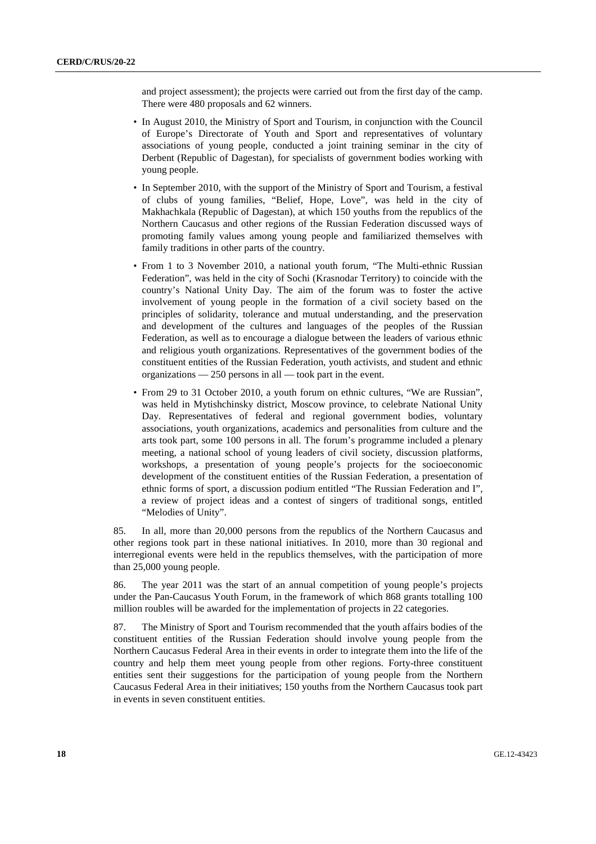and project assessment); the projects were carried out from the first day of the camp. There were 480 proposals and 62 winners.

- In August 2010, the Ministry of Sport and Tourism, in conjunction with the Council of Europe's Directorate of Youth and Sport and representatives of voluntary associations of young people, conducted a joint training seminar in the city of Derbent (Republic of Dagestan), for specialists of government bodies working with young people.
- In September 2010, with the support of the Ministry of Sport and Tourism, a festival of clubs of young families, "Belief, Hope, Love", was held in the city of Makhachkala (Republic of Dagestan), at which 150 youths from the republics of the Northern Caucasus and other regions of the Russian Federation discussed ways of promoting family values among young people and familiarized themselves with family traditions in other parts of the country.
- From 1 to 3 November 2010, a national youth forum, "The Multi-ethnic Russian Federation", was held in the city of Sochi (Krasnodar Territory) to coincide with the country's National Unity Day. The aim of the forum was to foster the active involvement of young people in the formation of a civil society based on the principles of solidarity, tolerance and mutual understanding, and the preservation and development of the cultures and languages of the peoples of the Russian Federation, as well as to encourage a dialogue between the leaders of various ethnic and religious youth organizations. Representatives of the government bodies of the constituent entities of the Russian Federation, youth activists, and student and ethnic organizations — 250 persons in all — took part in the event.
- From 29 to 31 October 2010, a youth forum on ethnic cultures, "We are Russian", was held in Mytishchinsky district, Moscow province, to celebrate National Unity Day. Representatives of federal and regional government bodies, voluntary associations, youth organizations, academics and personalities from culture and the arts took part, some 100 persons in all. The forum's programme included a plenary meeting, a national school of young leaders of civil society, discussion platforms, workshops, a presentation of young people's projects for the socioeconomic development of the constituent entities of the Russian Federation, a presentation of ethnic forms of sport, a discussion podium entitled "The Russian Federation and I", a review of project ideas and a contest of singers of traditional songs, entitled "Melodies of Unity".

85. In all, more than 20,000 persons from the republics of the Northern Caucasus and other regions took part in these national initiatives. In 2010, more than 30 regional and interregional events were held in the republics themselves, with the participation of more than 25,000 young people.

86. The year 2011 was the start of an annual competition of young people's projects under the Pan-Caucasus Youth Forum, in the framework of which 868 grants totalling 100 million roubles will be awarded for the implementation of projects in 22 categories.

87. The Ministry of Sport and Tourism recommended that the youth affairs bodies of the constituent entities of the Russian Federation should involve young people from the Northern Caucasus Federal Area in their events in order to integrate them into the life of the country and help them meet young people from other regions. Forty-three constituent entities sent their suggestions for the participation of young people from the Northern Caucasus Federal Area in their initiatives; 150 youths from the Northern Caucasus took part in events in seven constituent entities.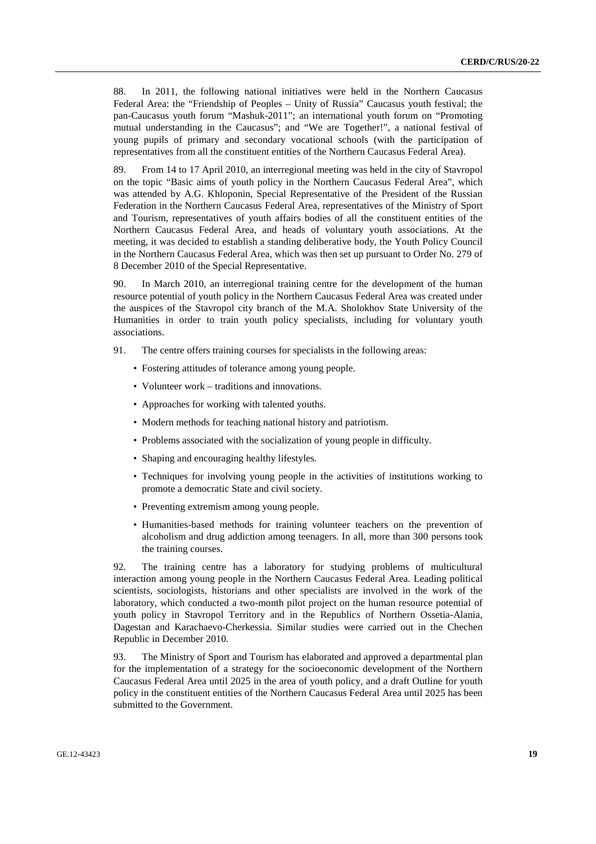88. In 2011, the following national initiatives were held in the Northern Caucasus Federal Area: the "Friendship of Peoples – Unity of Russia" Caucasus youth festival; the pan-Caucasus youth forum "Mashuk-2011"; an international youth forum on "Promoting mutual understanding in the Caucasus"; and "We are Together!", a national festival of young pupils of primary and secondary vocational schools (with the participation of representatives from all the constituent entities of the Northern Caucasus Federal Area).

89. From 14 to 17 April 2010, an interregional meeting was held in the city of Stavropol on the topic "Basic aims of youth policy in the Northern Caucasus Federal Area", which was attended by A.G. Khloponin, Special Representative of the President of the Russian Federation in the Northern Caucasus Federal Area, representatives of the Ministry of Sport and Tourism, representatives of youth affairs bodies of all the constituent entities of the Northern Caucasus Federal Area, and heads of voluntary youth associations. At the meeting, it was decided to establish a standing deliberative body, the Youth Policy Council in the Northern Caucasus Federal Area, which was then set up pursuant to Order No. 279 of 8 December 2010 of the Special Representative.

90. In March 2010, an interregional training centre for the development of the human resource potential of youth policy in the Northern Caucasus Federal Area was created under the auspices of the Stavropol city branch of the M.A. Sholokhov State University of the Humanities in order to train youth policy specialists, including for voluntary youth associations.

- 91. The centre offers training courses for specialists in the following areas:
	- Fostering attitudes of tolerance among young people.
	- Volunteer work traditions and innovations.
	- Approaches for working with talented youths.
	- Modern methods for teaching national history and patriotism.
	- Problems associated with the socialization of young people in difficulty.
	- Shaping and encouraging healthy lifestyles.
	- Techniques for involving young people in the activities of institutions working to promote a democratic State and civil society.
	- Preventing extremism among young people.
	- Humanities-based methods for training volunteer teachers on the prevention of alcoholism and drug addiction among teenagers. In all, more than 300 persons took the training courses.

92. The training centre has a laboratory for studying problems of multicultural interaction among young people in the Northern Caucasus Federal Area. Leading political scientists, sociologists, historians and other specialists are involved in the work of the laboratory, which conducted a two-month pilot project on the human resource potential of youth policy in Stavropol Territory and in the Republics of Northern Ossetia-Alania, Dagestan and Karachaevo-Cherkessia. Similar studies were carried out in the Chechen Republic in December 2010.

93. The Ministry of Sport and Tourism has elaborated and approved a departmental plan for the implementation of a strategy for the socioeconomic development of the Northern Caucasus Federal Area until 2025 in the area of youth policy, and a draft Outline for youth policy in the constituent entities of the Northern Caucasus Federal Area until 2025 has been submitted to the Government.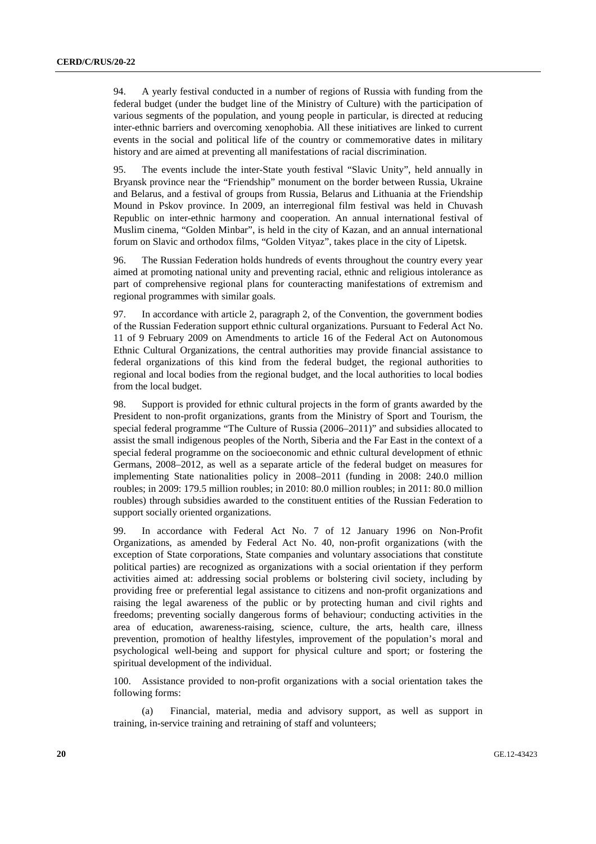94. A yearly festival conducted in a number of regions of Russia with funding from the federal budget (under the budget line of the Ministry of Culture) with the participation of various segments of the population, and young people in particular, is directed at reducing inter-ethnic barriers and overcoming xenophobia. All these initiatives are linked to current events in the social and political life of the country or commemorative dates in military history and are aimed at preventing all manifestations of racial discrimination.

95. The events include the inter-State youth festival "Slavic Unity", held annually in Bryansk province near the "Friendship" monument on the border between Russia, Ukraine and Belarus, and a festival of groups from Russia, Belarus and Lithuania at the Friendship Mound in Pskov province. In 2009, an interregional film festival was held in Chuvash Republic on inter-ethnic harmony and cooperation. An annual international festival of Muslim cinema, "Golden Minbar", is held in the city of Kazan, and an annual international forum on Slavic and orthodox films, "Golden Vityaz", takes place in the city of Lipetsk.

96. The Russian Federation holds hundreds of events throughout the country every year aimed at promoting national unity and preventing racial, ethnic and religious intolerance as part of comprehensive regional plans for counteracting manifestations of extremism and regional programmes with similar goals.

97. In accordance with article 2, paragraph 2, of the Convention, the government bodies of the Russian Federation support ethnic cultural organizations. Pursuant to Federal Act No. 11 of 9 February 2009 on Amendments to article 16 of the Federal Act on Autonomous Ethnic Cultural Organizations, the central authorities may provide financial assistance to federal organizations of this kind from the federal budget, the regional authorities to regional and local bodies from the regional budget, and the local authorities to local bodies from the local budget.

98. Support is provided for ethnic cultural projects in the form of grants awarded by the President to non-profit organizations, grants from the Ministry of Sport and Tourism, the special federal programme "The Culture of Russia (2006–2011)" and subsidies allocated to assist the small indigenous peoples of the North, Siberia and the Far East in the context of a special federal programme on the socioeconomic and ethnic cultural development of ethnic Germans, 2008–2012, as well as a separate article of the federal budget on measures for implementing State nationalities policy in 2008–2011 (funding in 2008: 240.0 million roubles; in 2009: 179.5 million roubles; in 2010: 80.0 million roubles; in 2011: 80.0 million roubles) through subsidies awarded to the constituent entities of the Russian Federation to support socially oriented organizations.

99. In accordance with Federal Act No. 7 of 12 January 1996 on Non-Profit Organizations, as amended by Federal Act No. 40, non-profit organizations (with the exception of State corporations, State companies and voluntary associations that constitute political parties) are recognized as organizations with a social orientation if they perform activities aimed at: addressing social problems or bolstering civil society, including by providing free or preferential legal assistance to citizens and non-profit organizations and raising the legal awareness of the public or by protecting human and civil rights and freedoms; preventing socially dangerous forms of behaviour; conducting activities in the area of education, awareness-raising, science, culture, the arts, health care, illness prevention, promotion of healthy lifestyles, improvement of the population's moral and psychological well-being and support for physical culture and sport; or fostering the spiritual development of the individual.

100. Assistance provided to non-profit organizations with a social orientation takes the following forms:

 (a) Financial, material, media and advisory support, as well as support in training, in-service training and retraining of staff and volunteers;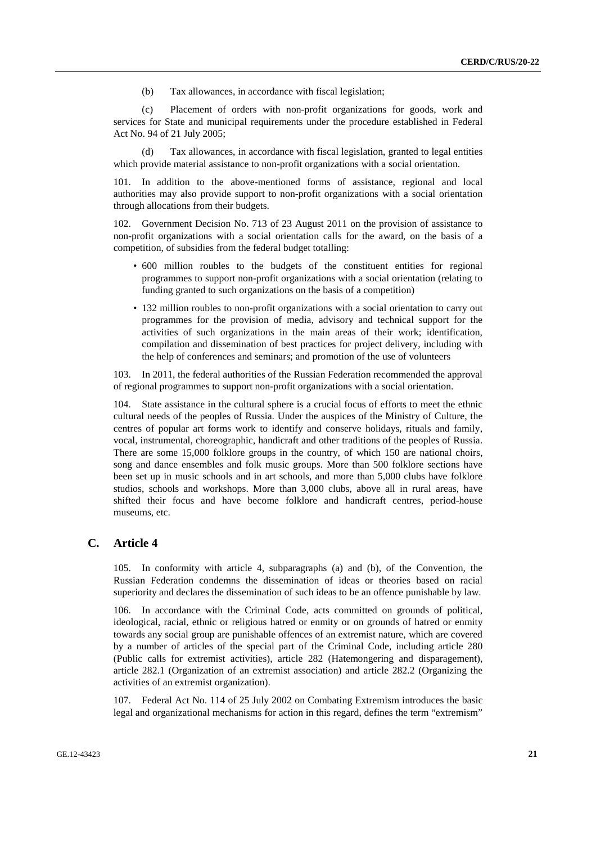(b) Tax allowances, in accordance with fiscal legislation;

 (c) Placement of orders with non-profit organizations for goods, work and services for State and municipal requirements under the procedure established in Federal Act No. 94 of 21 July 2005;

 (d) Tax allowances, in accordance with fiscal legislation, granted to legal entities which provide material assistance to non-profit organizations with a social orientation.

101. In addition to the above-mentioned forms of assistance, regional and local authorities may also provide support to non-profit organizations with a social orientation through allocations from their budgets.

102. Government Decision No. 713 of 23 August 2011 on the provision of assistance to non-profit organizations with a social orientation calls for the award, on the basis of a competition, of subsidies from the federal budget totalling:

- 600 million roubles to the budgets of the constituent entities for regional programmes to support non-profit organizations with a social orientation (relating to funding granted to such organizations on the basis of a competition)
- 132 million roubles to non-profit organizations with a social orientation to carry out programmes for the provision of media, advisory and technical support for the activities of such organizations in the main areas of their work; identification, compilation and dissemination of best practices for project delivery, including with the help of conferences and seminars; and promotion of the use of volunteers

103. In 2011, the federal authorities of the Russian Federation recommended the approval of regional programmes to support non-profit organizations with a social orientation.

104. State assistance in the cultural sphere is a crucial focus of efforts to meet the ethnic cultural needs of the peoples of Russia. Under the auspices of the Ministry of Culture, the centres of popular art forms work to identify and conserve holidays, rituals and family, vocal, instrumental, choreographic, handicraft and other traditions of the peoples of Russia. There are some 15,000 folklore groups in the country, of which 150 are national choirs, song and dance ensembles and folk music groups. More than 500 folklore sections have been set up in music schools and in art schools, and more than 5,000 clubs have folklore studios, schools and workshops. More than 3,000 clubs, above all in rural areas, have shifted their focus and have become folklore and handicraft centres, period-house museums, etc.

#### **C. Article 4**

105. In conformity with article 4, subparagraphs (a) and (b), of the Convention, the Russian Federation condemns the dissemination of ideas or theories based on racial superiority and declares the dissemination of such ideas to be an offence punishable by law.

106. In accordance with the Criminal Code, acts committed on grounds of political, ideological, racial, ethnic or religious hatred or enmity or on grounds of hatred or enmity towards any social group are punishable offences of an extremist nature, which are covered by a number of articles of the special part of the Criminal Code, including article 280 (Public calls for extremist activities), article 282 (Hatemongering and disparagement), article 282.1 (Organization of an extremist association) and article 282.2 (Organizing the activities of an extremist organization).

Federal Act No. 114 of 25 July 2002 on Combating Extremism introduces the basic legal and organizational mechanisms for action in this regard, defines the term "extremism"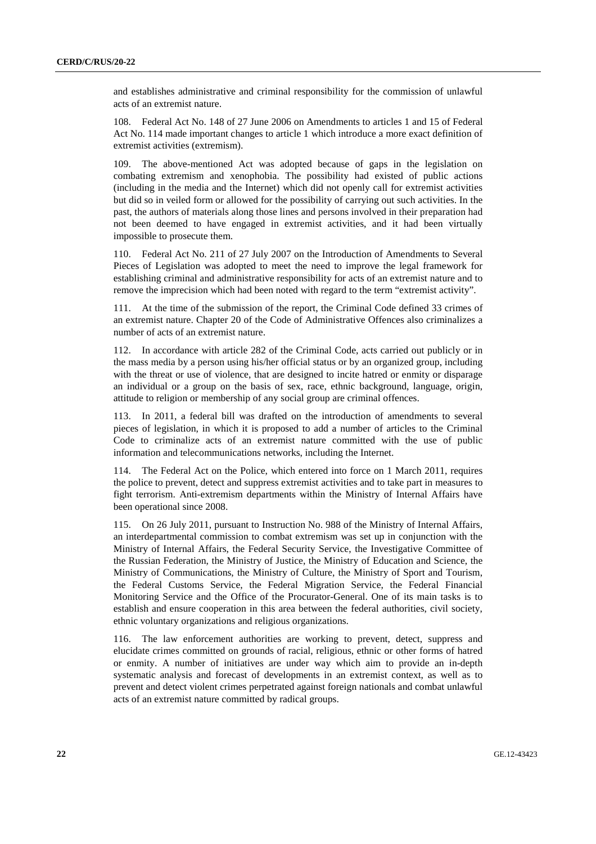and establishes administrative and criminal responsibility for the commission of unlawful acts of an extremist nature.

108. Federal Act No. 148 of 27 June 2006 on Amendments to articles 1 and 15 of Federal Act No. 114 made important changes to article 1 which introduce a more exact definition of extremist activities (extremism).

109. The above-mentioned Act was adopted because of gaps in the legislation on combating extremism and xenophobia. The possibility had existed of public actions (including in the media and the Internet) which did not openly call for extremist activities but did so in veiled form or allowed for the possibility of carrying out such activities. In the past, the authors of materials along those lines and persons involved in their preparation had not been deemed to have engaged in extremist activities, and it had been virtually impossible to prosecute them.

110. Federal Act No. 211 of 27 July 2007 on the Introduction of Amendments to Several Pieces of Legislation was adopted to meet the need to improve the legal framework for establishing criminal and administrative responsibility for acts of an extremist nature and to remove the imprecision which had been noted with regard to the term "extremist activity".

111. At the time of the submission of the report, the Criminal Code defined 33 crimes of an extremist nature. Chapter 20 of the Code of Administrative Offences also criminalizes a number of acts of an extremist nature.

112. In accordance with article 282 of the Criminal Code, acts carried out publicly or in the mass media by a person using his/her official status or by an organized group, including with the threat or use of violence, that are designed to incite hatred or enmity or disparage an individual or a group on the basis of sex, race, ethnic background, language, origin, attitude to religion or membership of any social group are criminal offences.

113. In 2011, a federal bill was drafted on the introduction of amendments to several pieces of legislation, in which it is proposed to add a number of articles to the Criminal Code to criminalize acts of an extremist nature committed with the use of public information and telecommunications networks, including the Internet.

114. The Federal Act on the Police, which entered into force on 1 March 2011, requires the police to prevent, detect and suppress extremist activities and to take part in measures to fight terrorism. Anti-extremism departments within the Ministry of Internal Affairs have been operational since 2008.

115. On 26 July 2011, pursuant to Instruction No. 988 of the Ministry of Internal Affairs, an interdepartmental commission to combat extremism was set up in conjunction with the Ministry of Internal Affairs, the Federal Security Service, the Investigative Committee of the Russian Federation, the Ministry of Justice, the Ministry of Education and Science, the Ministry of Communications, the Ministry of Culture, the Ministry of Sport and Tourism, the Federal Customs Service, the Federal Migration Service, the Federal Financial Monitoring Service and the Office of the Procurator-General. One of its main tasks is to establish and ensure cooperation in this area between the federal authorities, civil society, ethnic voluntary organizations and religious organizations.

116. The law enforcement authorities are working to prevent, detect, suppress and elucidate crimes committed on grounds of racial, religious, ethnic or other forms of hatred or enmity. A number of initiatives are under way which aim to provide an in-depth systematic analysis and forecast of developments in an extremist context, as well as to prevent and detect violent crimes perpetrated against foreign nationals and combat unlawful acts of an extremist nature committed by radical groups.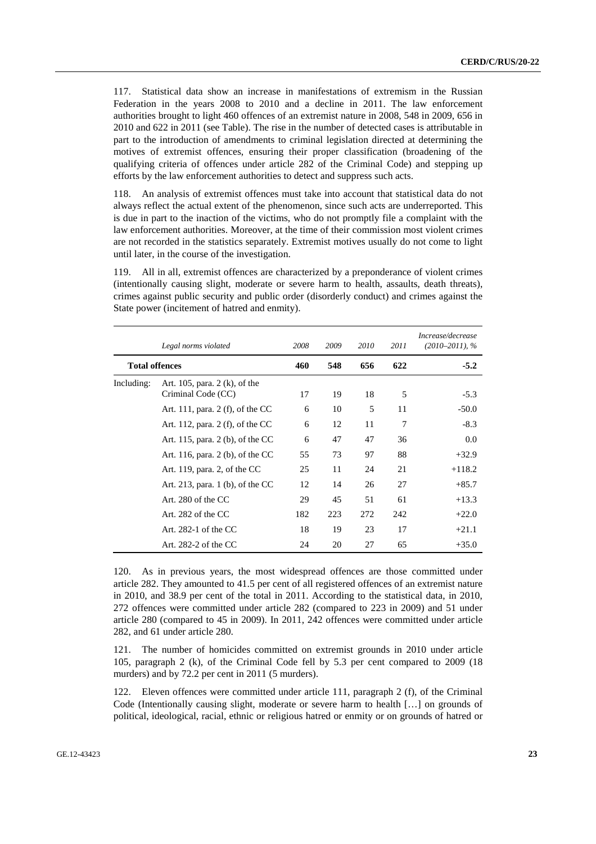117. Statistical data show an increase in manifestations of extremism in the Russian Federation in the years 2008 to 2010 and a decline in 2011. The law enforcement authorities brought to light 460 offences of an extremist nature in 2008, 548 in 2009, 656 in 2010 and 622 in 2011 (see Table). The rise in the number of detected cases is attributable in part to the introduction of amendments to criminal legislation directed at determining the motives of extremist offences, ensuring their proper classification (broadening of the qualifying criteria of offences under article 282 of the Criminal Code) and stepping up efforts by the law enforcement authorities to detect and suppress such acts.

118. An analysis of extremist offences must take into account that statistical data do not always reflect the actual extent of the phenomenon, since such acts are underreported. This is due in part to the inaction of the victims, who do not promptly file a complaint with the law enforcement authorities. Moreover, at the time of their commission most violent crimes are not recorded in the statistics separately. Extremist motives usually do not come to light until later, in the course of the investigation.

119. All in all, extremist offences are characterized by a preponderance of violent crimes (intentionally causing slight, moderate or severe harm to health, assaults, death threats), crimes against public security and public order (disorderly conduct) and crimes against the State power (incitement of hatred and enmity).

|                       | Legal norms violated                                  | 2008 | 2009 | 2010 | 2011 | Increase/decrease<br>$(2010-2011), %$ |
|-----------------------|-------------------------------------------------------|------|------|------|------|---------------------------------------|
| <b>Total offences</b> |                                                       | 460  | 548  | 656  | 622  | $-5.2$                                |
| Including:            | Art. 105, para. $2(k)$ , of the<br>Criminal Code (CC) | 17   | 19   | 18   | 5    | $-5.3$                                |
|                       | Art. 111, para. 2 (f), of the $CC$                    | 6    | 10   | 5    | 11   | $-50.0$                               |
|                       | Art. 112, para. 2 (f), of the $CC$                    | 6    | 12   | 11   | 7    | $-8.3$                                |
|                       | Art. 115, para. $2$ (b), of the CC                    | 6    | 47   | 47   | 36   | 0.0                                   |
|                       | Art. 116, para. $2$ (b), of the CC                    | 55   | 73   | 97   | 88   | $+32.9$                               |
|                       | Art. 119, para. 2, of the $CC$                        | 25   | 11   | 24   | 21   | $+118.2$                              |
|                       | Art. 213, para. $1$ (b), of the CC                    | 12   | 14   | 26   | 27   | $+85.7$                               |
|                       | Art. 280 of the CC                                    | 29   | 45   | 51   | 61   | $+13.3$                               |
|                       | Art. $282$ of the CC                                  | 182  | 223  | 272  | 242  | $+22.0$                               |
|                       | Art. $282-1$ of the CC                                | 18   | 19   | 23   | 17   | $+21.1$                               |
|                       | Art. 282-2 of the $CC$                                | 24   | 20   | 27   | 65   | $+35.0$                               |

120. As in previous years, the most widespread offences are those committed under article 282. They amounted to 41.5 per cent of all registered offences of an extremist nature in 2010, and 38.9 per cent of the total in 2011. According to the statistical data, in 2010, 272 offences were committed under article 282 (compared to 223 in 2009) and 51 under article 280 (compared to 45 in 2009). In 2011, 242 offences were committed under article 282, and 61 under article 280.

121. The number of homicides committed on extremist grounds in 2010 under article 105, paragraph 2 (k), of the Criminal Code fell by 5.3 per cent compared to 2009 (18 murders) and by 72.2 per cent in 2011 (5 murders).

122. Eleven offences were committed under article 111, paragraph 2 (f), of the Criminal Code (Intentionally causing slight, moderate or severe harm to health […] on grounds of political, ideological, racial, ethnic or religious hatred or enmity or on grounds of hatred or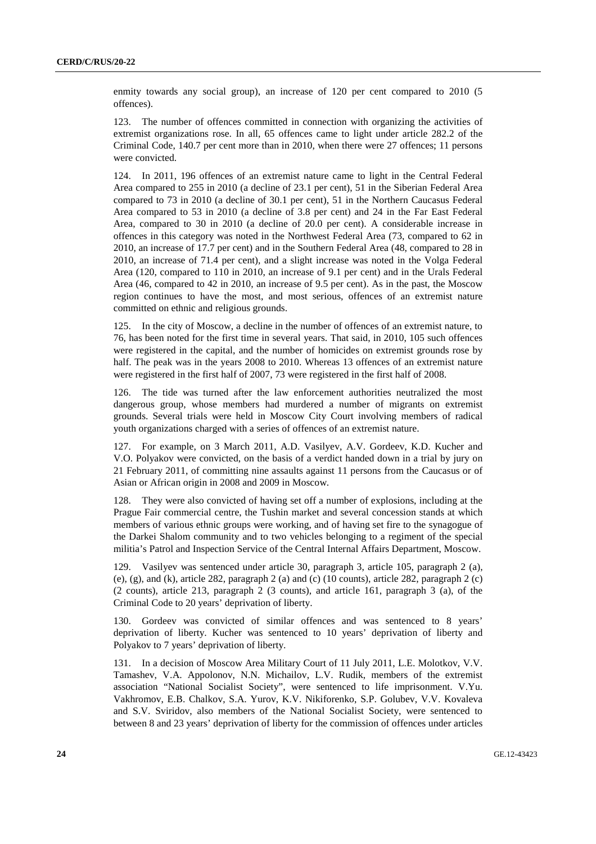enmity towards any social group), an increase of 120 per cent compared to 2010 (5 offences).

123. The number of offences committed in connection with organizing the activities of extremist organizations rose. In all, 65 offences came to light under article 282.2 of the Criminal Code, 140.7 per cent more than in 2010, when there were 27 offences; 11 persons were convicted.

124. In 2011, 196 offences of an extremist nature came to light in the Central Federal Area compared to 255 in 2010 (a decline of 23.1 per cent), 51 in the Siberian Federal Area compared to 73 in 2010 (a decline of 30.1 per cent), 51 in the Northern Caucasus Federal Area compared to 53 in 2010 (a decline of 3.8 per cent) and 24 in the Far East Federal Area, compared to 30 in 2010 (a decline of 20.0 per cent). A considerable increase in offences in this category was noted in the Northwest Federal Area (73, compared to 62 in 2010, an increase of 17.7 per cent) and in the Southern Federal Area (48, compared to 28 in 2010, an increase of 71.4 per cent), and a slight increase was noted in the Volga Federal Area (120, compared to 110 in 2010, an increase of 9.1 per cent) and in the Urals Federal Area (46, compared to 42 in 2010, an increase of 9.5 per cent). As in the past, the Moscow region continues to have the most, and most serious, offences of an extremist nature committed on ethnic and religious grounds.

125. In the city of Moscow, a decline in the number of offences of an extremist nature, to 76, has been noted for the first time in several years. That said, in 2010, 105 such offences were registered in the capital, and the number of homicides on extremist grounds rose by half. The peak was in the years 2008 to 2010. Whereas 13 offences of an extremist nature were registered in the first half of 2007, 73 were registered in the first half of 2008.

126. The tide was turned after the law enforcement authorities neutralized the most dangerous group, whose members had murdered a number of migrants on extremist grounds. Several trials were held in Moscow City Court involving members of radical youth organizations charged with a series of offences of an extremist nature.

127. For example, on 3 March 2011, A.D. Vasilyev, A.V. Gordeev, K.D. Kucher and V.O. Polyakov were convicted, on the basis of a verdict handed down in a trial by jury on 21 February 2011, of committing nine assaults against 11 persons from the Caucasus or of Asian or African origin in 2008 and 2009 in Moscow.

128. They were also convicted of having set off a number of explosions, including at the Prague Fair commercial centre, the Tushin market and several concession stands at which members of various ethnic groups were working, and of having set fire to the synagogue of the Darkei Shalom community and to two vehicles belonging to a regiment of the special militia's Patrol and Inspection Service of the Central Internal Affairs Department, Moscow.

129. Vasilyev was sentenced under article 30, paragraph 3, article 105, paragraph 2 (a), (e), (g), and (k), article 282, paragraph 2 (a) and (c)  $(10 \text{ counts})$ , article 282, paragraph 2 (c) (2 counts), article 213, paragraph 2 (3 counts), and article 161, paragraph 3 (a), of the Criminal Code to 20 years' deprivation of liberty.

130. Gordeev was convicted of similar offences and was sentenced to 8 years' deprivation of liberty. Kucher was sentenced to 10 years' deprivation of liberty and Polyakov to 7 years' deprivation of liberty.

131. In a decision of Moscow Area Military Court of 11 July 2011, L.E. Molotkov, V.V. Tamashev, V.A. Appolonov, N.N. Michailov, L.V. Rudik, members of the extremist association "National Socialist Society", were sentenced to life imprisonment. V.Yu. Vakhromov, E.B. Chalkov, S.A. Yurov, K.V. Nikiforenko, S.P. Golubev, V.V. Kovaleva and S.V. Sviridov, also members of the National Socialist Society, were sentenced to between 8 and 23 years' deprivation of liberty for the commission of offences under articles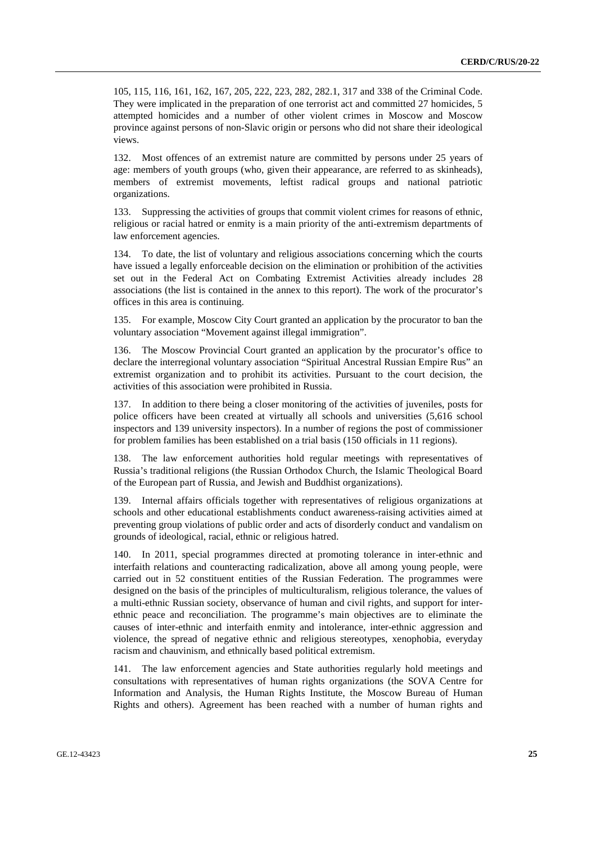105, 115, 116, 161, 162, 167, 205, 222, 223, 282, 282.1, 317 and 338 of the Criminal Code. They were implicated in the preparation of one terrorist act and committed 27 homicides, 5 attempted homicides and a number of other violent crimes in Moscow and Moscow province against persons of non-Slavic origin or persons who did not share their ideological views.

132. Most offences of an extremist nature are committed by persons under 25 years of age: members of youth groups (who, given their appearance, are referred to as skinheads), members of extremist movements, leftist radical groups and national patriotic organizations.

133. Suppressing the activities of groups that commit violent crimes for reasons of ethnic, religious or racial hatred or enmity is a main priority of the anti-extremism departments of law enforcement agencies.

134. To date, the list of voluntary and religious associations concerning which the courts have issued a legally enforceable decision on the elimination or prohibition of the activities set out in the Federal Act on Combating Extremist Activities already includes 28 associations (the list is contained in the annex to this report). The work of the procurator's offices in this area is continuing.

135. For example, Moscow City Court granted an application by the procurator to ban the voluntary association "Movement against illegal immigration".

136. The Moscow Provincial Court granted an application by the procurator's office to declare the interregional voluntary association "Spiritual Ancestral Russian Empire Rus" an extremist organization and to prohibit its activities. Pursuant to the court decision, the activities of this association were prohibited in Russia.

137. In addition to there being a closer monitoring of the activities of juveniles, posts for police officers have been created at virtually all schools and universities (5,616 school inspectors and 139 university inspectors). In a number of regions the post of commissioner for problem families has been established on a trial basis (150 officials in 11 regions).

138. The law enforcement authorities hold regular meetings with representatives of Russia's traditional religions (the Russian Orthodox Church, the Islamic Theological Board of the European part of Russia, and Jewish and Buddhist organizations).

139. Internal affairs officials together with representatives of religious organizations at schools and other educational establishments conduct awareness-raising activities aimed at preventing group violations of public order and acts of disorderly conduct and vandalism on grounds of ideological, racial, ethnic or religious hatred.

140. In 2011, special programmes directed at promoting tolerance in inter-ethnic and interfaith relations and counteracting radicalization, above all among young people, were carried out in 52 constituent entities of the Russian Federation. The programmes were designed on the basis of the principles of multiculturalism, religious tolerance, the values of a multi-ethnic Russian society, observance of human and civil rights, and support for interethnic peace and reconciliation. The programme's main objectives are to eliminate the causes of inter-ethnic and interfaith enmity and intolerance, inter-ethnic aggression and violence, the spread of negative ethnic and religious stereotypes, xenophobia, everyday racism and chauvinism, and ethnically based political extremism.

141. The law enforcement agencies and State authorities regularly hold meetings and consultations with representatives of human rights organizations (the SOVA Centre for Information and Analysis, the Human Rights Institute, the Moscow Bureau of Human Rights and others). Agreement has been reached with a number of human rights and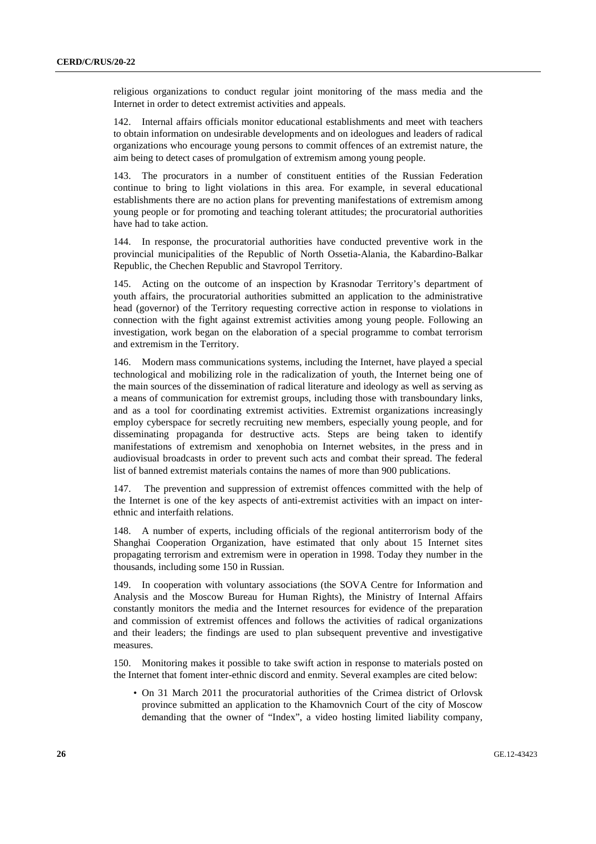religious organizations to conduct regular joint monitoring of the mass media and the Internet in order to detect extremist activities and appeals.

142. Internal affairs officials monitor educational establishments and meet with teachers to obtain information on undesirable developments and on ideologues and leaders of radical organizations who encourage young persons to commit offences of an extremist nature, the aim being to detect cases of promulgation of extremism among young people.

143. The procurators in a number of constituent entities of the Russian Federation continue to bring to light violations in this area. For example, in several educational establishments there are no action plans for preventing manifestations of extremism among young people or for promoting and teaching tolerant attitudes; the procuratorial authorities have had to take action.

144. In response, the procuratorial authorities have conducted preventive work in the provincial municipalities of the Republic of North Ossetia-Alania, the Kabardino-Balkar Republic, the Chechen Republic and Stavropol Territory.

145. Acting on the outcome of an inspection by Krasnodar Territory's department of youth affairs, the procuratorial authorities submitted an application to the administrative head (governor) of the Territory requesting corrective action in response to violations in connection with the fight against extremist activities among young people. Following an investigation, work began on the elaboration of a special programme to combat terrorism and extremism in the Territory.

146. Modern mass communications systems, including the Internet, have played a special technological and mobilizing role in the radicalization of youth, the Internet being one of the main sources of the dissemination of radical literature and ideology as well as serving as a means of communication for extremist groups, including those with transboundary links, and as a tool for coordinating extremist activities. Extremist organizations increasingly employ cyberspace for secretly recruiting new members, especially young people, and for disseminating propaganda for destructive acts. Steps are being taken to identify manifestations of extremism and xenophobia on Internet websites, in the press and in audiovisual broadcasts in order to prevent such acts and combat their spread. The federal list of banned extremist materials contains the names of more than 900 publications.

147. The prevention and suppression of extremist offences committed with the help of the Internet is one of the key aspects of anti-extremist activities with an impact on interethnic and interfaith relations.

148. A number of experts, including officials of the regional antiterrorism body of the Shanghai Cooperation Organization, have estimated that only about 15 Internet sites propagating terrorism and extremism were in operation in 1998. Today they number in the thousands, including some 150 in Russian.

149. In cooperation with voluntary associations (the SOVA Centre for Information and Analysis and the Moscow Bureau for Human Rights), the Ministry of Internal Affairs constantly monitors the media and the Internet resources for evidence of the preparation and commission of extremist offences and follows the activities of radical organizations and their leaders; the findings are used to plan subsequent preventive and investigative measures.

150. Monitoring makes it possible to take swift action in response to materials posted on the Internet that foment inter-ethnic discord and enmity. Several examples are cited below:

• On 31 March 2011 the procuratorial authorities of the Crimea district of Orlovsk province submitted an application to the Khamovnich Court of the city of Moscow demanding that the owner of "Index", a video hosting limited liability company,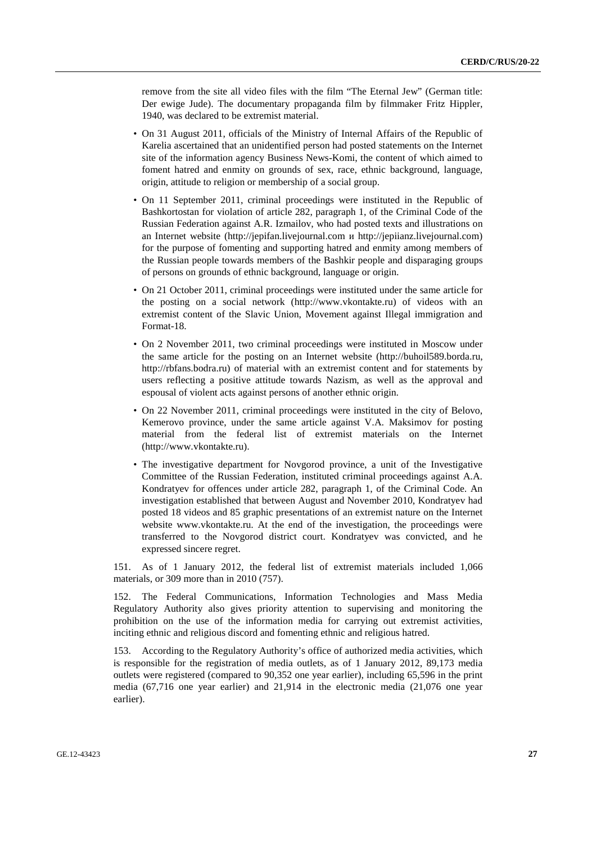remove from the site all video files with the film "The Eternal Jew" (German title: Der ewige Jude). The documentary propaganda film by filmmaker Fritz Hippler, 1940, was declared to be extremist material.

- On 31 August 2011, officials of the Ministry of Internal Affairs of the Republic of Karelia ascertained that an unidentified person had posted statements on the Internet site of the information agency Business News-Komi, the content of which aimed to foment hatred and enmity on grounds of sex, race, ethnic background, language, origin, attitude to religion or membership of a social group.
- On 11 September 2011, criminal proceedings were instituted in the Republic of Bashkortostan for violation of article 282, paragraph 1, of the Criminal Code of the Russian Federation against A.R. Izmailov, who had posted texts and illustrations on an Internet website (http://jepifan.livejournal.com и http://jepiianz.livejournal.com) for the purpose of fomenting and supporting hatred and enmity among members of the Russian people towards members of the Bashkir people and disparaging groups of persons on grounds of ethnic background, language or origin.
- On 21 October 2011, criminal proceedings were instituted under the same article for the posting on a social network (http://www.vkontakte.ru) of videos with an extremist content of the Slavic Union, Movement against Illegal immigration and Format-18.
- On 2 November 2011, two criminal proceedings were instituted in Moscow under the same article for the posting on an Internet website (http://buhoil589.borda.ru, http://rbfans.bodra.ru) of material with an extremist content and for statements by users reflecting a positive attitude towards Nazism, as well as the approval and espousal of violent acts against persons of another ethnic origin.
- On 22 November 2011, criminal proceedings were instituted in the city of Belovo, Kemerovo province, under the same article against V.A. Maksimov for posting material from the federal list of extremist materials on the Internet (http://www.vkontakte.ru).
- The investigative department for Novgorod province, a unit of the Investigative Committee of the Russian Federation, instituted criminal proceedings against A.A. Kondratyev for offences under article 282, paragraph 1, of the Criminal Code. An investigation established that between August and November 2010, Kondratyev had posted 18 videos and 85 graphic presentations of an extremist nature on the Internet website www.vkontakte.ru. At the end of the investigation, the proceedings were transferred to the Novgorod district court. Kondratyev was convicted, and he expressed sincere regret.

151. As of 1 January 2012, the federal list of extremist materials included 1,066 materials, or 309 more than in 2010 (757).

152. The Federal Communications, Information Technologies and Mass Media Regulatory Authority also gives priority attention to supervising and monitoring the prohibition on the use of the information media for carrying out extremist activities, inciting ethnic and religious discord and fomenting ethnic and religious hatred.

153. According to the Regulatory Authority's office of authorized media activities, which is responsible for the registration of media outlets, as of 1 January 2012, 89,173 media outlets were registered (compared to 90,352 one year earlier), including 65,596 in the print media (67,716 one year earlier) and 21,914 in the electronic media (21,076 one year earlier).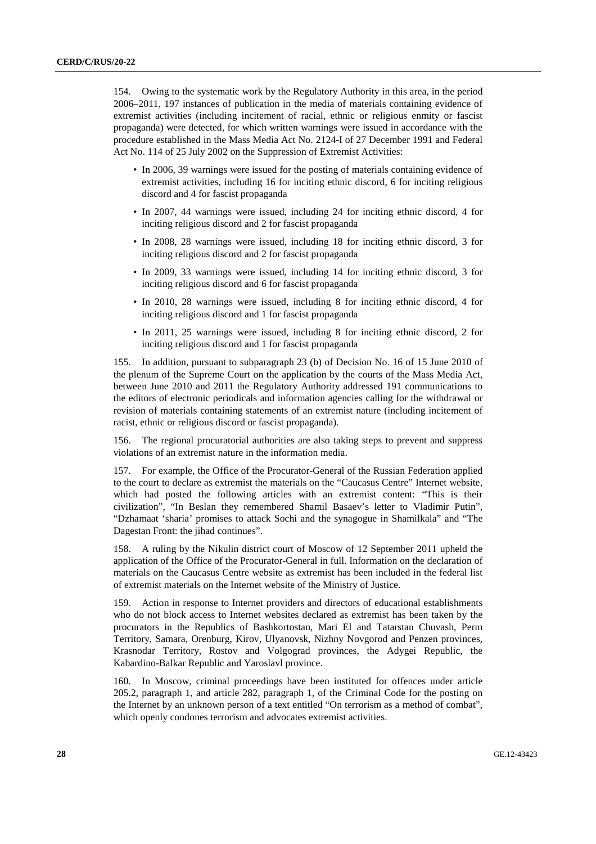154. Owing to the systematic work by the Regulatory Authority in this area, in the period 2006–2011, 197 instances of publication in the media of materials containing evidence of extremist activities (including incitement of racial, ethnic or religious enmity or fascist propaganda) were detected, for which written warnings were issued in accordance with the procedure established in the Mass Media Act No. 2124-I of 27 December 1991 and Federal Act No. 114 of 25 July 2002 on the Suppression of Extremist Activities:

- In 2006, 39 warnings were issued for the posting of materials containing evidence of extremist activities, including 16 for inciting ethnic discord, 6 for inciting religious discord and 4 for fascist propaganda
- In 2007, 44 warnings were issued, including 24 for inciting ethnic discord, 4 for inciting religious discord and 2 for fascist propaganda
- In 2008, 28 warnings were issued, including 18 for inciting ethnic discord, 3 for inciting religious discord and 2 for fascist propaganda
- In 2009, 33 warnings were issued, including 14 for inciting ethnic discord, 3 for inciting religious discord and 6 for fascist propaganda
- In 2010, 28 warnings were issued, including 8 for inciting ethnic discord, 4 for inciting religious discord and 1 for fascist propaganda
- In 2011, 25 warnings were issued, including 8 for inciting ethnic discord, 2 for inciting religious discord and 1 for fascist propaganda

155. In addition, pursuant to subparagraph 23 (b) of Decision No. 16 of 15 June 2010 of the plenum of the Supreme Court on the application by the courts of the Mass Media Act, between June 2010 and 2011 the Regulatory Authority addressed 191 communications to the editors of electronic periodicals and information agencies calling for the withdrawal or revision of materials containing statements of an extremist nature (including incitement of racist, ethnic or religious discord or fascist propaganda).

156. The regional procuratorial authorities are also taking steps to prevent and suppress violations of an extremist nature in the information media.

157. For example, the Office of the Procurator-General of the Russian Federation applied to the court to declare as extremist the materials on the "Caucasus Centre" Internet website, which had posted the following articles with an extremist content: "This is their civilization", "In Beslan they remembered Shamil Basaev's letter to Vladimir Putin", "Dzhamaat 'sharia' promises to attack Sochi and the synagogue in Shamilkala" and "The Dagestan Front: the jihad continues".

158. A ruling by the Nikulin district court of Moscow of 12 September 2011 upheld the application of the Office of the Procurator-General in full. Information on the declaration of materials on the Caucasus Centre website as extremist has been included in the federal list of extremist materials on the Internet website of the Ministry of Justice.

159. Action in response to Internet providers and directors of educational establishments who do not block access to Internet websites declared as extremist has been taken by the procurators in the Republics of Bashkortostan, Mari El and Tatarstan Chuvash, Perm Territory, Samara, Orenburg, Kirov, Ulyanovsk, Nizhny Novgorod and Penzen provinces, Krasnodar Territory, Rostov and Volgograd provinces, the Adygei Republic, the Kabardino-Balkar Republic and Yaroslavl province.

160. In Moscow, criminal proceedings have been instituted for offences under article 205.2, paragraph 1, and article 282, paragraph 1, of the Criminal Code for the posting on the Internet by an unknown person of a text entitled "On terrorism as a method of combat", which openly condones terrorism and advocates extremist activities.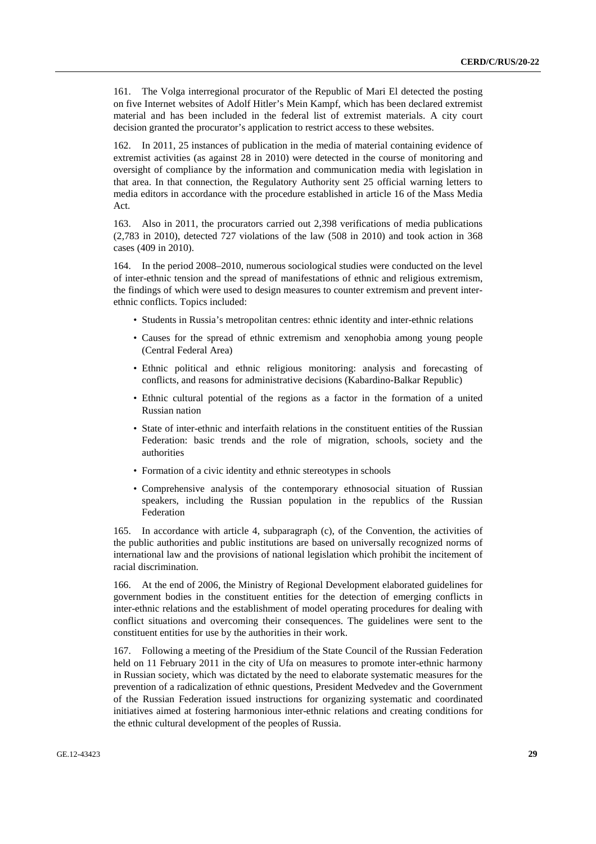161. The Volga interregional procurator of the Republic of Mari El detected the posting on five Internet websites of Adolf Hitler's Mein Kampf, which has been declared extremist material and has been included in the federal list of extremist materials. A city court decision granted the procurator's application to restrict access to these websites.

162. In 2011, 25 instances of publication in the media of material containing evidence of extremist activities (as against 28 in 2010) were detected in the course of monitoring and oversight of compliance by the information and communication media with legislation in that area. In that connection, the Regulatory Authority sent 25 official warning letters to media editors in accordance with the procedure established in article 16 of the Mass Media Act.

163. Also in 2011, the procurators carried out 2,398 verifications of media publications (2,783 in 2010), detected 727 violations of the law (508 in 2010) and took action in 368 cases (409 in 2010).

164. In the period 2008–2010, numerous sociological studies were conducted on the level of inter-ethnic tension and the spread of manifestations of ethnic and religious extremism, the findings of which were used to design measures to counter extremism and prevent interethnic conflicts. Topics included:

- Students in Russia's metropolitan centres: ethnic identity and inter-ethnic relations
- Causes for the spread of ethnic extremism and xenophobia among young people (Central Federal Area)
- Ethnic political and ethnic religious monitoring: analysis and forecasting of conflicts, and reasons for administrative decisions (Kabardino-Balkar Republic)
- Ethnic cultural potential of the regions as a factor in the formation of a united Russian nation
- State of inter-ethnic and interfaith relations in the constituent entities of the Russian Federation: basic trends and the role of migration, schools, society and the authorities
- Formation of a civic identity and ethnic stereotypes in schools
- Comprehensive analysis of the contemporary ethnosocial situation of Russian speakers, including the Russian population in the republics of the Russian Federation

165. In accordance with article 4, subparagraph (c), of the Convention, the activities of the public authorities and public institutions are based on universally recognized norms of international law and the provisions of national legislation which prohibit the incitement of racial discrimination.

166. At the end of 2006, the Ministry of Regional Development elaborated guidelines for government bodies in the constituent entities for the detection of emerging conflicts in inter-ethnic relations and the establishment of model operating procedures for dealing with conflict situations and overcoming their consequences. The guidelines were sent to the constituent entities for use by the authorities in their work.

167. Following a meeting of the Presidium of the State Council of the Russian Federation held on 11 February 2011 in the city of Ufa on measures to promote inter-ethnic harmony in Russian society, which was dictated by the need to elaborate systematic measures for the prevention of a radicalization of ethnic questions, President Medvedev and the Government of the Russian Federation issued instructions for organizing systematic and coordinated initiatives aimed at fostering harmonious inter-ethnic relations and creating conditions for the ethnic cultural development of the peoples of Russia.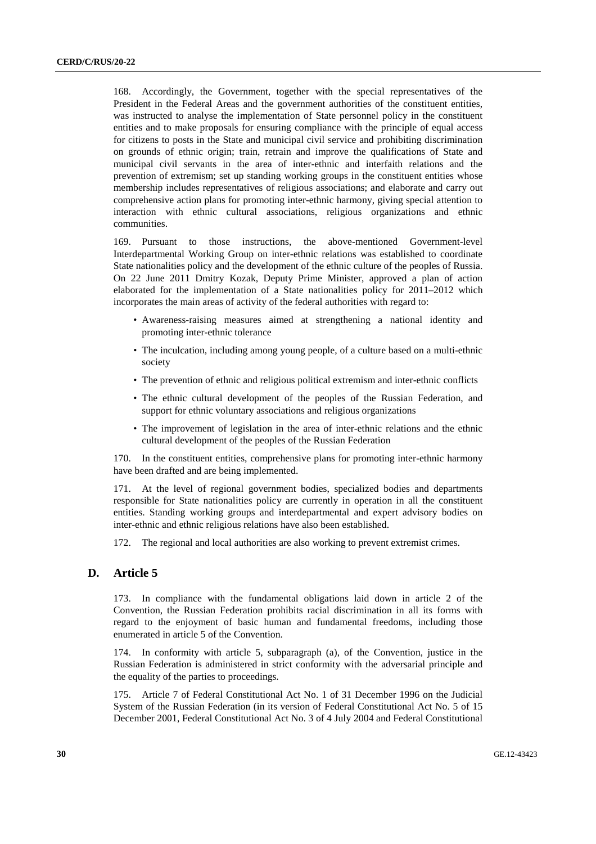168. Accordingly, the Government, together with the special representatives of the President in the Federal Areas and the government authorities of the constituent entities, was instructed to analyse the implementation of State personnel policy in the constituent entities and to make proposals for ensuring compliance with the principle of equal access for citizens to posts in the State and municipal civil service and prohibiting discrimination on grounds of ethnic origin; train, retrain and improve the qualifications of State and municipal civil servants in the area of inter-ethnic and interfaith relations and the prevention of extremism; set up standing working groups in the constituent entities whose membership includes representatives of religious associations; and elaborate and carry out comprehensive action plans for promoting inter-ethnic harmony, giving special attention to interaction with ethnic cultural associations, religious organizations and ethnic communities.

169. Pursuant to those instructions, the above-mentioned Government-level Interdepartmental Working Group on inter-ethnic relations was established to coordinate State nationalities policy and the development of the ethnic culture of the peoples of Russia. On 22 June 2011 Dmitry Kozak, Deputy Prime Minister, approved a plan of action elaborated for the implementation of a State nationalities policy for 2011–2012 which incorporates the main areas of activity of the federal authorities with regard to:

- Awareness-raising measures aimed at strengthening a national identity and promoting inter-ethnic tolerance
- The inculcation, including among young people, of a culture based on a multi-ethnic society
- The prevention of ethnic and religious political extremism and inter-ethnic conflicts
- The ethnic cultural development of the peoples of the Russian Federation, and support for ethnic voluntary associations and religious organizations
- The improvement of legislation in the area of inter-ethnic relations and the ethnic cultural development of the peoples of the Russian Federation

170. In the constituent entities, comprehensive plans for promoting inter-ethnic harmony have been drafted and are being implemented.

171. At the level of regional government bodies, specialized bodies and departments responsible for State nationalities policy are currently in operation in all the constituent entities. Standing working groups and interdepartmental and expert advisory bodies on inter-ethnic and ethnic religious relations have also been established.

172. The regional and local authorities are also working to prevent extremist crimes.

#### **D. Article 5**

173. In compliance with the fundamental obligations laid down in article 2 of the Convention, the Russian Federation prohibits racial discrimination in all its forms with regard to the enjoyment of basic human and fundamental freedoms, including those enumerated in article 5 of the Convention.

174. In conformity with article 5, subparagraph (a), of the Convention, justice in the Russian Federation is administered in strict conformity with the adversarial principle and the equality of the parties to proceedings.

175. Article 7 of Federal Constitutional Act No. 1 of 31 December 1996 on the Judicial System of the Russian Federation (in its version of Federal Constitutional Act No. 5 of 15 December 2001, Federal Constitutional Act No. 3 of 4 July 2004 and Federal Constitutional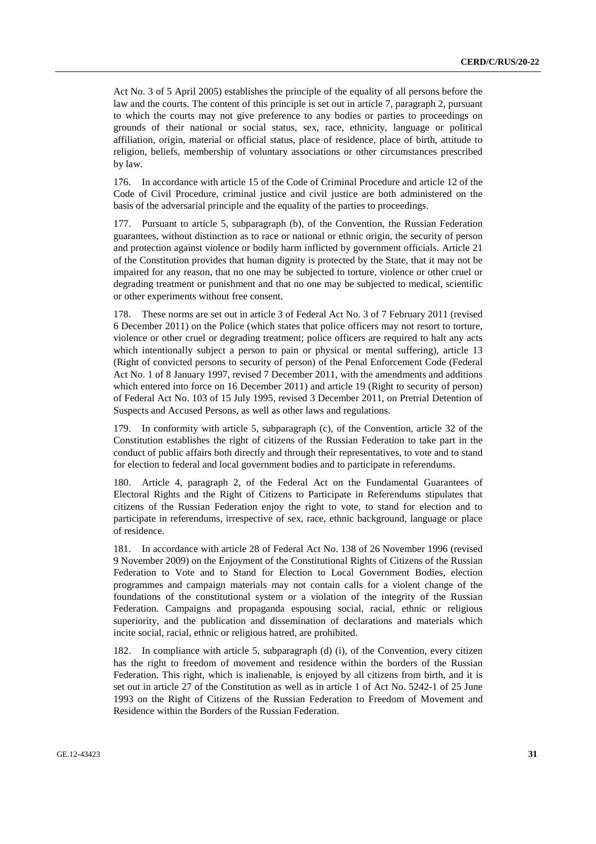Act No. 3 of 5 April 2005) establishes the principle of the equality of all persons before the law and the courts. The content of this principle is set out in article 7, paragraph 2, pursuant to which the courts may not give preference to any bodies or parties to proceedings on grounds of their national or social status, sex, race, ethnicity, language or political affiliation, origin, material or official status, place of residence, place of birth, attitude to religion, beliefs, membership of voluntary associations or other circumstances prescribed by law.

176. In accordance with article 15 of the Code of Criminal Procedure and article 12 of the Code of Civil Procedure, criminal justice and civil justice are both administered on the basis of the adversarial principle and the equality of the parties to proceedings.

177. Pursuant to article 5, subparagraph (b), of the Convention, the Russian Federation guarantees, without distinction as to race or national or ethnic origin, the security of person and protection against violence or bodily harm inflicted by government officials. Article 21 of the Constitution provides that human dignity is protected by the State, that it may not be impaired for any reason, that no one may be subjected to torture, violence or other cruel or degrading treatment or punishment and that no one may be subjected to medical, scientific or other experiments without free consent.

178. These norms are set out in article 3 of Federal Act No. 3 of 7 February 2011 (revised 6 December 2011) on the Police (which states that police officers may not resort to torture, violence or other cruel or degrading treatment; police officers are required to halt any acts which intentionally subject a person to pain or physical or mental suffering), article 13 (Right of convicted persons to security of person) of the Penal Enforcement Code (Federal Act No. 1 of 8 January 1997, revised 7 December 2011, with the amendments and additions which entered into force on 16 December 2011) and article 19 (Right to security of person) of Federal Act No. 103 of 15 July 1995, revised 3 December 2011, on Pretrial Detention of Suspects and Accused Persons, as well as other laws and regulations.

179. In conformity with article 5, subparagraph (c), of the Convention, article 32 of the Constitution establishes the right of citizens of the Russian Federation to take part in the conduct of public affairs both directly and through their representatives, to vote and to stand for election to federal and local government bodies and to participate in referendums.

180. Article 4, paragraph 2, of the Federal Act on the Fundamental Guarantees of Electoral Rights and the Right of Citizens to Participate in Referendums stipulates that citizens of the Russian Federation enjoy the right to vote, to stand for election and to participate in referendums, irrespective of sex, race, ethnic background, language or place of residence.

181. In accordance with article 28 of Federal Act No. 138 of 26 November 1996 (revised 9 November 2009) on the Enjoyment of the Constitutional Rights of Citizens of the Russian Federation to Vote and to Stand for Election to Local Government Bodies, election programmes and campaign materials may not contain calls for a violent change of the foundations of the constitutional system or a violation of the integrity of the Russian Federation. Campaigns and propaganda espousing social, racial, ethnic or religious superiority, and the publication and dissemination of declarations and materials which incite social, racial, ethnic or religious hatred, are prohibited.

182. In compliance with article 5, subparagraph (d) (i), of the Convention, every citizen has the right to freedom of movement and residence within the borders of the Russian Federation. This right, which is inalienable, is enjoyed by all citizens from birth, and it is set out in article 27 of the Constitution as well as in article 1 of Act No. 5242-1 of 25 June 1993 on the Right of Citizens of the Russian Federation to Freedom of Movement and Residence within the Borders of the Russian Federation.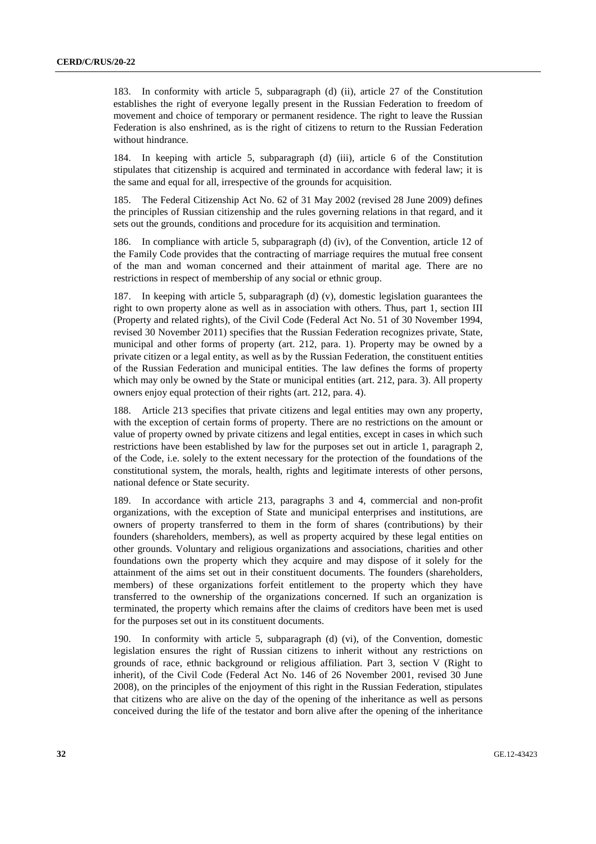183. In conformity with article 5, subparagraph (d) (ii), article 27 of the Constitution establishes the right of everyone legally present in the Russian Federation to freedom of movement and choice of temporary or permanent residence. The right to leave the Russian Federation is also enshrined, as is the right of citizens to return to the Russian Federation without hindrance.

184. In keeping with article 5, subparagraph (d) (iii), article 6 of the Constitution stipulates that citizenship is acquired and terminated in accordance with federal law; it is the same and equal for all, irrespective of the grounds for acquisition.

185. The Federal Citizenship Act No. 62 of 31 May 2002 (revised 28 June 2009) defines the principles of Russian citizenship and the rules governing relations in that regard, and it sets out the grounds, conditions and procedure for its acquisition and termination.

186. In compliance with article 5, subparagraph (d) (iv), of the Convention, article 12 of the Family Code provides that the contracting of marriage requires the mutual free consent of the man and woman concerned and their attainment of marital age. There are no restrictions in respect of membership of any social or ethnic group.

187. In keeping with article 5, subparagraph (d) (v), domestic legislation guarantees the right to own property alone as well as in association with others. Thus, part 1, section III (Property and related rights), of the Civil Code (Federal Act No. 51 of 30 November 1994, revised 30 November 2011) specifies that the Russian Federation recognizes private, State, municipal and other forms of property (art. 212, para. 1). Property may be owned by a private citizen or a legal entity, as well as by the Russian Federation, the constituent entities of the Russian Federation and municipal entities. The law defines the forms of property which may only be owned by the State or municipal entities (art. 212, para. 3). All property owners enjoy equal protection of their rights (art. 212, para. 4).

188. Article 213 specifies that private citizens and legal entities may own any property, with the exception of certain forms of property. There are no restrictions on the amount or value of property owned by private citizens and legal entities, except in cases in which such restrictions have been established by law for the purposes set out in article 1, paragraph 2, of the Code, i.e. solely to the extent necessary for the protection of the foundations of the constitutional system, the morals, health, rights and legitimate interests of other persons, national defence or State security.

189. In accordance with article 213, paragraphs 3 and 4, commercial and non-profit organizations, with the exception of State and municipal enterprises and institutions, are owners of property transferred to them in the form of shares (contributions) by their founders (shareholders, members), as well as property acquired by these legal entities on other grounds. Voluntary and religious organizations and associations, charities and other foundations own the property which they acquire and may dispose of it solely for the attainment of the aims set out in their constituent documents. The founders (shareholders, members) of these organizations forfeit entitlement to the property which they have transferred to the ownership of the organizations concerned. If such an organization is terminated, the property which remains after the claims of creditors have been met is used for the purposes set out in its constituent documents.

190. In conformity with article 5, subparagraph (d) (vi), of the Convention, domestic legislation ensures the right of Russian citizens to inherit without any restrictions on grounds of race, ethnic background or religious affiliation. Part 3, section V (Right to inherit), of the Civil Code (Federal Act No. 146 of 26 November 2001, revised 30 June 2008), on the principles of the enjoyment of this right in the Russian Federation, stipulates that citizens who are alive on the day of the opening of the inheritance as well as persons conceived during the life of the testator and born alive after the opening of the inheritance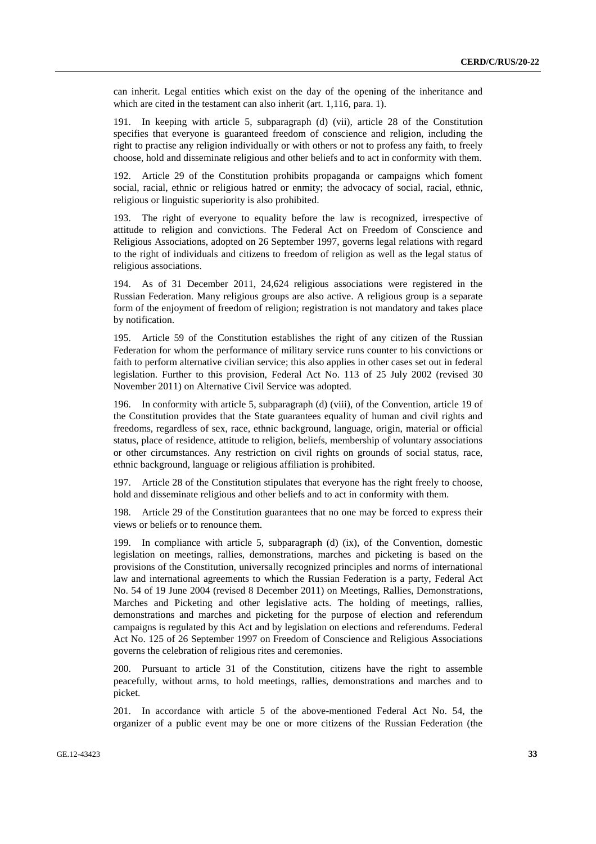can inherit. Legal entities which exist on the day of the opening of the inheritance and which are cited in the testament can also inherit (art. 1,116, para. 1).

191. In keeping with article 5, subparagraph (d) (vii), article 28 of the Constitution specifies that everyone is guaranteed freedom of conscience and religion, including the right to practise any religion individually or with others or not to profess any faith, to freely choose, hold and disseminate religious and other beliefs and to act in conformity with them.

192. Article 29 of the Constitution prohibits propaganda or campaigns which foment social, racial, ethnic or religious hatred or enmity; the advocacy of social, racial, ethnic, religious or linguistic superiority is also prohibited.

193. The right of everyone to equality before the law is recognized, irrespective of attitude to religion and convictions. The Federal Act on Freedom of Conscience and Religious Associations, adopted on 26 September 1997, governs legal relations with regard to the right of individuals and citizens to freedom of religion as well as the legal status of religious associations.

194. As of 31 December 2011, 24,624 religious associations were registered in the Russian Federation. Many religious groups are also active. A religious group is a separate form of the enjoyment of freedom of religion; registration is not mandatory and takes place by notification.

195. Article 59 of the Constitution establishes the right of any citizen of the Russian Federation for whom the performance of military service runs counter to his convictions or faith to perform alternative civilian service; this also applies in other cases set out in federal legislation. Further to this provision, Federal Act No. 113 of 25 July 2002 (revised 30 November 2011) on Alternative Civil Service was adopted.

196. In conformity with article 5, subparagraph (d) (viii), of the Convention, article 19 of the Constitution provides that the State guarantees equality of human and civil rights and freedoms, regardless of sex, race, ethnic background, language, origin, material or official status, place of residence, attitude to religion, beliefs, membership of voluntary associations or other circumstances. Any restriction on civil rights on grounds of social status, race, ethnic background, language or religious affiliation is prohibited.

197. Article 28 of the Constitution stipulates that everyone has the right freely to choose, hold and disseminate religious and other beliefs and to act in conformity with them.

198. Article 29 of the Constitution guarantees that no one may be forced to express their views or beliefs or to renounce them.

199. In compliance with article 5, subparagraph (d) (ix), of the Convention, domestic legislation on meetings, rallies, demonstrations, marches and picketing is based on the provisions of the Constitution, universally recognized principles and norms of international law and international agreements to which the Russian Federation is a party, Federal Act No. 54 of 19 June 2004 (revised 8 December 2011) on Meetings, Rallies, Demonstrations, Marches and Picketing and other legislative acts. The holding of meetings, rallies, demonstrations and marches and picketing for the purpose of election and referendum campaigns is regulated by this Act and by legislation on elections and referendums. Federal Act No. 125 of 26 September 1997 on Freedom of Conscience and Religious Associations governs the celebration of religious rites and ceremonies.

200. Pursuant to article 31 of the Constitution, citizens have the right to assemble peacefully, without arms, to hold meetings, rallies, demonstrations and marches and to picket.

201. In accordance with article 5 of the above-mentioned Federal Act No. 54, the organizer of a public event may be one or more citizens of the Russian Federation (the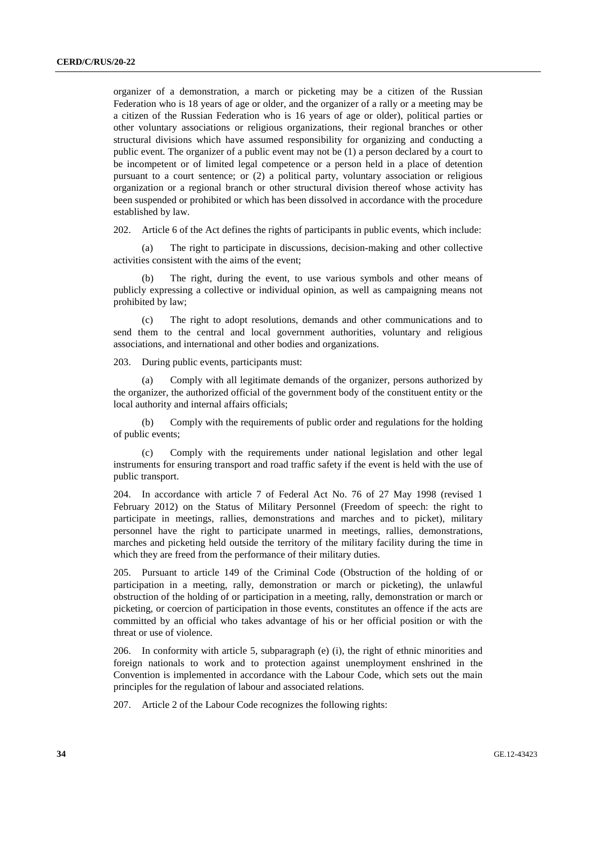organizer of a demonstration, a march or picketing may be a citizen of the Russian Federation who is 18 years of age or older, and the organizer of a rally or a meeting may be a citizen of the Russian Federation who is 16 years of age or older), political parties or other voluntary associations or religious organizations, their regional branches or other structural divisions which have assumed responsibility for organizing and conducting a public event. The organizer of a public event may not be (1) a person declared by a court to be incompetent or of limited legal competence or a person held in a place of detention pursuant to a court sentence; or (2) a political party, voluntary association or religious organization or a regional branch or other structural division thereof whose activity has been suspended or prohibited or which has been dissolved in accordance with the procedure established by law.

202. Article 6 of the Act defines the rights of participants in public events, which include:

 (a) The right to participate in discussions, decision-making and other collective activities consistent with the aims of the event;

The right, during the event, to use various symbols and other means of publicly expressing a collective or individual opinion, as well as campaigning means not prohibited by law;

 (c) The right to adopt resolutions, demands and other communications and to send them to the central and local government authorities, voluntary and religious associations, and international and other bodies and organizations.

203. During public events, participants must:

Comply with all legitimate demands of the organizer, persons authorized by the organizer, the authorized official of the government body of the constituent entity or the local authority and internal affairs officials;

 (b) Comply with the requirements of public order and regulations for the holding of public events;

 (c) Comply with the requirements under national legislation and other legal instruments for ensuring transport and road traffic safety if the event is held with the use of public transport.

204. In accordance with article 7 of Federal Act No. 76 of 27 May 1998 (revised 1 February 2012) on the Status of Military Personnel (Freedom of speech: the right to participate in meetings, rallies, demonstrations and marches and to picket), military personnel have the right to participate unarmed in meetings, rallies, demonstrations, marches and picketing held outside the territory of the military facility during the time in which they are freed from the performance of their military duties.

205. Pursuant to article 149 of the Criminal Code (Obstruction of the holding of or participation in a meeting, rally, demonstration or march or picketing), the unlawful obstruction of the holding of or participation in a meeting, rally, demonstration or march or picketing, or coercion of participation in those events, constitutes an offence if the acts are committed by an official who takes advantage of his or her official position or with the threat or use of violence.

206. In conformity with article 5, subparagraph (e) (i), the right of ethnic minorities and foreign nationals to work and to protection against unemployment enshrined in the Convention is implemented in accordance with the Labour Code, which sets out the main principles for the regulation of labour and associated relations.

207. Article 2 of the Labour Code recognizes the following rights: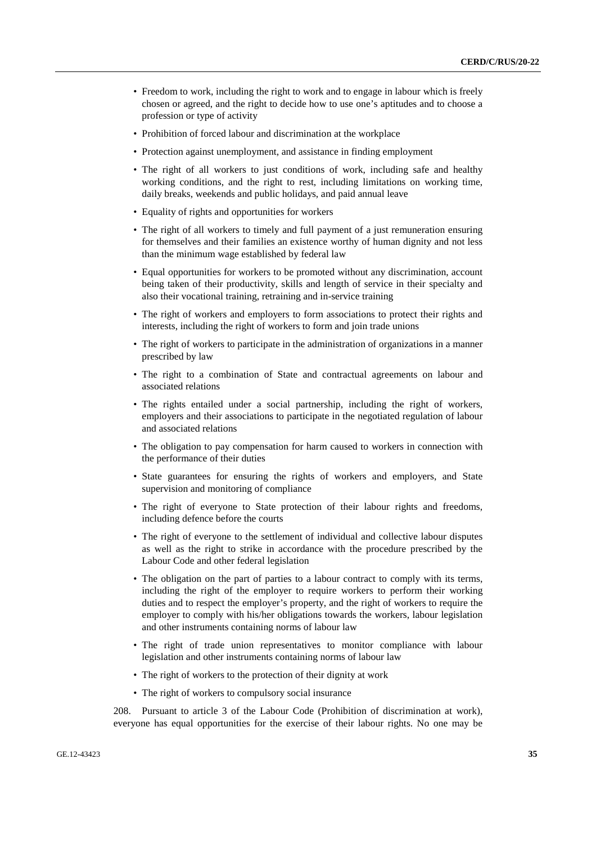- Freedom to work, including the right to work and to engage in labour which is freely chosen or agreed, and the right to decide how to use one's aptitudes and to choose a profession or type of activity
- Prohibition of forced labour and discrimination at the workplace
- Protection against unemployment, and assistance in finding employment
- The right of all workers to just conditions of work, including safe and healthy working conditions, and the right to rest, including limitations on working time, daily breaks, weekends and public holidays, and paid annual leave
- Equality of rights and opportunities for workers
- The right of all workers to timely and full payment of a just remuneration ensuring for themselves and their families an existence worthy of human dignity and not less than the minimum wage established by federal law
- Equal opportunities for workers to be promoted without any discrimination, account being taken of their productivity, skills and length of service in their specialty and also their vocational training, retraining and in-service training
- The right of workers and employers to form associations to protect their rights and interests, including the right of workers to form and join trade unions
- The right of workers to participate in the administration of organizations in a manner prescribed by law
- The right to a combination of State and contractual agreements on labour and associated relations
- The rights entailed under a social partnership, including the right of workers, employers and their associations to participate in the negotiated regulation of labour and associated relations
- The obligation to pay compensation for harm caused to workers in connection with the performance of their duties
- State guarantees for ensuring the rights of workers and employers, and State supervision and monitoring of compliance
- The right of everyone to State protection of their labour rights and freedoms, including defence before the courts
- The right of everyone to the settlement of individual and collective labour disputes as well as the right to strike in accordance with the procedure prescribed by the Labour Code and other federal legislation
- The obligation on the part of parties to a labour contract to comply with its terms, including the right of the employer to require workers to perform their working duties and to respect the employer's property, and the right of workers to require the employer to comply with his/her obligations towards the workers, labour legislation and other instruments containing norms of labour law
- The right of trade union representatives to monitor compliance with labour legislation and other instruments containing norms of labour law
- The right of workers to the protection of their dignity at work
- The right of workers to compulsory social insurance

208. Pursuant to article 3 of the Labour Code (Prohibition of discrimination at work), everyone has equal opportunities for the exercise of their labour rights. No one may be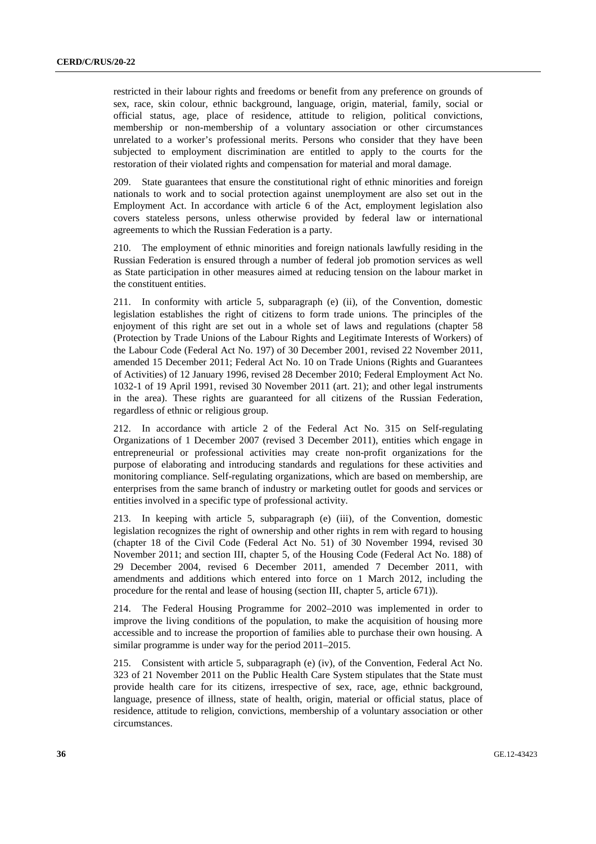restricted in their labour rights and freedoms or benefit from any preference on grounds of sex, race, skin colour, ethnic background, language, origin, material, family, social or official status, age, place of residence, attitude to religion, political convictions, membership or non-membership of a voluntary association or other circumstances unrelated to a worker's professional merits. Persons who consider that they have been subjected to employment discrimination are entitled to apply to the courts for the restoration of their violated rights and compensation for material and moral damage.

209. State guarantees that ensure the constitutional right of ethnic minorities and foreign nationals to work and to social protection against unemployment are also set out in the Employment Act. In accordance with article 6 of the Act, employment legislation also covers stateless persons, unless otherwise provided by federal law or international agreements to which the Russian Federation is a party.

210. The employment of ethnic minorities and foreign nationals lawfully residing in the Russian Federation is ensured through a number of federal job promotion services as well as State participation in other measures aimed at reducing tension on the labour market in the constituent entities.

211. In conformity with article 5, subparagraph (e) (ii), of the Convention, domestic legislation establishes the right of citizens to form trade unions. The principles of the enjoyment of this right are set out in a whole set of laws and regulations (chapter 58 (Protection by Trade Unions of the Labour Rights and Legitimate Interests of Workers) of the Labour Code (Federal Act No. 197) of 30 December 2001, revised 22 November 2011, amended 15 December 2011; Federal Act No. 10 on Trade Unions (Rights and Guarantees of Activities) of 12 January 1996, revised 28 December 2010; Federal Employment Act No. 1032-1 of 19 April 1991, revised 30 November 2011 (art. 21); and other legal instruments in the area). These rights are guaranteed for all citizens of the Russian Federation, regardless of ethnic or religious group.

212. In accordance with article 2 of the Federal Act No. 315 on Self-regulating Organizations of 1 December 2007 (revised 3 December 2011), entities which engage in entrepreneurial or professional activities may create non-profit organizations for the purpose of elaborating and introducing standards and regulations for these activities and monitoring compliance. Self-regulating organizations, which are based on membership, are enterprises from the same branch of industry or marketing outlet for goods and services or entities involved in a specific type of professional activity.

213. In keeping with article 5, subparagraph (e) (iii), of the Convention, domestic legislation recognizes the right of ownership and other rights in rem with regard to housing (chapter 18 of the Civil Code (Federal Act No. 51) of 30 November 1994, revised 30 November 2011; and section III, chapter 5, of the Housing Code (Federal Act No. 188) of 29 December 2004, revised 6 December 2011, amended 7 December 2011, with amendments and additions which entered into force on 1 March 2012, including the procedure for the rental and lease of housing (section III, chapter 5, article 671)).

214. The Federal Housing Programme for 2002–2010 was implemented in order to improve the living conditions of the population, to make the acquisition of housing more accessible and to increase the proportion of families able to purchase their own housing. A similar programme is under way for the period 2011–2015.

215. Consistent with article 5, subparagraph (e) (iv), of the Convention, Federal Act No. 323 of 21 November 2011 on the Public Health Care System stipulates that the State must provide health care for its citizens, irrespective of sex, race, age, ethnic background, language, presence of illness, state of health, origin, material or official status, place of residence, attitude to religion, convictions, membership of a voluntary association or other circumstances.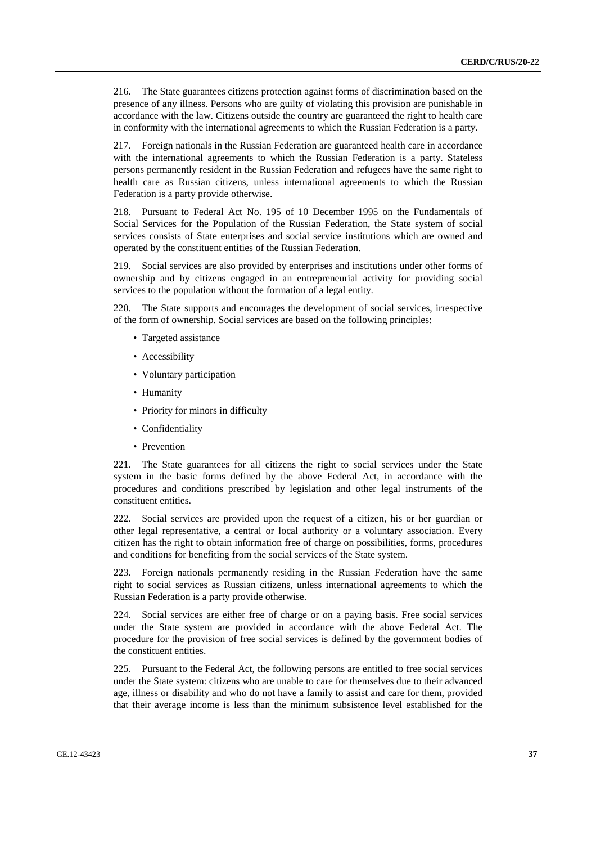216. The State guarantees citizens protection against forms of discrimination based on the presence of any illness. Persons who are guilty of violating this provision are punishable in accordance with the law. Citizens outside the country are guaranteed the right to health care in conformity with the international agreements to which the Russian Federation is a party.

217. Foreign nationals in the Russian Federation are guaranteed health care in accordance with the international agreements to which the Russian Federation is a party. Stateless persons permanently resident in the Russian Federation and refugees have the same right to health care as Russian citizens, unless international agreements to which the Russian Federation is a party provide otherwise.

218. Pursuant to Federal Act No. 195 of 10 December 1995 on the Fundamentals of Social Services for the Population of the Russian Federation, the State system of social services consists of State enterprises and social service institutions which are owned and operated by the constituent entities of the Russian Federation.

219. Social services are also provided by enterprises and institutions under other forms of ownership and by citizens engaged in an entrepreneurial activity for providing social services to the population without the formation of a legal entity.

220. The State supports and encourages the development of social services, irrespective of the form of ownership. Social services are based on the following principles:

- Targeted assistance
- Accessibility
- Voluntary participation
- Humanity
- Priority for minors in difficulty
- Confidentiality
- Prevention

221. The State guarantees for all citizens the right to social services under the State system in the basic forms defined by the above Federal Act, in accordance with the procedures and conditions prescribed by legislation and other legal instruments of the constituent entities.

222. Social services are provided upon the request of a citizen, his or her guardian or other legal representative, a central or local authority or a voluntary association. Every citizen has the right to obtain information free of charge on possibilities, forms, procedures and conditions for benefiting from the social services of the State system.

223. Foreign nationals permanently residing in the Russian Federation have the same right to social services as Russian citizens, unless international agreements to which the Russian Federation is a party provide otherwise.

224. Social services are either free of charge or on a paying basis. Free social services under the State system are provided in accordance with the above Federal Act. The procedure for the provision of free social services is defined by the government bodies of the constituent entities.

225. Pursuant to the Federal Act, the following persons are entitled to free social services under the State system: citizens who are unable to care for themselves due to their advanced age, illness or disability and who do not have a family to assist and care for them, provided that their average income is less than the minimum subsistence level established for the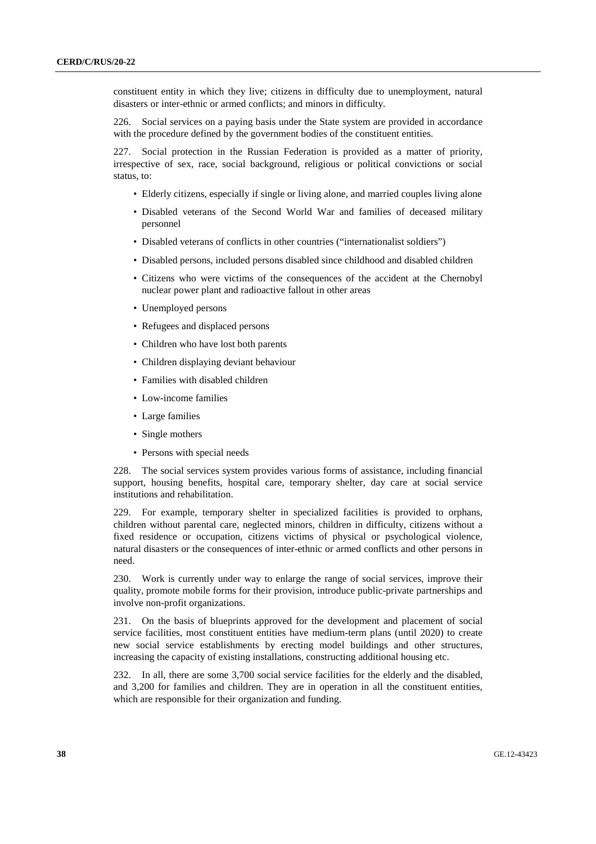constituent entity in which they live; citizens in difficulty due to unemployment, natural disasters or inter-ethnic or armed conflicts; and minors in difficulty.

226. Social services on a paying basis under the State system are provided in accordance with the procedure defined by the government bodies of the constituent entities.

227. Social protection in the Russian Federation is provided as a matter of priority, irrespective of sex, race, social background, religious or political convictions or social status, to:

- Elderly citizens, especially if single or living alone, and married couples living alone
- Disabled veterans of the Second World War and families of deceased military personnel
- Disabled veterans of conflicts in other countries ("internationalist soldiers")
- Disabled persons, included persons disabled since childhood and disabled children
- Citizens who were victims of the consequences of the accident at the Chernobyl nuclear power plant and radioactive fallout in other areas
- Unemployed persons
- Refugees and displaced persons
- Children who have lost both parents
- Children displaying deviant behaviour
- Families with disabled children
- Low-income families
- Large families
- Single mothers
- Persons with special needs

228. The social services system provides various forms of assistance, including financial support, housing benefits, hospital care, temporary shelter, day care at social service institutions and rehabilitation.

229. For example, temporary shelter in specialized facilities is provided to orphans, children without parental care, neglected minors, children in difficulty, citizens without a fixed residence or occupation, citizens victims of physical or psychological violence, natural disasters or the consequences of inter-ethnic or armed conflicts and other persons in need.

230. Work is currently under way to enlarge the range of social services, improve their quality, promote mobile forms for their provision, introduce public-private partnerships and involve non-profit organizations.

231. On the basis of blueprints approved for the development and placement of social service facilities, most constituent entities have medium-term plans (until 2020) to create new social service establishments by erecting model buildings and other structures, increasing the capacity of existing installations, constructing additional housing etc.

232. In all, there are some 3,700 social service facilities for the elderly and the disabled, and 3,200 for families and children. They are in operation in all the constituent entities, which are responsible for their organization and funding.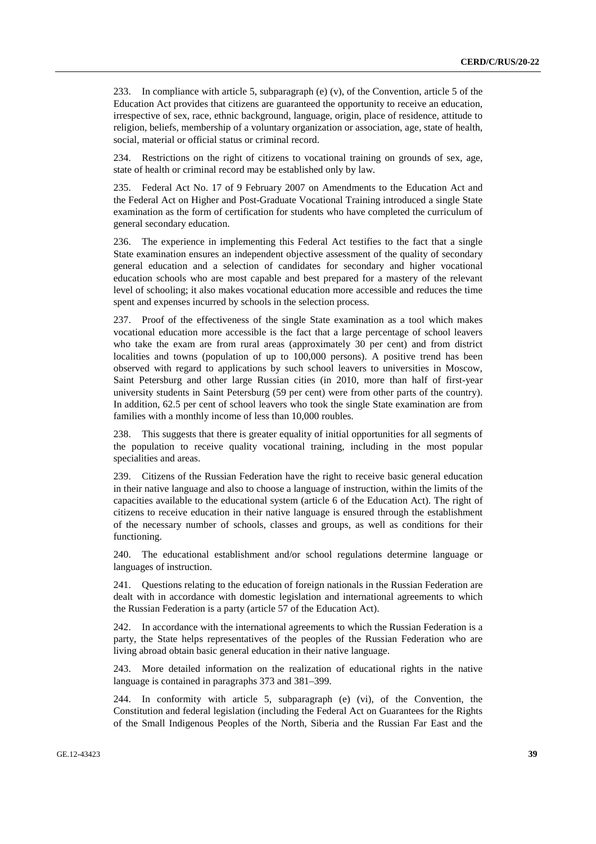233. In compliance with article 5, subparagraph (e) (v), of the Convention, article 5 of the Education Act provides that citizens are guaranteed the opportunity to receive an education, irrespective of sex, race, ethnic background, language, origin, place of residence, attitude to religion, beliefs, membership of a voluntary organization or association, age, state of health, social, material or official status or criminal record.

234. Restrictions on the right of citizens to vocational training on grounds of sex, age, state of health or criminal record may be established only by law.

235. Federal Act No. 17 of 9 February 2007 on Amendments to the Education Act and the Federal Act on Higher and Post-Graduate Vocational Training introduced a single State examination as the form of certification for students who have completed the curriculum of general secondary education.

236. The experience in implementing this Federal Act testifies to the fact that a single State examination ensures an independent objective assessment of the quality of secondary general education and a selection of candidates for secondary and higher vocational education schools who are most capable and best prepared for a mastery of the relevant level of schooling; it also makes vocational education more accessible and reduces the time spent and expenses incurred by schools in the selection process.

237. Proof of the effectiveness of the single State examination as a tool which makes vocational education more accessible is the fact that a large percentage of school leavers who take the exam are from rural areas (approximately 30 per cent) and from district localities and towns (population of up to 100,000 persons). A positive trend has been observed with regard to applications by such school leavers to universities in Moscow, Saint Petersburg and other large Russian cities (in 2010, more than half of first-year university students in Saint Petersburg (59 per cent) were from other parts of the country). In addition, 62.5 per cent of school leavers who took the single State examination are from families with a monthly income of less than 10,000 roubles.

238. This suggests that there is greater equality of initial opportunities for all segments of the population to receive quality vocational training, including in the most popular specialities and areas.

239. Citizens of the Russian Federation have the right to receive basic general education in their native language and also to choose a language of instruction, within the limits of the capacities available to the educational system (article 6 of the Education Act). The right of citizens to receive education in their native language is ensured through the establishment of the necessary number of schools, classes and groups, as well as conditions for their functioning.

240. The educational establishment and/or school regulations determine language or languages of instruction.

241. Questions relating to the education of foreign nationals in the Russian Federation are dealt with in accordance with domestic legislation and international agreements to which the Russian Federation is a party (article 57 of the Education Act).

242. In accordance with the international agreements to which the Russian Federation is a party, the State helps representatives of the peoples of the Russian Federation who are living abroad obtain basic general education in their native language.

243. More detailed information on the realization of educational rights in the native language is contained in paragraphs 373 and 381–399.

244. In conformity with article 5, subparagraph (e) (vi), of the Convention, the Constitution and federal legislation (including the Federal Act on Guarantees for the Rights of the Small Indigenous Peoples of the North, Siberia and the Russian Far East and the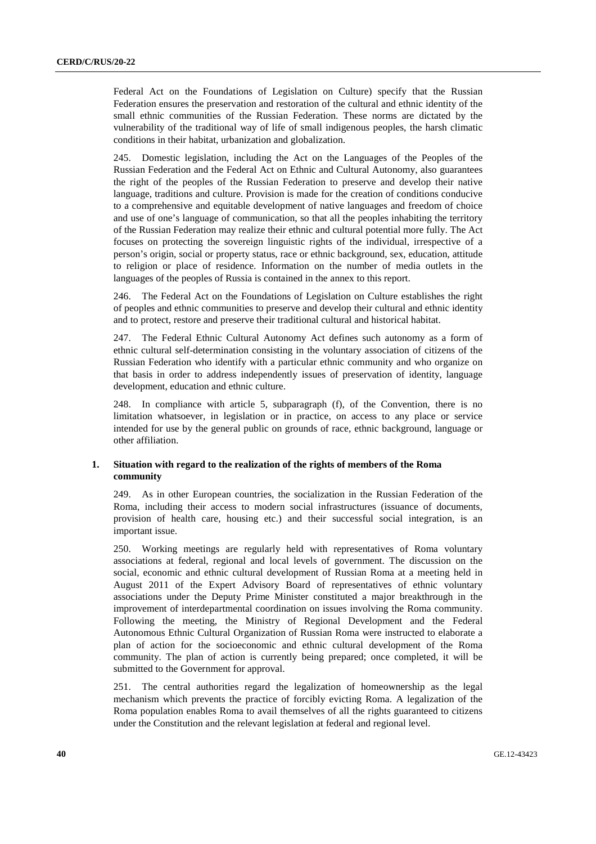Federal Act on the Foundations of Legislation on Culture) specify that the Russian Federation ensures the preservation and restoration of the cultural and ethnic identity of the small ethnic communities of the Russian Federation. These norms are dictated by the vulnerability of the traditional way of life of small indigenous peoples, the harsh climatic conditions in their habitat, urbanization and globalization.

245. Domestic legislation, including the Act on the Languages of the Peoples of the Russian Federation and the Federal Act on Ethnic and Cultural Autonomy, also guarantees the right of the peoples of the Russian Federation to preserve and develop their native language, traditions and culture. Provision is made for the creation of conditions conducive to a comprehensive and equitable development of native languages and freedom of choice and use of one's language of communication, so that all the peoples inhabiting the territory of the Russian Federation may realize their ethnic and cultural potential more fully. The Act focuses on protecting the sovereign linguistic rights of the individual, irrespective of a person's origin, social or property status, race or ethnic background, sex, education, attitude to religion or place of residence. Information on the number of media outlets in the languages of the peoples of Russia is contained in the annex to this report.

246. The Federal Act on the Foundations of Legislation on Culture establishes the right of peoples and ethnic communities to preserve and develop their cultural and ethnic identity and to protect, restore and preserve their traditional cultural and historical habitat.

247. The Federal Ethnic Cultural Autonomy Act defines such autonomy as a form of ethnic cultural self-determination consisting in the voluntary association of citizens of the Russian Federation who identify with a particular ethnic community and who organize on that basis in order to address independently issues of preservation of identity, language development, education and ethnic culture.

248. In compliance with article 5, subparagraph (f), of the Convention, there is no limitation whatsoever, in legislation or in practice, on access to any place or service intended for use by the general public on grounds of race, ethnic background, language or other affiliation.

#### **1. Situation with regard to the realization of the rights of members of the Roma community**

249. As in other European countries, the socialization in the Russian Federation of the Roma, including their access to modern social infrastructures (issuance of documents, provision of health care, housing etc.) and their successful social integration, is an important issue.

250. Working meetings are regularly held with representatives of Roma voluntary associations at federal, regional and local levels of government. The discussion on the social, economic and ethnic cultural development of Russian Roma at a meeting held in August 2011 of the Expert Advisory Board of representatives of ethnic voluntary associations under the Deputy Prime Minister constituted a major breakthrough in the improvement of interdepartmental coordination on issues involving the Roma community. Following the meeting, the Ministry of Regional Development and the Federal Autonomous Ethnic Cultural Organization of Russian Roma were instructed to elaborate a plan of action for the socioeconomic and ethnic cultural development of the Roma community. The plan of action is currently being prepared; once completed, it will be submitted to the Government for approval.

251. The central authorities regard the legalization of homeownership as the legal mechanism which prevents the practice of forcibly evicting Roma. A legalization of the Roma population enables Roma to avail themselves of all the rights guaranteed to citizens under the Constitution and the relevant legislation at federal and regional level.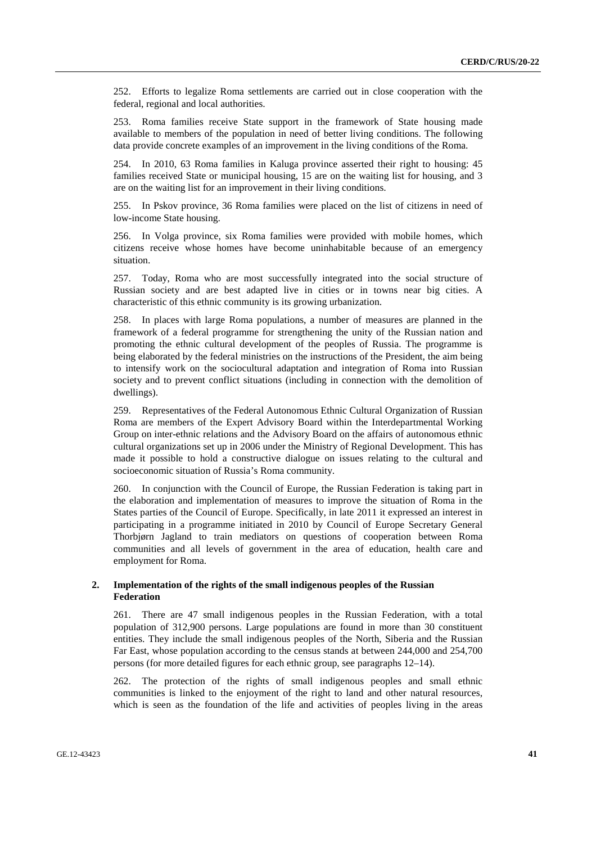252. Efforts to legalize Roma settlements are carried out in close cooperation with the federal, regional and local authorities.

253. Roma families receive State support in the framework of State housing made available to members of the population in need of better living conditions. The following data provide concrete examples of an improvement in the living conditions of the Roma.

254. In 2010, 63 Roma families in Kaluga province asserted their right to housing: 45 families received State or municipal housing, 15 are on the waiting list for housing, and 3 are on the waiting list for an improvement in their living conditions.

255. In Pskov province, 36 Roma families were placed on the list of citizens in need of low-income State housing.

256. In Volga province, six Roma families were provided with mobile homes, which citizens receive whose homes have become uninhabitable because of an emergency situation.

257. Today, Roma who are most successfully integrated into the social structure of Russian society and are best adapted live in cities or in towns near big cities. A characteristic of this ethnic community is its growing urbanization.

258. In places with large Roma populations, a number of measures are planned in the framework of a federal programme for strengthening the unity of the Russian nation and promoting the ethnic cultural development of the peoples of Russia. The programme is being elaborated by the federal ministries on the instructions of the President, the aim being to intensify work on the sociocultural adaptation and integration of Roma into Russian society and to prevent conflict situations (including in connection with the demolition of dwellings).

259. Representatives of the Federal Autonomous Ethnic Cultural Organization of Russian Roma are members of the Expert Advisory Board within the Interdepartmental Working Group on inter-ethnic relations and the Advisory Board on the affairs of autonomous ethnic cultural organizations set up in 2006 under the Ministry of Regional Development. This has made it possible to hold a constructive dialogue on issues relating to the cultural and socioeconomic situation of Russia's Roma community.

260. In conjunction with the Council of Europe, the Russian Federation is taking part in the elaboration and implementation of measures to improve the situation of Roma in the States parties of the Council of Europe. Specifically, in late 2011 it expressed an interest in participating in a programme initiated in 2010 by Council of Europe Secretary General Thorbjørn Jagland to train mediators on questions of cooperation between Roma communities and all levels of government in the area of education, health care and employment for Roma.

## **2. Implementation of the rights of the small indigenous peoples of the Russian Federation**

261. There are 47 small indigenous peoples in the Russian Federation, with a total population of 312,900 persons. Large populations are found in more than 30 constituent entities. They include the small indigenous peoples of the North, Siberia and the Russian Far East, whose population according to the census stands at between 244,000 and 254,700 persons (for more detailed figures for each ethnic group, see paragraphs 12–14).

262. The protection of the rights of small indigenous peoples and small ethnic communities is linked to the enjoyment of the right to land and other natural resources, which is seen as the foundation of the life and activities of peoples living in the areas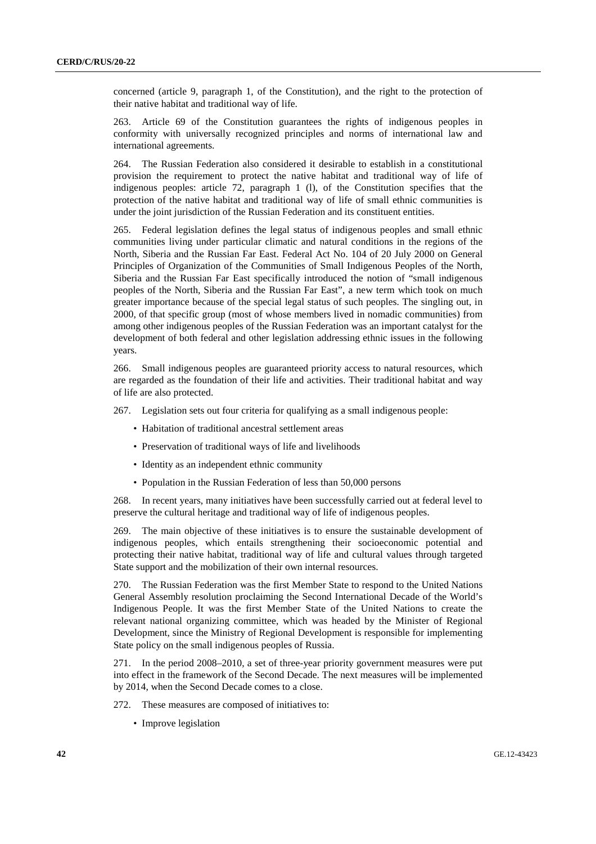concerned (article 9, paragraph 1, of the Constitution), and the right to the protection of their native habitat and traditional way of life.

263. Article 69 of the Constitution guarantees the rights of indigenous peoples in conformity with universally recognized principles and norms of international law and international agreements.

264. The Russian Federation also considered it desirable to establish in a constitutional provision the requirement to protect the native habitat and traditional way of life of indigenous peoples: article 72, paragraph 1 (l), of the Constitution specifies that the protection of the native habitat and traditional way of life of small ethnic communities is under the joint jurisdiction of the Russian Federation and its constituent entities.

265. Federal legislation defines the legal status of indigenous peoples and small ethnic communities living under particular climatic and natural conditions in the regions of the North, Siberia and the Russian Far East. Federal Act No. 104 of 20 July 2000 on General Principles of Organization of the Communities of Small Indigenous Peoples of the North, Siberia and the Russian Far East specifically introduced the notion of "small indigenous peoples of the North, Siberia and the Russian Far East", a new term which took on much greater importance because of the special legal status of such peoples. The singling out, in 2000, of that specific group (most of whose members lived in nomadic communities) from among other indigenous peoples of the Russian Federation was an important catalyst for the development of both federal and other legislation addressing ethnic issues in the following years.

266. Small indigenous peoples are guaranteed priority access to natural resources, which are regarded as the foundation of their life and activities. Their traditional habitat and way of life are also protected.

267. Legislation sets out four criteria for qualifying as a small indigenous people:

- Habitation of traditional ancestral settlement areas
- Preservation of traditional ways of life and livelihoods
- Identity as an independent ethnic community
- Population in the Russian Federation of less than 50,000 persons

268. In recent years, many initiatives have been successfully carried out at federal level to preserve the cultural heritage and traditional way of life of indigenous peoples.

269. The main objective of these initiatives is to ensure the sustainable development of indigenous peoples, which entails strengthening their socioeconomic potential and protecting their native habitat, traditional way of life and cultural values through targeted State support and the mobilization of their own internal resources.

270. The Russian Federation was the first Member State to respond to the United Nations General Assembly resolution proclaiming the Second International Decade of the World's Indigenous People. It was the first Member State of the United Nations to create the relevant national organizing committee, which was headed by the Minister of Regional Development, since the Ministry of Regional Development is responsible for implementing State policy on the small indigenous peoples of Russia.

271. In the period 2008–2010, a set of three-year priority government measures were put into effect in the framework of the Second Decade. The next measures will be implemented by 2014, when the Second Decade comes to a close.

- 272. These measures are composed of initiatives to:
	- Improve legislation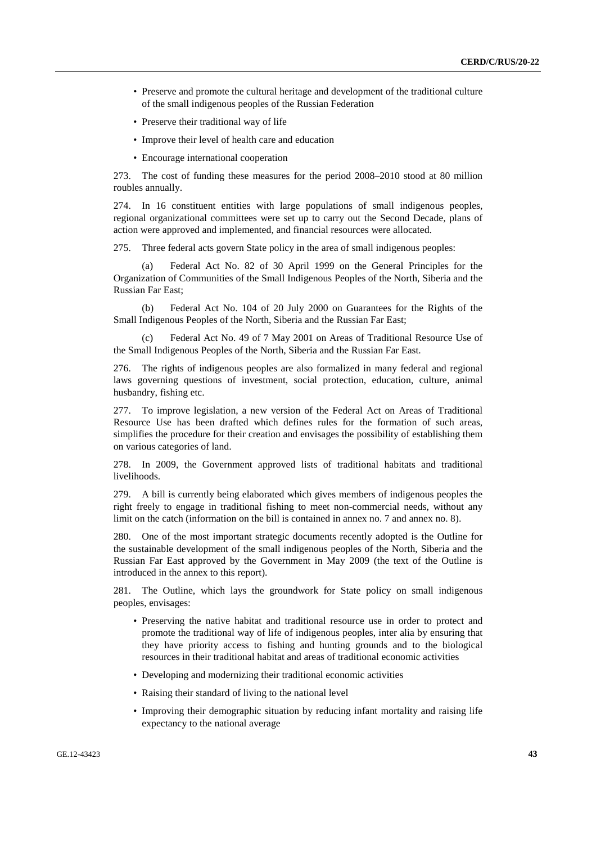- Preserve and promote the cultural heritage and development of the traditional culture of the small indigenous peoples of the Russian Federation
- Preserve their traditional way of life
- Improve their level of health care and education
- Encourage international cooperation

273. The cost of funding these measures for the period 2008–2010 stood at 80 million roubles annually.

274. In 16 constituent entities with large populations of small indigenous peoples, regional organizational committees were set up to carry out the Second Decade, plans of action were approved and implemented, and financial resources were allocated.

275. Three federal acts govern State policy in the area of small indigenous peoples:

 (a) Federal Act No. 82 of 30 April 1999 on the General Principles for the Organization of Communities of the Small Indigenous Peoples of the North, Siberia and the Russian Far East;

 (b) Federal Act No. 104 of 20 July 2000 on Guarantees for the Rights of the Small Indigenous Peoples of the North, Siberia and the Russian Far East;

 (c) Federal Act No. 49 of 7 May 2001 on Areas of Traditional Resource Use of the Small Indigenous Peoples of the North, Siberia and the Russian Far East.

276. The rights of indigenous peoples are also formalized in many federal and regional laws governing questions of investment, social protection, education, culture, animal husbandry, fishing etc.

277. To improve legislation, a new version of the Federal Act on Areas of Traditional Resource Use has been drafted which defines rules for the formation of such areas, simplifies the procedure for their creation and envisages the possibility of establishing them on various categories of land.

278. In 2009, the Government approved lists of traditional habitats and traditional livelihoods.

279. A bill is currently being elaborated which gives members of indigenous peoples the right freely to engage in traditional fishing to meet non-commercial needs, without any limit on the catch (information on the bill is contained in annex no. 7 and annex no. 8).

280. One of the most important strategic documents recently adopted is the Outline for the sustainable development of the small indigenous peoples of the North, Siberia and the Russian Far East approved by the Government in May 2009 (the text of the Outline is introduced in the annex to this report).

281. The Outline, which lays the groundwork for State policy on small indigenous peoples, envisages:

- Preserving the native habitat and traditional resource use in order to protect and promote the traditional way of life of indigenous peoples, inter alia by ensuring that they have priority access to fishing and hunting grounds and to the biological resources in their traditional habitat and areas of traditional economic activities
- Developing and modernizing their traditional economic activities
- Raising their standard of living to the national level
- Improving their demographic situation by reducing infant mortality and raising life expectancy to the national average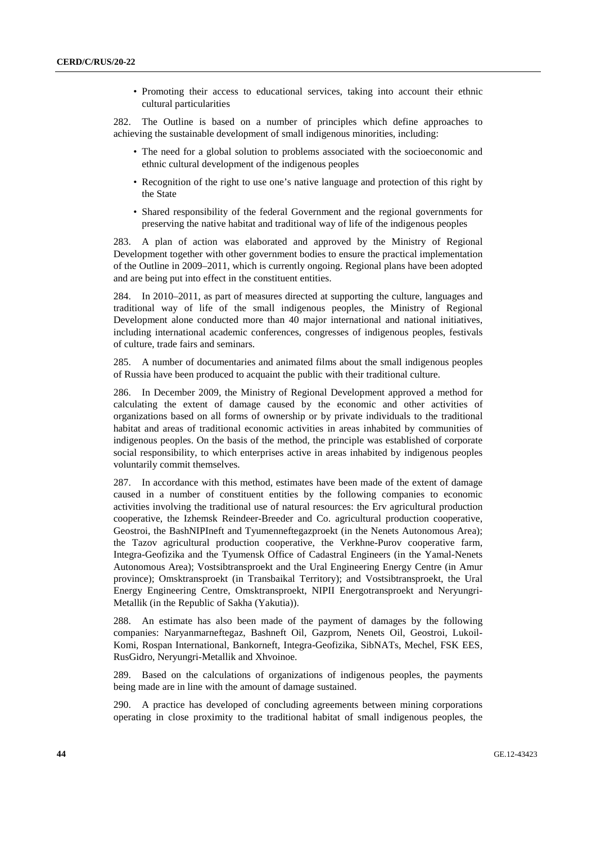• Promoting their access to educational services, taking into account their ethnic cultural particularities

282. The Outline is based on a number of principles which define approaches to achieving the sustainable development of small indigenous minorities, including:

- The need for a global solution to problems associated with the socioeconomic and ethnic cultural development of the indigenous peoples
- Recognition of the right to use one's native language and protection of this right by the State
- Shared responsibility of the federal Government and the regional governments for preserving the native habitat and traditional way of life of the indigenous peoples

283. A plan of action was elaborated and approved by the Ministry of Regional Development together with other government bodies to ensure the practical implementation of the Outline in 2009–2011, which is currently ongoing. Regional plans have been adopted and are being put into effect in the constituent entities.

284. In 2010–2011, as part of measures directed at supporting the culture, languages and traditional way of life of the small indigenous peoples, the Ministry of Regional Development alone conducted more than 40 major international and national initiatives, including international academic conferences, congresses of indigenous peoples, festivals of culture, trade fairs and seminars.

285. A number of documentaries and animated films about the small indigenous peoples of Russia have been produced to acquaint the public with their traditional culture.

286. In December 2009, the Ministry of Regional Development approved a method for calculating the extent of damage caused by the economic and other activities of organizations based on all forms of ownership or by private individuals to the traditional habitat and areas of traditional economic activities in areas inhabited by communities of indigenous peoples. On the basis of the method, the principle was established of corporate social responsibility, to which enterprises active in areas inhabited by indigenous peoples voluntarily commit themselves.

287. In accordance with this method, estimates have been made of the extent of damage caused in a number of constituent entities by the following companies to economic activities involving the traditional use of natural resources: the Erv agricultural production cooperative, the Izhemsk Reindeer-Breeder and Co. agricultural production cooperative, Geostroi, the BashNIPIneft and Tyumenneftegazproekt (in the Nenets Autonomous Area); the Tazov agricultural production cooperative, the Verkhne-Purov cooperative farm, Integra-Geofizika and the Tyumensk Office of Cadastral Engineers (in the Yamal-Nenets Autonomous Area); Vostsibtransproekt and the Ural Engineering Energy Centre (in Amur province); Omsktransproekt (in Transbaikal Territory); and Vostsibtransproekt, the Ural Energy Engineering Centre, Omsktransproekt, NIPII Energotransproekt and Neryungri-Metallik (in the Republic of Sakha (Yakutia)).

288. An estimate has also been made of the payment of damages by the following companies: Naryanmarneftegaz, Bashneft Oil, Gazprom, Nenets Oil, Geostroi, Lukoil-Komi, Rospan International, Bankorneft, Integra-Geofizika, SibNATs, Mechel, FSK EES, RusGidro, Neryungri-Metallik and Xhvoinoe.

289. Based on the calculations of organizations of indigenous peoples, the payments being made are in line with the amount of damage sustained.

290. A practice has developed of concluding agreements between mining corporations operating in close proximity to the traditional habitat of small indigenous peoples, the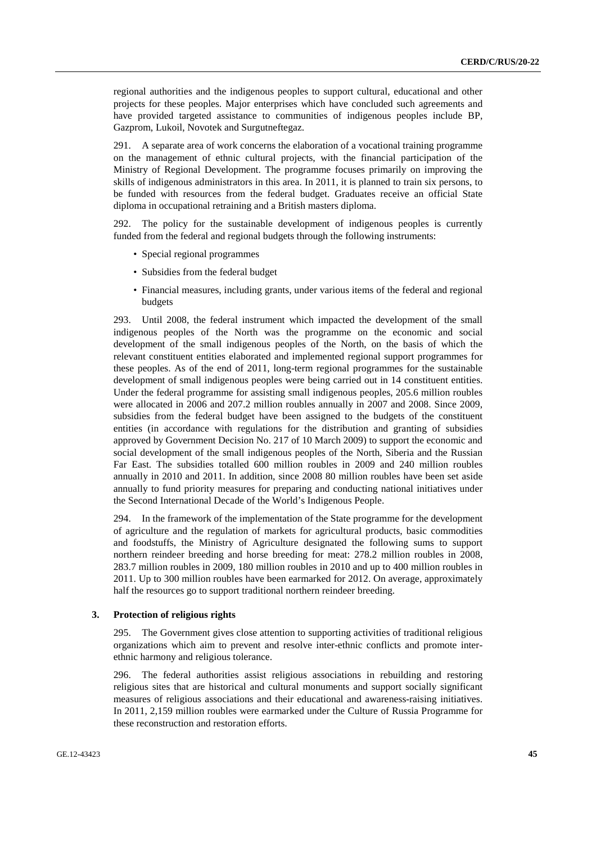regional authorities and the indigenous peoples to support cultural, educational and other projects for these peoples. Major enterprises which have concluded such agreements and have provided targeted assistance to communities of indigenous peoples include BP, Gazprom, Lukoil, Novotek and Surgutneftegaz.

291. A separate area of work concerns the elaboration of a vocational training programme on the management of ethnic cultural projects, with the financial participation of the Ministry of Regional Development. The programme focuses primarily on improving the skills of indigenous administrators in this area. In 2011, it is planned to train six persons, to be funded with resources from the federal budget. Graduates receive an official State diploma in occupational retraining and a British masters diploma.

292. The policy for the sustainable development of indigenous peoples is currently funded from the federal and regional budgets through the following instruments:

- Special regional programmes
- Subsidies from the federal budget
- Financial measures, including grants, under various items of the federal and regional budgets

293. Until 2008, the federal instrument which impacted the development of the small indigenous peoples of the North was the programme on the economic and social development of the small indigenous peoples of the North, on the basis of which the relevant constituent entities elaborated and implemented regional support programmes for these peoples. As of the end of 2011, long-term regional programmes for the sustainable development of small indigenous peoples were being carried out in 14 constituent entities. Under the federal programme for assisting small indigenous peoples, 205.6 million roubles were allocated in 2006 and 207.2 million roubles annually in 2007 and 2008. Since 2009, subsidies from the federal budget have been assigned to the budgets of the constituent entities (in accordance with regulations for the distribution and granting of subsidies approved by Government Decision No. 217 of 10 March 2009) to support the economic and social development of the small indigenous peoples of the North, Siberia and the Russian Far East. The subsidies totalled 600 million roubles in 2009 and 240 million roubles annually in 2010 and 2011. In addition, since 2008 80 million roubles have been set aside annually to fund priority measures for preparing and conducting national initiatives under the Second International Decade of the World's Indigenous People.

294. In the framework of the implementation of the State programme for the development of agriculture and the regulation of markets for agricultural products, basic commodities and foodstuffs, the Ministry of Agriculture designated the following sums to support northern reindeer breeding and horse breeding for meat: 278.2 million roubles in 2008, 283.7 million roubles in 2009, 180 million roubles in 2010 and up to 400 million roubles in 2011. Up to 300 million roubles have been earmarked for 2012. On average, approximately half the resources go to support traditional northern reindeer breeding.

#### **3. Protection of religious rights**

295. The Government gives close attention to supporting activities of traditional religious organizations which aim to prevent and resolve inter-ethnic conflicts and promote interethnic harmony and religious tolerance.

296. The federal authorities assist religious associations in rebuilding and restoring religious sites that are historical and cultural monuments and support socially significant measures of religious associations and their educational and awareness-raising initiatives. In 2011, 2,159 million roubles were earmarked under the Culture of Russia Programme for these reconstruction and restoration efforts.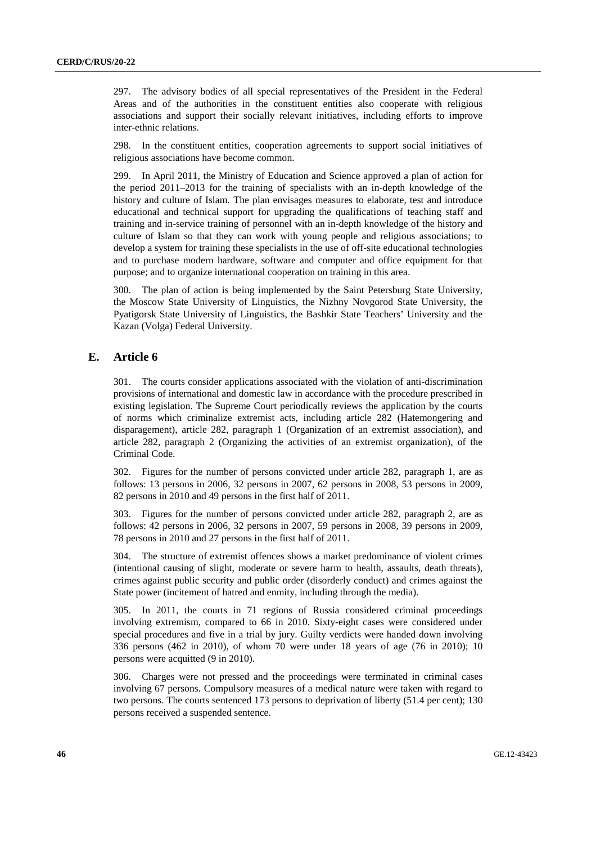297. The advisory bodies of all special representatives of the President in the Federal Areas and of the authorities in the constituent entities also cooperate with religious associations and support their socially relevant initiatives, including efforts to improve inter-ethnic relations.

298. In the constituent entities, cooperation agreements to support social initiatives of religious associations have become common.

299. In April 2011, the Ministry of Education and Science approved a plan of action for the period 2011–2013 for the training of specialists with an in-depth knowledge of the history and culture of Islam. The plan envisages measures to elaborate, test and introduce educational and technical support for upgrading the qualifications of teaching staff and training and in-service training of personnel with an in-depth knowledge of the history and culture of Islam so that they can work with young people and religious associations; to develop a system for training these specialists in the use of off-site educational technologies and to purchase modern hardware, software and computer and office equipment for that purpose; and to organize international cooperation on training in this area.

300. The plan of action is being implemented by the Saint Petersburg State University, the Moscow State University of Linguistics, the Nizhny Novgorod State University, the Pyatigorsk State University of Linguistics, the Bashkir State Teachers' University and the Kazan (Volga) Federal University.

# **E. Article 6**

301. The courts consider applications associated with the violation of anti-discrimination provisions of international and domestic law in accordance with the procedure prescribed in existing legislation. The Supreme Court periodically reviews the application by the courts of norms which criminalize extremist acts, including article 282 (Hatemongering and disparagement), article 282, paragraph 1 (Organization of an extremist association), and article 282, paragraph 2 (Organizing the activities of an extremist organization), of the Criminal Code.

302. Figures for the number of persons convicted under article 282, paragraph 1, are as follows: 13 persons in 2006, 32 persons in 2007, 62 persons in 2008, 53 persons in 2009, 82 persons in 2010 and 49 persons in the first half of 2011.

303. Figures for the number of persons convicted under article 282, paragraph 2, are as follows: 42 persons in 2006, 32 persons in 2007, 59 persons in 2008, 39 persons in 2009, 78 persons in 2010 and 27 persons in the first half of 2011.

304. The structure of extremist offences shows a market predominance of violent crimes (intentional causing of slight, moderate or severe harm to health, assaults, death threats), crimes against public security and public order (disorderly conduct) and crimes against the State power (incitement of hatred and enmity, including through the media).

305. In 2011, the courts in 71 regions of Russia considered criminal proceedings involving extremism, compared to 66 in 2010. Sixty-eight cases were considered under special procedures and five in a trial by jury. Guilty verdicts were handed down involving 336 persons (462 in 2010), of whom 70 were under 18 years of age (76 in 2010); 10 persons were acquitted (9 in 2010).

306. Charges were not pressed and the proceedings were terminated in criminal cases involving 67 persons. Compulsory measures of a medical nature were taken with regard to two persons. The courts sentenced 173 persons to deprivation of liberty (51.4 per cent); 130 persons received a suspended sentence.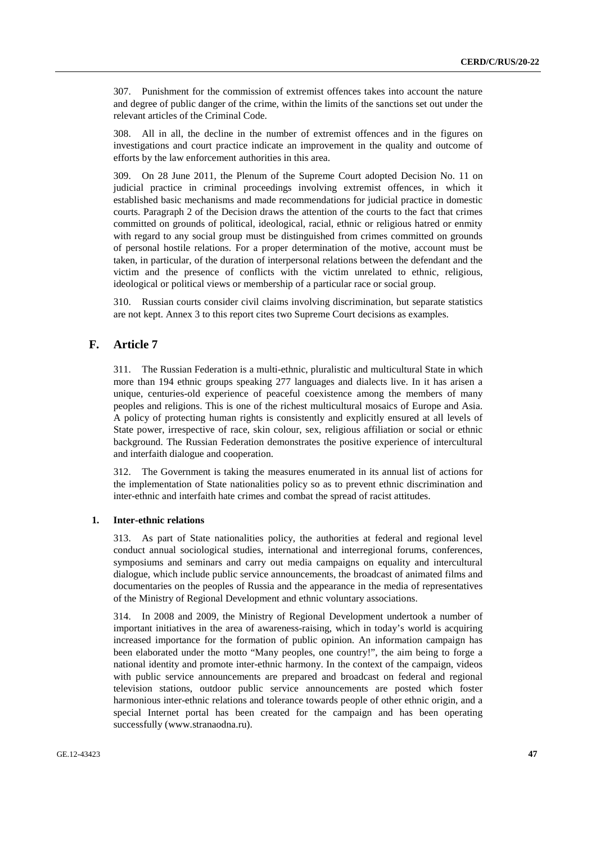307. Punishment for the commission of extremist offences takes into account the nature and degree of public danger of the crime, within the limits of the sanctions set out under the relevant articles of the Criminal Code.

308. All in all, the decline in the number of extremist offences and in the figures on investigations and court practice indicate an improvement in the quality and outcome of efforts by the law enforcement authorities in this area.

309. On 28 June 2011, the Plenum of the Supreme Court adopted Decision No. 11 on judicial practice in criminal proceedings involving extremist offences, in which it established basic mechanisms and made recommendations for judicial practice in domestic courts. Paragraph 2 of the Decision draws the attention of the courts to the fact that crimes committed on grounds of political, ideological, racial, ethnic or religious hatred or enmity with regard to any social group must be distinguished from crimes committed on grounds of personal hostile relations. For a proper determination of the motive, account must be taken, in particular, of the duration of interpersonal relations between the defendant and the victim and the presence of conflicts with the victim unrelated to ethnic, religious, ideological or political views or membership of a particular race or social group.

310. Russian courts consider civil claims involving discrimination, but separate statistics are not kept. Annex 3 to this report cites two Supreme Court decisions as examples.

# **F. Article 7**

311. The Russian Federation is a multi-ethnic, pluralistic and multicultural State in which more than 194 ethnic groups speaking 277 languages and dialects live. In it has arisen a unique, centuries-old experience of peaceful coexistence among the members of many peoples and religions. This is one of the richest multicultural mosaics of Europe and Asia. A policy of protecting human rights is consistently and explicitly ensured at all levels of State power, irrespective of race, skin colour, sex, religious affiliation or social or ethnic background. The Russian Federation demonstrates the positive experience of intercultural and interfaith dialogue and cooperation.

312. The Government is taking the measures enumerated in its annual list of actions for the implementation of State nationalities policy so as to prevent ethnic discrimination and inter-ethnic and interfaith hate crimes and combat the spread of racist attitudes.

#### **1. Inter-ethnic relations**

313. As part of State nationalities policy, the authorities at federal and regional level conduct annual sociological studies, international and interregional forums, conferences, symposiums and seminars and carry out media campaigns on equality and intercultural dialogue, which include public service announcements, the broadcast of animated films and documentaries on the peoples of Russia and the appearance in the media of representatives of the Ministry of Regional Development and ethnic voluntary associations.

314. In 2008 and 2009, the Ministry of Regional Development undertook a number of important initiatives in the area of awareness-raising, which in today's world is acquiring increased importance for the formation of public opinion. An information campaign has been elaborated under the motto "Many peoples, one country!", the aim being to forge a national identity and promote inter-ethnic harmony. In the context of the campaign, videos with public service announcements are prepared and broadcast on federal and regional television stations, outdoor public service announcements are posted which foster harmonious inter-ethnic relations and tolerance towards people of other ethnic origin, and a special Internet portal has been created for the campaign and has been operating successfully (www.stranaodna.ru).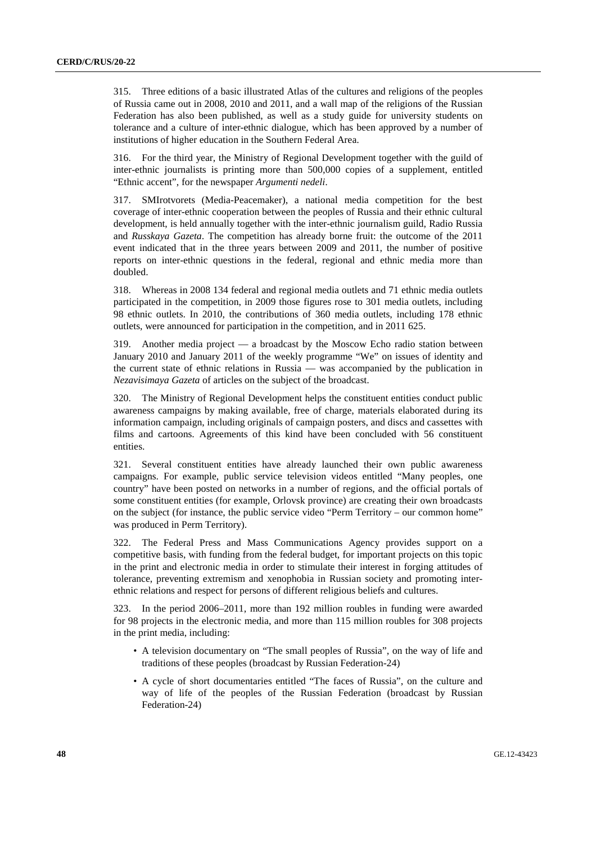315. Three editions of a basic illustrated Atlas of the cultures and religions of the peoples of Russia came out in 2008, 2010 and 2011, and a wall map of the religions of the Russian Federation has also been published, as well as a study guide for university students on tolerance and a culture of inter-ethnic dialogue, which has been approved by a number of institutions of higher education in the Southern Federal Area.

316. For the third year, the Ministry of Regional Development together with the guild of inter-ethnic journalists is printing more than 500,000 copies of a supplement, entitled "Ethnic accent", for the newspaper *Argumenti nedeli*.

317. SMIrotvorets (Media-Peacemaker), a national media competition for the best coverage of inter-ethnic cooperation between the peoples of Russia and their ethnic cultural development, is held annually together with the inter-ethnic journalism guild, Radio Russia and *Russkaya Gazeta*. The competition has already borne fruit: the outcome of the 2011 event indicated that in the three years between 2009 and 2011, the number of positive reports on inter-ethnic questions in the federal, regional and ethnic media more than doubled.

318. Whereas in 2008 134 federal and regional media outlets and 71 ethnic media outlets participated in the competition, in 2009 those figures rose to 301 media outlets, including 98 ethnic outlets. In 2010, the contributions of 360 media outlets, including 178 ethnic outlets, were announced for participation in the competition, and in 2011 625.

319. Another media project — a broadcast by the Moscow Echo radio station between January 2010 and January 2011 of the weekly programme "We" on issues of identity and the current state of ethnic relations in Russia — was accompanied by the publication in *Nezavisimaya Gazeta* of articles on the subject of the broadcast.

320. The Ministry of Regional Development helps the constituent entities conduct public awareness campaigns by making available, free of charge, materials elaborated during its information campaign, including originals of campaign posters, and discs and cassettes with films and cartoons. Agreements of this kind have been concluded with 56 constituent entities.

321. Several constituent entities have already launched their own public awareness campaigns. For example, public service television videos entitled "Many peoples, one country" have been posted on networks in a number of regions, and the official portals of some constituent entities (for example, Orlovsk province) are creating their own broadcasts on the subject (for instance, the public service video "Perm Territory – our common home" was produced in Perm Territory).

322. The Federal Press and Mass Communications Agency provides support on a competitive basis, with funding from the federal budget, for important projects on this topic in the print and electronic media in order to stimulate their interest in forging attitudes of tolerance, preventing extremism and xenophobia in Russian society and promoting interethnic relations and respect for persons of different religious beliefs and cultures.

323. In the period 2006–2011, more than 192 million roubles in funding were awarded for 98 projects in the electronic media, and more than 115 million roubles for 308 projects in the print media, including:

- A television documentary on "The small peoples of Russia", on the way of life and traditions of these peoples (broadcast by Russian Federation-24)
- A cycle of short documentaries entitled "The faces of Russia", on the culture and way of life of the peoples of the Russian Federation (broadcast by Russian Federation-24)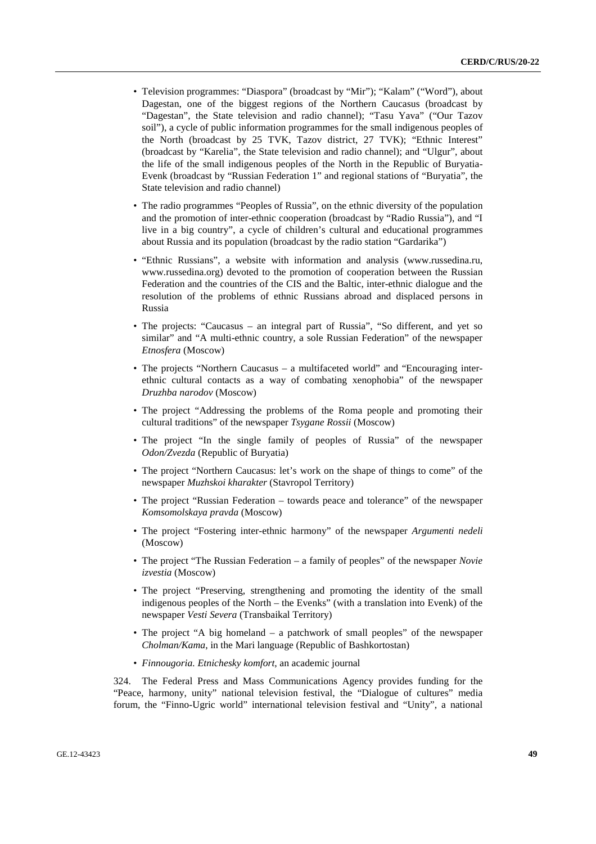- Television programmes: "Diaspora" (broadcast by "Mir"); "Kalam" ("Word"), about Dagestan, one of the biggest regions of the Northern Caucasus (broadcast by "Dagestan", the State television and radio channel); "Tasu Yava" ("Our Tazov soil"), a cycle of public information programmes for the small indigenous peoples of the North (broadcast by 25 TVK, Tazov district, 27 TVK); "Ethnic Interest" (broadcast by "Karelia", the State television and radio channel); and "Ulgur", about the life of the small indigenous peoples of the North in the Republic of Buryatia-Evenk (broadcast by "Russian Federation 1" and regional stations of "Buryatia", the State television and radio channel)
- The radio programmes "Peoples of Russia", on the ethnic diversity of the population and the promotion of inter-ethnic cooperation (broadcast by "Radio Russia"), and "I live in a big country", a cycle of children's cultural and educational programmes about Russia and its population (broadcast by the radio station "Gardarika")
- "Ethnic Russians", a website with information and analysis (www.russedina.ru, www.russedina.org) devoted to the promotion of cooperation between the Russian Federation and the countries of the CIS and the Baltic, inter-ethnic dialogue and the resolution of the problems of ethnic Russians abroad and displaced persons in Russia
- The projects: "Caucasus an integral part of Russia", "So different, and yet so similar" and "A multi-ethnic country, a sole Russian Federation" of the newspaper *Etnosfera* (Moscow)
- The projects "Northern Caucasus a multifaceted world" and "Encouraging interethnic cultural contacts as a way of combating xenophobia" of the newspaper *Druzhba narodov* (Moscow)
- The project "Addressing the problems of the Roma people and promoting their cultural traditions" of the newspaper *Tsygane Rossii* (Moscow)
- The project "In the single family of peoples of Russia" of the newspaper *Odon/Zvezda* (Republic of Buryatia)
- The project "Northern Caucasus: let's work on the shape of things to come" of the newspaper *Muzhskoi kharakter* (Stavropol Territory)
- The project "Russian Federation towards peace and tolerance" of the newspaper *Komsomolskaya pravda* (Moscow)
- The project "Fostering inter-ethnic harmony" of the newspaper *Argumenti nedeli* (Moscow)
- The project "The Russian Federation a family of peoples" of the newspaper *Novie izvestia* (Moscow)
- The project "Preserving, strengthening and promoting the identity of the small indigenous peoples of the North – the Evenks" (with a translation into Evenk) of the newspaper *Vesti Severa* (Transbaikal Territory)
- The project "A big homeland a patchwork of small peoples" of the newspaper *Cholman/Kama*, in the Mari language (Republic of Bashkortostan)
- *Finnougoria. Etnichesky komfort*, an academic journal

324. The Federal Press and Mass Communications Agency provides funding for the "Peace, harmony, unity" national television festival, the "Dialogue of cultures" media forum, the "Finno-Ugric world" international television festival and "Unity", a national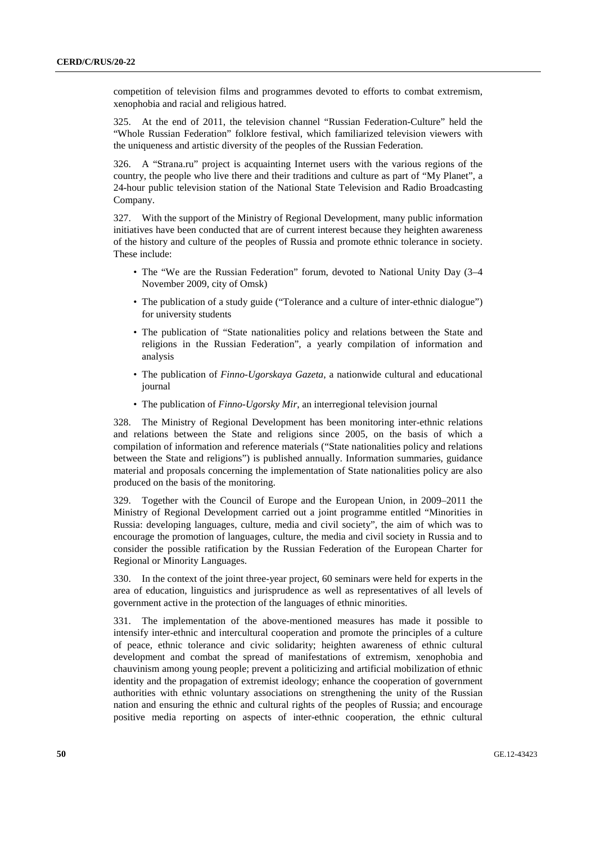competition of television films and programmes devoted to efforts to combat extremism, xenophobia and racial and religious hatred.

325. At the end of 2011, the television channel "Russian Federation-Culture" held the "Whole Russian Federation" folklore festival, which familiarized television viewers with the uniqueness and artistic diversity of the peoples of the Russian Federation.

326. A "Strana.ru" project is acquainting Internet users with the various regions of the country, the people who live there and their traditions and culture as part of "My Planet", a 24-hour public television station of the National State Television and Radio Broadcasting Company.

327. With the support of the Ministry of Regional Development, many public information initiatives have been conducted that are of current interest because they heighten awareness of the history and culture of the peoples of Russia and promote ethnic tolerance in society. These include:

- The "We are the Russian Federation" forum, devoted to National Unity Day (3–4) November 2009, city of Omsk)
- The publication of a study guide ("Tolerance and a culture of inter-ethnic dialogue") for university students
- The publication of "State nationalities policy and relations between the State and religions in the Russian Federation", a yearly compilation of information and analysis
- The publication of *Finno-Ugorskaya Gazeta*, a nationwide cultural and educational journal
- The publication of *Finno-Ugorsky Mir*, an interregional television journal

328. The Ministry of Regional Development has been monitoring inter-ethnic relations and relations between the State and religions since 2005, on the basis of which a compilation of information and reference materials ("State nationalities policy and relations between the State and religions") is published annually. Information summaries, guidance material and proposals concerning the implementation of State nationalities policy are also produced on the basis of the monitoring.

329. Together with the Council of Europe and the European Union, in 2009–2011 the Ministry of Regional Development carried out a joint programme entitled "Minorities in Russia: developing languages, culture, media and civil society", the aim of which was to encourage the promotion of languages, culture, the media and civil society in Russia and to consider the possible ratification by the Russian Federation of the European Charter for Regional or Minority Languages.

330. In the context of the joint three-year project, 60 seminars were held for experts in the area of education, linguistics and jurisprudence as well as representatives of all levels of government active in the protection of the languages of ethnic minorities.

331. The implementation of the above-mentioned measures has made it possible to intensify inter-ethnic and intercultural cooperation and promote the principles of a culture of peace, ethnic tolerance and civic solidarity; heighten awareness of ethnic cultural development and combat the spread of manifestations of extremism, xenophobia and chauvinism among young people; prevent a politicizing and artificial mobilization of ethnic identity and the propagation of extremist ideology; enhance the cooperation of government authorities with ethnic voluntary associations on strengthening the unity of the Russian nation and ensuring the ethnic and cultural rights of the peoples of Russia; and encourage positive media reporting on aspects of inter-ethnic cooperation, the ethnic cultural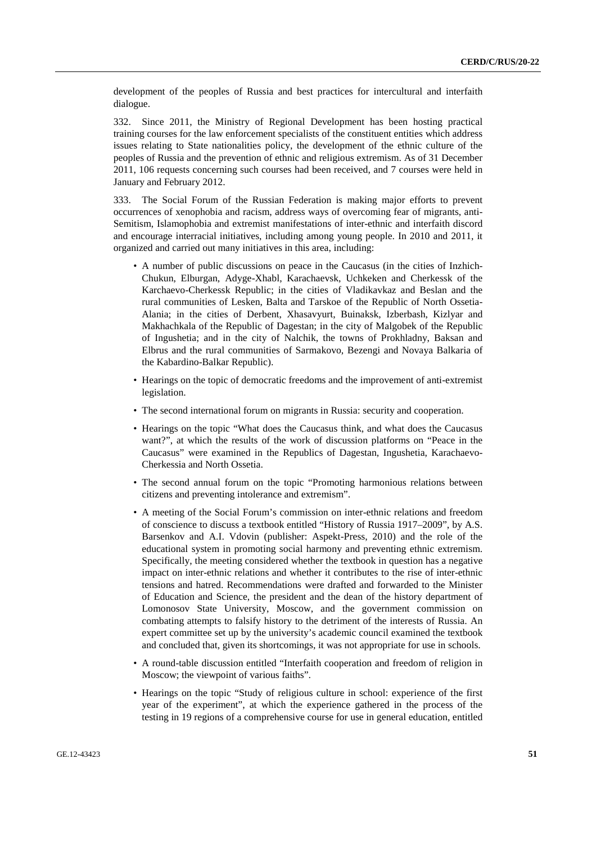development of the peoples of Russia and best practices for intercultural and interfaith dialogue.

332. Since 2011, the Ministry of Regional Development has been hosting practical training courses for the law enforcement specialists of the constituent entities which address issues relating to State nationalities policy, the development of the ethnic culture of the peoples of Russia and the prevention of ethnic and religious extremism. As of 31 December 2011, 106 requests concerning such courses had been received, and 7 courses were held in January and February 2012.

333. The Social Forum of the Russian Federation is making major efforts to prevent occurrences of xenophobia and racism, address ways of overcoming fear of migrants, anti-Semitism, Islamophobia and extremist manifestations of inter-ethnic and interfaith discord and encourage interracial initiatives, including among young people. In 2010 and 2011, it organized and carried out many initiatives in this area, including:

- A number of public discussions on peace in the Caucasus (in the cities of Inzhich-Chukun, Elburgan, Adyge-Xhabl, Karachaevsk, Uchkeken and Cherkessk of the Karchaevo-Cherkessk Republic; in the cities of Vladikavkaz and Beslan and the rural communities of Lesken, Balta and Tarskoe of the Republic of North Ossetia-Alania; in the cities of Derbent, Xhasavyurt, Buinaksk, Izberbash, Kizlyar and Makhachkala of the Republic of Dagestan; in the city of Malgobek of the Republic of Ingushetia; and in the city of Nalchik, the towns of Prokhladny, Baksan and Elbrus and the rural communities of Sarmakovo, Bezengi and Novaya Balkaria of the Kabardino-Balkar Republic).
- Hearings on the topic of democratic freedoms and the improvement of anti-extremist legislation.
- The second international forum on migrants in Russia: security and cooperation.
- Hearings on the topic "What does the Caucasus think, and what does the Caucasus want?", at which the results of the work of discussion platforms on "Peace in the Caucasus" were examined in the Republics of Dagestan, Ingushetia, Karachaevo-Cherkessia and North Ossetia.
- The second annual forum on the topic "Promoting harmonious relations between citizens and preventing intolerance and extremism".
- A meeting of the Social Forum's commission on inter-ethnic relations and freedom of conscience to discuss a textbook entitled "History of Russia 1917–2009", by A.S. Barsenkov and A.I. Vdovin (publisher: Aspekt-Press, 2010) and the role of the educational system in promoting social harmony and preventing ethnic extremism. Specifically, the meeting considered whether the textbook in question has a negative impact on inter-ethnic relations and whether it contributes to the rise of inter-ethnic tensions and hatred. Recommendations were drafted and forwarded to the Minister of Education and Science, the president and the dean of the history department of Lomonosov State University, Moscow, and the government commission on combating attempts to falsify history to the detriment of the interests of Russia. An expert committee set up by the university's academic council examined the textbook and concluded that, given its shortcomings, it was not appropriate for use in schools.
- A round-table discussion entitled "Interfaith cooperation and freedom of religion in Moscow; the viewpoint of various faiths".
- Hearings on the topic "Study of religious culture in school: experience of the first year of the experiment", at which the experience gathered in the process of the testing in 19 regions of a comprehensive course for use in general education, entitled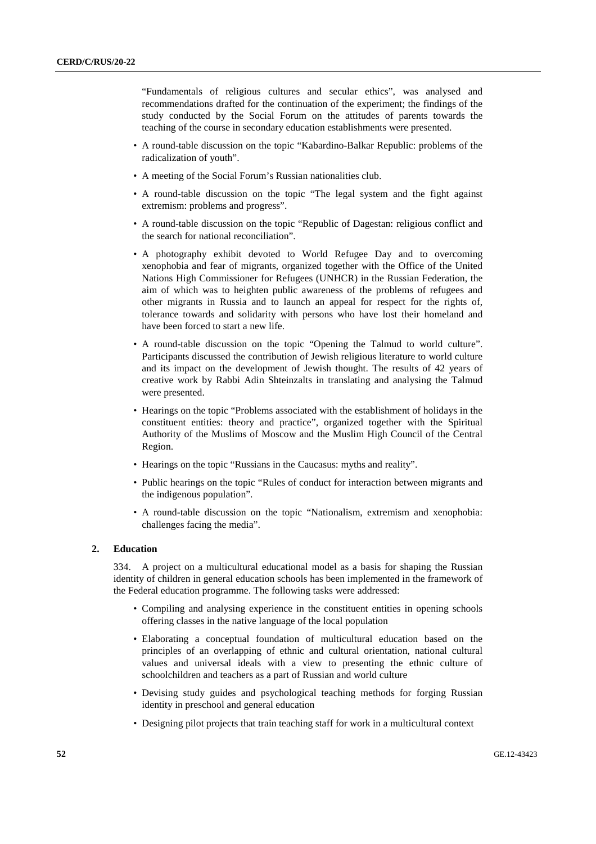"Fundamentals of religious cultures and secular ethics", was analysed and recommendations drafted for the continuation of the experiment; the findings of the study conducted by the Social Forum on the attitudes of parents towards the teaching of the course in secondary education establishments were presented.

- A round-table discussion on the topic "Kabardino-Balkar Republic: problems of the radicalization of youth".
- A meeting of the Social Forum's Russian nationalities club.
- A round-table discussion on the topic "The legal system and the fight against extremism: problems and progress".
- A round-table discussion on the topic "Republic of Dagestan: religious conflict and the search for national reconciliation".
- A photography exhibit devoted to World Refugee Day and to overcoming xenophobia and fear of migrants, organized together with the Office of the United Nations High Commissioner for Refugees (UNHCR) in the Russian Federation, the aim of which was to heighten public awareness of the problems of refugees and other migrants in Russia and to launch an appeal for respect for the rights of, tolerance towards and solidarity with persons who have lost their homeland and have been forced to start a new life.
- A round-table discussion on the topic "Opening the Talmud to world culture". Participants discussed the contribution of Jewish religious literature to world culture and its impact on the development of Jewish thought. The results of 42 years of creative work by Rabbi Adin Shteinzalts in translating and analysing the Talmud were presented.
- Hearings on the topic "Problems associated with the establishment of holidays in the constituent entities: theory and practice", organized together with the Spiritual Authority of the Muslims of Moscow and the Muslim High Council of the Central Region.
- Hearings on the topic "Russians in the Caucasus: myths and reality".
- Public hearings on the topic "Rules of conduct for interaction between migrants and the indigenous population".
- A round-table discussion on the topic "Nationalism, extremism and xenophobia: challenges facing the media".

### **2. Education**

334. A project on a multicultural educational model as a basis for shaping the Russian identity of children in general education schools has been implemented in the framework of the Federal education programme. The following tasks were addressed:

- Compiling and analysing experience in the constituent entities in opening schools offering classes in the native language of the local population
- Elaborating a conceptual foundation of multicultural education based on the principles of an overlapping of ethnic and cultural orientation, national cultural values and universal ideals with a view to presenting the ethnic culture of schoolchildren and teachers as a part of Russian and world culture
- Devising study guides and psychological teaching methods for forging Russian identity in preschool and general education
- Designing pilot projects that train teaching staff for work in a multicultural context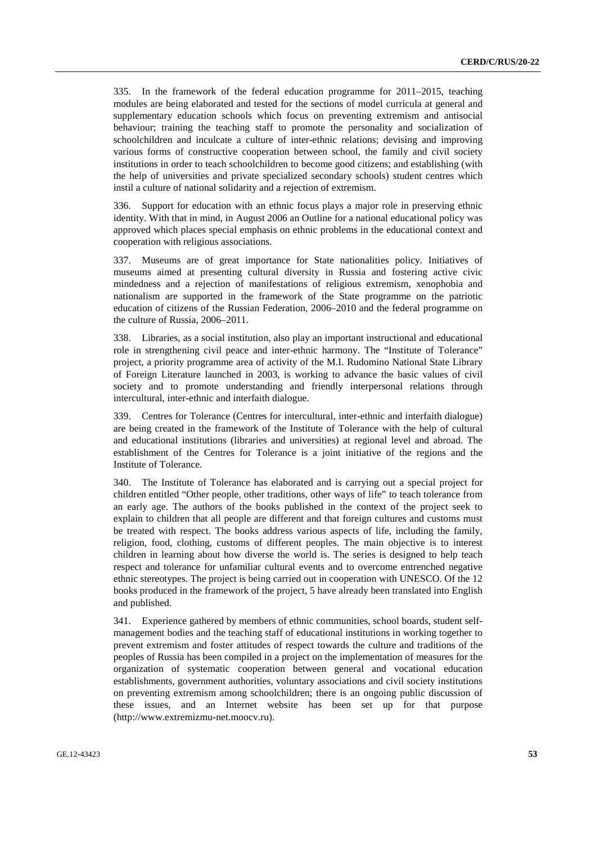335. In the framework of the federal education programme for 2011–2015, teaching modules are being elaborated and tested for the sections of model curricula at general and supplementary education schools which focus on preventing extremism and antisocial behaviour; training the teaching staff to promote the personality and socialization of schoolchildren and inculcate a culture of inter-ethnic relations; devising and improving various forms of constructive cooperation between school, the family and civil society institutions in order to teach schoolchildren to become good citizens; and establishing (with the help of universities and private specialized secondary schools) student centres which instil a culture of national solidarity and a rejection of extremism.

336. Support for education with an ethnic focus plays a major role in preserving ethnic identity. With that in mind, in August 2006 an Outline for a national educational policy was approved which places special emphasis on ethnic problems in the educational context and cooperation with religious associations.

337. Museums are of great importance for State nationalities policy. Initiatives of museums aimed at presenting cultural diversity in Russia and fostering active civic mindedness and a rejection of manifestations of religious extremism, xenophobia and nationalism are supported in the framework of the State programme on the patriotic education of citizens of the Russian Federation, 2006–2010 and the federal programme on the culture of Russia, 2006–2011.

338. Libraries, as a social institution, also play an important instructional and educational role in strengthening civil peace and inter-ethnic harmony. The "Institute of Tolerance" project, a priority programme area of activity of the M.I. Rudomino National State Library of Foreign Literature launched in 2003, is working to advance the basic values of civil society and to promote understanding and friendly interpersonal relations through intercultural, inter-ethnic and interfaith dialogue.

339. Centres for Tolerance (Centres for intercultural, inter-ethnic and interfaith dialogue) are being created in the framework of the Institute of Tolerance with the help of cultural and educational institutions (libraries and universities) at regional level and abroad. The establishment of the Centres for Tolerance is a joint initiative of the regions and the Institute of Tolerance.

340. The Institute of Tolerance has elaborated and is carrying out a special project for children entitled "Other people, other traditions, other ways of life" to teach tolerance from an early age. The authors of the books published in the context of the project seek to explain to children that all people are different and that foreign cultures and customs must be treated with respect. The books address various aspects of life, including the family, religion, food, clothing, customs of different peoples. The main objective is to interest children in learning about how diverse the world is. The series is designed to help teach respect and tolerance for unfamiliar cultural events and to overcome entrenched negative ethnic stereotypes. The project is being carried out in cooperation with UNESCO. Of the 12 books produced in the framework of the project, 5 have already been translated into English and published.

341. Experience gathered by members of ethnic communities, school boards, student selfmanagement bodies and the teaching staff of educational institutions in working together to prevent extremism and foster attitudes of respect towards the culture and traditions of the peoples of Russia has been compiled in a project on the implementation of measures for the organization of systematic cooperation between general and vocational education establishments, government authorities, voluntary associations and civil society institutions on preventing extremism among schoolchildren; there is an ongoing public discussion of these issues, and an Internet website has been set up for that purpose (http://www.extremizmu-net.moocv.ru).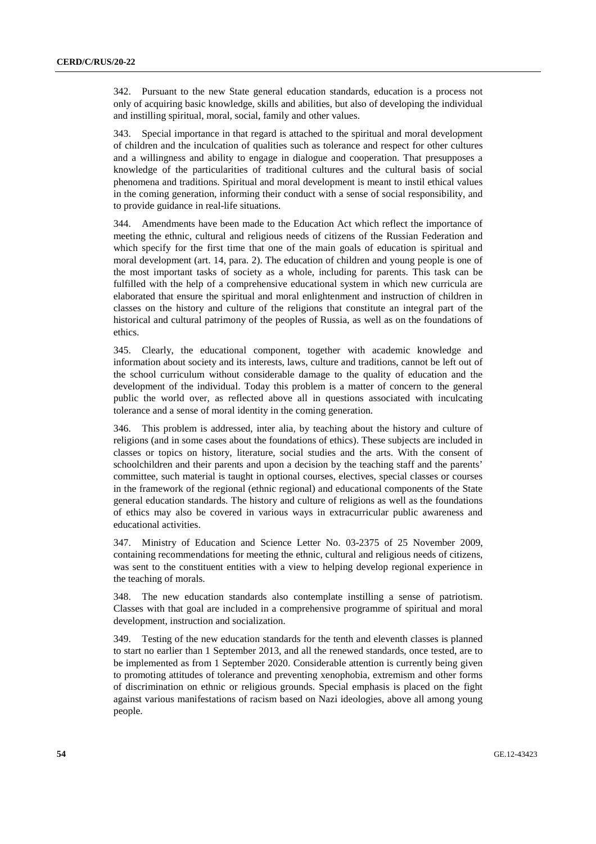342. Pursuant to the new State general education standards, education is a process not only of acquiring basic knowledge, skills and abilities, but also of developing the individual and instilling spiritual, moral, social, family and other values.

343. Special importance in that regard is attached to the spiritual and moral development of children and the inculcation of qualities such as tolerance and respect for other cultures and a willingness and ability to engage in dialogue and cooperation. That presupposes a knowledge of the particularities of traditional cultures and the cultural basis of social phenomena and traditions. Spiritual and moral development is meant to instil ethical values in the coming generation, informing their conduct with a sense of social responsibility, and to provide guidance in real-life situations.

344. Amendments have been made to the Education Act which reflect the importance of meeting the ethnic, cultural and religious needs of citizens of the Russian Federation and which specify for the first time that one of the main goals of education is spiritual and moral development (art. 14, para. 2). The education of children and young people is one of the most important tasks of society as a whole, including for parents. This task can be fulfilled with the help of a comprehensive educational system in which new curricula are elaborated that ensure the spiritual and moral enlightenment and instruction of children in classes on the history and culture of the religions that constitute an integral part of the historical and cultural patrimony of the peoples of Russia, as well as on the foundations of ethics.

345. Clearly, the educational component, together with academic knowledge and information about society and its interests, laws, culture and traditions, cannot be left out of the school curriculum without considerable damage to the quality of education and the development of the individual. Today this problem is a matter of concern to the general public the world over, as reflected above all in questions associated with inculcating tolerance and a sense of moral identity in the coming generation.

346. This problem is addressed, inter alia, by teaching about the history and culture of religions (and in some cases about the foundations of ethics). These subjects are included in classes or topics on history, literature, social studies and the arts. With the consent of schoolchildren and their parents and upon a decision by the teaching staff and the parents' committee, such material is taught in optional courses, electives, special classes or courses in the framework of the regional (ethnic regional) and educational components of the State general education standards. The history and culture of religions as well as the foundations of ethics may also be covered in various ways in extracurricular public awareness and educational activities.

347. Ministry of Education and Science Letter No. 03-2375 of 25 November 2009, containing recommendations for meeting the ethnic, cultural and religious needs of citizens, was sent to the constituent entities with a view to helping develop regional experience in the teaching of morals.

348. The new education standards also contemplate instilling a sense of patriotism. Classes with that goal are included in a comprehensive programme of spiritual and moral development, instruction and socialization.

349. Testing of the new education standards for the tenth and eleventh classes is planned to start no earlier than 1 September 2013, and all the renewed standards, once tested, are to be implemented as from 1 September 2020. Considerable attention is currently being given to promoting attitudes of tolerance and preventing xenophobia, extremism and other forms of discrimination on ethnic or religious grounds. Special emphasis is placed on the fight against various manifestations of racism based on Nazi ideologies, above all among young people.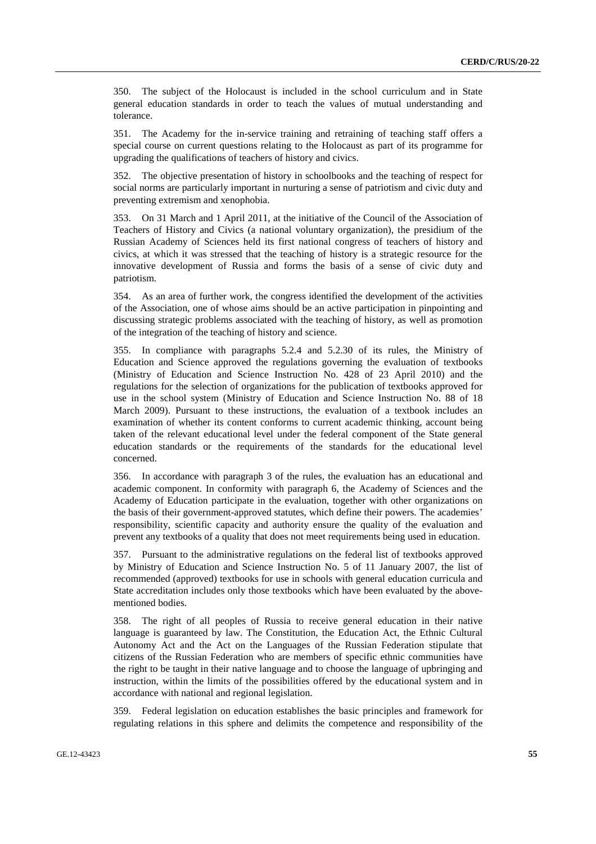350. The subject of the Holocaust is included in the school curriculum and in State general education standards in order to teach the values of mutual understanding and tolerance.

351. The Academy for the in-service training and retraining of teaching staff offers a special course on current questions relating to the Holocaust as part of its programme for upgrading the qualifications of teachers of history and civics.

352. The objective presentation of history in schoolbooks and the teaching of respect for social norms are particularly important in nurturing a sense of patriotism and civic duty and preventing extremism and xenophobia.

353. On 31 March and 1 April 2011, at the initiative of the Council of the Association of Teachers of History and Civics (a national voluntary organization), the presidium of the Russian Academy of Sciences held its first national congress of teachers of history and civics, at which it was stressed that the teaching of history is a strategic resource for the innovative development of Russia and forms the basis of a sense of civic duty and patriotism.

354. As an area of further work, the congress identified the development of the activities of the Association, one of whose aims should be an active participation in pinpointing and discussing strategic problems associated with the teaching of history, as well as promotion of the integration of the teaching of history and science.

355. In compliance with paragraphs 5.2.4 and 5.2.30 of its rules, the Ministry of Education and Science approved the regulations governing the evaluation of textbooks (Ministry of Education and Science Instruction No. 428 of 23 April 2010) and the regulations for the selection of organizations for the publication of textbooks approved for use in the school system (Ministry of Education and Science Instruction No. 88 of 18 March 2009). Pursuant to these instructions, the evaluation of a textbook includes an examination of whether its content conforms to current academic thinking, account being taken of the relevant educational level under the federal component of the State general education standards or the requirements of the standards for the educational level concerned.

356. In accordance with paragraph 3 of the rules, the evaluation has an educational and academic component. In conformity with paragraph 6, the Academy of Sciences and the Academy of Education participate in the evaluation, together with other organizations on the basis of their government-approved statutes, which define their powers. The academies' responsibility, scientific capacity and authority ensure the quality of the evaluation and prevent any textbooks of a quality that does not meet requirements being used in education.

357. Pursuant to the administrative regulations on the federal list of textbooks approved by Ministry of Education and Science Instruction No. 5 of 11 January 2007, the list of recommended (approved) textbooks for use in schools with general education curricula and State accreditation includes only those textbooks which have been evaluated by the abovementioned bodies.

358. The right of all peoples of Russia to receive general education in their native language is guaranteed by law. The Constitution, the Education Act, the Ethnic Cultural Autonomy Act and the Act on the Languages of the Russian Federation stipulate that citizens of the Russian Federation who are members of specific ethnic communities have the right to be taught in their native language and to choose the language of upbringing and instruction, within the limits of the possibilities offered by the educational system and in accordance with national and regional legislation.

359. Federal legislation on education establishes the basic principles and framework for regulating relations in this sphere and delimits the competence and responsibility of the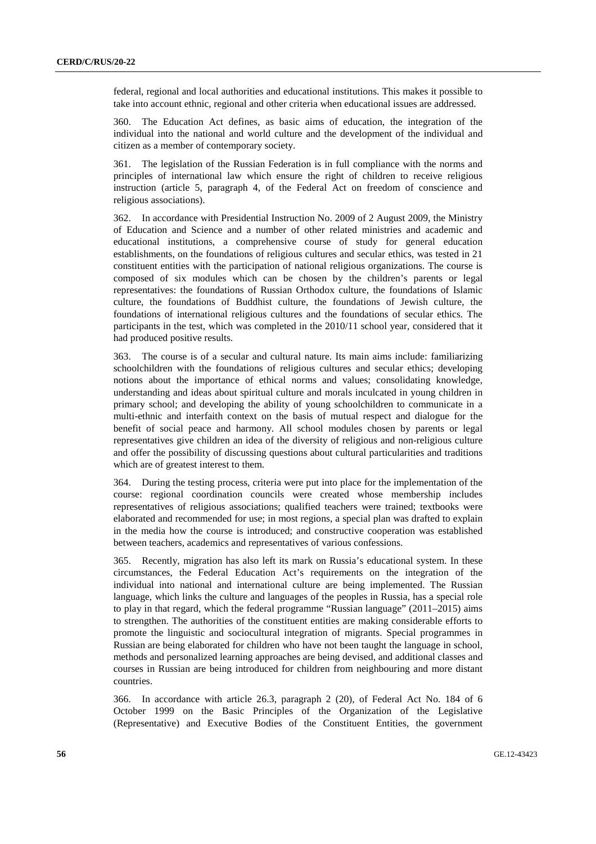federal, regional and local authorities and educational institutions. This makes it possible to take into account ethnic, regional and other criteria when educational issues are addressed.

360. The Education Act defines, as basic aims of education, the integration of the individual into the national and world culture and the development of the individual and citizen as a member of contemporary society.

361. The legislation of the Russian Federation is in full compliance with the norms and principles of international law which ensure the right of children to receive religious instruction (article 5, paragraph 4, of the Federal Act on freedom of conscience and religious associations).

362. In accordance with Presidential Instruction No. 2009 of 2 August 2009, the Ministry of Education and Science and a number of other related ministries and academic and educational institutions, a comprehensive course of study for general education establishments, on the foundations of religious cultures and secular ethics, was tested in 21 constituent entities with the participation of national religious organizations. The course is composed of six modules which can be chosen by the children's parents or legal representatives: the foundations of Russian Orthodox culture, the foundations of Islamic culture, the foundations of Buddhist culture, the foundations of Jewish culture, the foundations of international religious cultures and the foundations of secular ethics. The participants in the test, which was completed in the 2010/11 school year, considered that it had produced positive results.

363. The course is of a secular and cultural nature. Its main aims include: familiarizing schoolchildren with the foundations of religious cultures and secular ethics; developing notions about the importance of ethical norms and values; consolidating knowledge, understanding and ideas about spiritual culture and morals inculcated in young children in primary school; and developing the ability of young schoolchildren to communicate in a multi-ethnic and interfaith context on the basis of mutual respect and dialogue for the benefit of social peace and harmony. All school modules chosen by parents or legal representatives give children an idea of the diversity of religious and non-religious culture and offer the possibility of discussing questions about cultural particularities and traditions which are of greatest interest to them.

364. During the testing process, criteria were put into place for the implementation of the course: regional coordination councils were created whose membership includes representatives of religious associations; qualified teachers were trained; textbooks were elaborated and recommended for use; in most regions, a special plan was drafted to explain in the media how the course is introduced; and constructive cooperation was established between teachers, academics and representatives of various confessions.

365. Recently, migration has also left its mark on Russia's educational system. In these circumstances, the Federal Education Act's requirements on the integration of the individual into national and international culture are being implemented. The Russian language, which links the culture and languages of the peoples in Russia, has a special role to play in that regard, which the federal programme "Russian language" (2011–2015) aims to strengthen. The authorities of the constituent entities are making considerable efforts to promote the linguistic and sociocultural integration of migrants. Special programmes in Russian are being elaborated for children who have not been taught the language in school, methods and personalized learning approaches are being devised, and additional classes and courses in Russian are being introduced for children from neighbouring and more distant countries.

366. In accordance with article 26.3, paragraph 2 (20), of Federal Act No. 184 of 6 October 1999 on the Basic Principles of the Organization of the Legislative (Representative) and Executive Bodies of the Constituent Entities, the government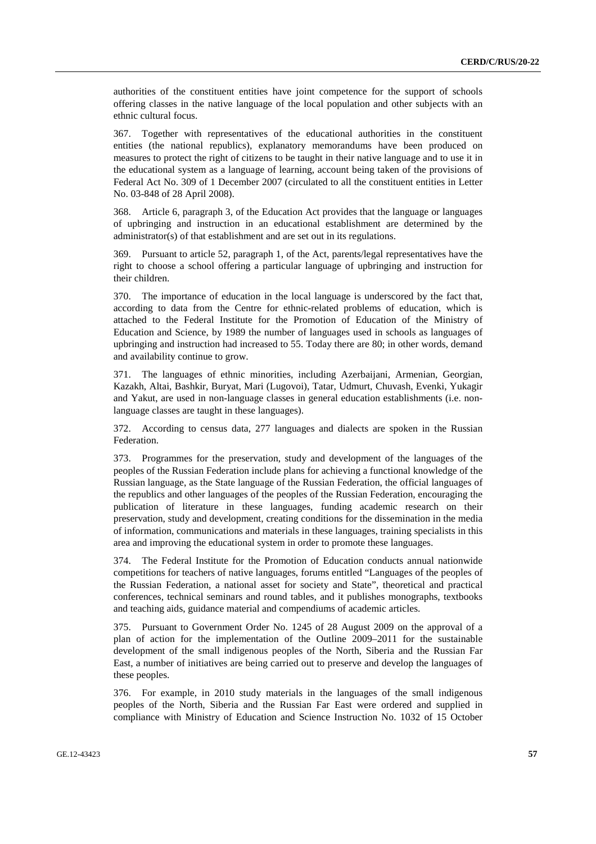authorities of the constituent entities have joint competence for the support of schools offering classes in the native language of the local population and other subjects with an ethnic cultural focus.

367. Together with representatives of the educational authorities in the constituent entities (the national republics), explanatory memorandums have been produced on measures to protect the right of citizens to be taught in their native language and to use it in the educational system as a language of learning, account being taken of the provisions of Federal Act No. 309 of 1 December 2007 (circulated to all the constituent entities in Letter No. 03-848 of 28 April 2008).

368. Article 6, paragraph 3, of the Education Act provides that the language or languages of upbringing and instruction in an educational establishment are determined by the administrator(s) of that establishment and are set out in its regulations.

369. Pursuant to article 52, paragraph 1, of the Act, parents/legal representatives have the right to choose a school offering a particular language of upbringing and instruction for their children.

370. The importance of education in the local language is underscored by the fact that, according to data from the Centre for ethnic-related problems of education, which is attached to the Federal Institute for the Promotion of Education of the Ministry of Education and Science, by 1989 the number of languages used in schools as languages of upbringing and instruction had increased to 55. Today there are 80; in other words, demand and availability continue to grow.

371. The languages of ethnic minorities, including Azerbaijani, Armenian, Georgian, Kazakh, Altai, Bashkir, Buryat, Mari (Lugovoi), Tatar, Udmurt, Chuvash, Evenki, Yukagir and Yakut, are used in non-language classes in general education establishments (i.e. nonlanguage classes are taught in these languages).

372. According to census data, 277 languages and dialects are spoken in the Russian Federation.

373. Programmes for the preservation, study and development of the languages of the peoples of the Russian Federation include plans for achieving a functional knowledge of the Russian language, as the State language of the Russian Federation, the official languages of the republics and other languages of the peoples of the Russian Federation, encouraging the publication of literature in these languages, funding academic research on their preservation, study and development, creating conditions for the dissemination in the media of information, communications and materials in these languages, training specialists in this area and improving the educational system in order to promote these languages.

374. The Federal Institute for the Promotion of Education conducts annual nationwide competitions for teachers of native languages, forums entitled "Languages of the peoples of the Russian Federation, a national asset for society and State", theoretical and practical conferences, technical seminars and round tables, and it publishes monographs, textbooks and teaching aids, guidance material and compendiums of academic articles.

375. Pursuant to Government Order No. 1245 of 28 August 2009 on the approval of a plan of action for the implementation of the Outline 2009–2011 for the sustainable development of the small indigenous peoples of the North, Siberia and the Russian Far East, a number of initiatives are being carried out to preserve and develop the languages of these peoples.

376. For example, in 2010 study materials in the languages of the small indigenous peoples of the North, Siberia and the Russian Far East were ordered and supplied in compliance with Ministry of Education and Science Instruction No. 1032 of 15 October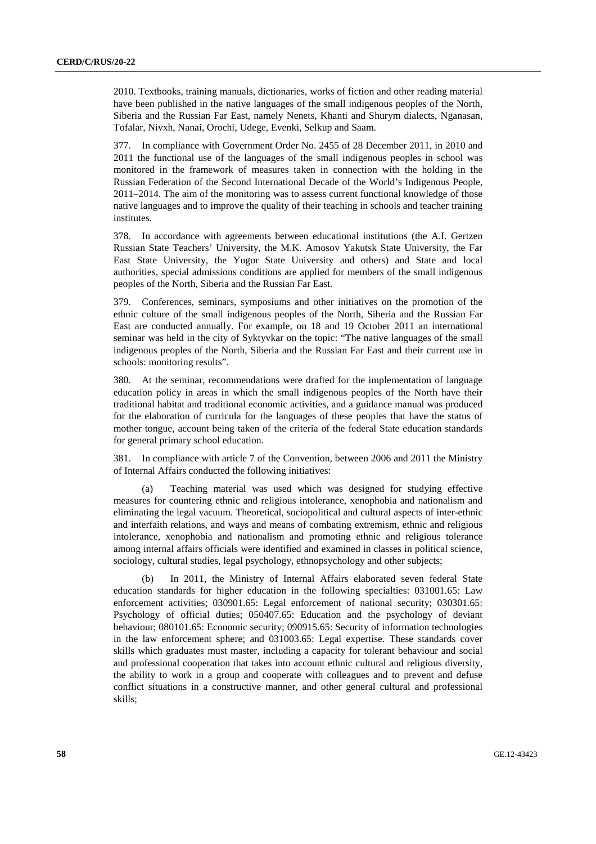2010. Textbooks, training manuals, dictionaries, works of fiction and other reading material have been published in the native languages of the small indigenous peoples of the North, Siberia and the Russian Far East, namely Nenets, Khanti and Shurym dialects, Nganasan, Tofalar, Nivxh, Nanai, Orochi, Udege, Evenki, Selkup and Saam.

377. In compliance with Government Order No. 2455 of 28 December 2011, in 2010 and 2011 the functional use of the languages of the small indigenous peoples in school was monitored in the framework of measures taken in connection with the holding in the Russian Federation of the Second International Decade of the World's Indigenous People, 2011–2014. The aim of the monitoring was to assess current functional knowledge of those native languages and to improve the quality of their teaching in schools and teacher training institutes.

378. In accordance with agreements between educational institutions (the A.I. Gertzen Russian State Teachers' University, the M.K. Amosov Yakutsk State University, the Far East State University, the Yugor State University and others) and State and local authorities, special admissions conditions are applied for members of the small indigenous peoples of the North, Siberia and the Russian Far East.

379. Conferences, seminars, symposiums and other initiatives on the promotion of the ethnic culture of the small indigenous peoples of the North, Siberia and the Russian Far East are conducted annually. For example, on 18 and 19 October 2011 an international seminar was held in the city of Syktyvkar on the topic: "The native languages of the small indigenous peoples of the North, Siberia and the Russian Far East and their current use in schools: monitoring results".

380. At the seminar, recommendations were drafted for the implementation of language education policy in areas in which the small indigenous peoples of the North have their traditional habitat and traditional economic activities, and a guidance manual was produced for the elaboration of curricula for the languages of these peoples that have the status of mother tongue, account being taken of the criteria of the federal State education standards for general primary school education.

381. In compliance with article 7 of the Convention, between 2006 and 2011 the Ministry of Internal Affairs conducted the following initiatives:

Teaching material was used which was designed for studying effective measures for countering ethnic and religious intolerance, xenophobia and nationalism and eliminating the legal vacuum. Theoretical, sociopolitical and cultural aspects of inter-ethnic and interfaith relations, and ways and means of combating extremism, ethnic and religious intolerance, xenophobia and nationalism and promoting ethnic and religious tolerance among internal affairs officials were identified and examined in classes in political science, sociology, cultural studies, legal psychology, ethnopsychology and other subjects;

In 2011, the Ministry of Internal Affairs elaborated seven federal State education standards for higher education in the following specialties: 031001.65: Law enforcement activities; 030901.65: Legal enforcement of national security; 030301.65: Psychology of official duties; 050407.65: Education and the psychology of deviant behaviour; 080101.65: Economic security; 090915.65: Security of information technologies in the law enforcement sphere; and 031003.65: Legal expertise. These standards cover skills which graduates must master, including a capacity for tolerant behaviour and social and professional cooperation that takes into account ethnic cultural and religious diversity, the ability to work in a group and cooperate with colleagues and to prevent and defuse conflict situations in a constructive manner, and other general cultural and professional skills;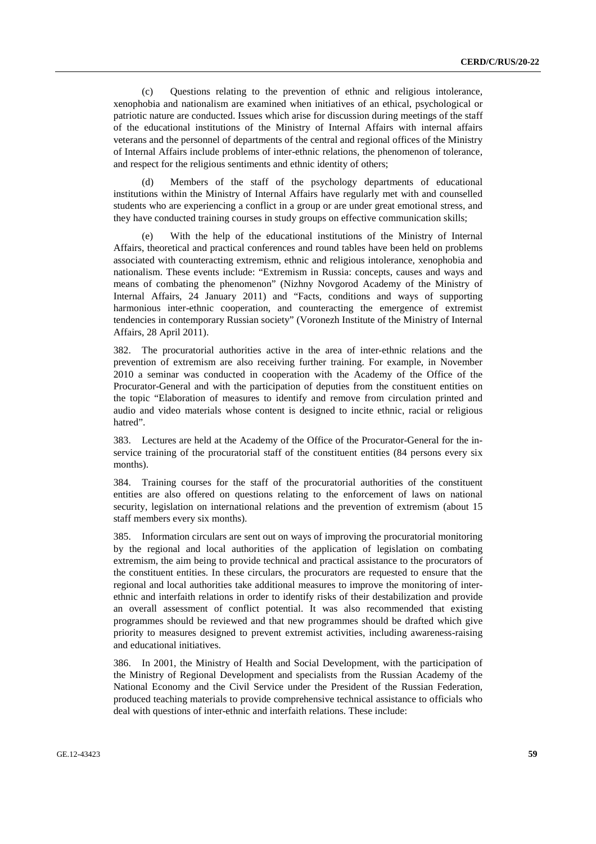(c) Questions relating to the prevention of ethnic and religious intolerance, xenophobia and nationalism are examined when initiatives of an ethical, psychological or patriotic nature are conducted. Issues which arise for discussion during meetings of the staff of the educational institutions of the Ministry of Internal Affairs with internal affairs veterans and the personnel of departments of the central and regional offices of the Ministry of Internal Affairs include problems of inter-ethnic relations, the phenomenon of tolerance, and respect for the religious sentiments and ethnic identity of others;

 (d) Members of the staff of the psychology departments of educational institutions within the Ministry of Internal Affairs have regularly met with and counselled students who are experiencing a conflict in a group or are under great emotional stress, and they have conducted training courses in study groups on effective communication skills;

With the help of the educational institutions of the Ministry of Internal Affairs, theoretical and practical conferences and round tables have been held on problems associated with counteracting extremism, ethnic and religious intolerance, xenophobia and nationalism. These events include: "Extremism in Russia: concepts, causes and ways and means of combating the phenomenon" (Nizhny Novgorod Academy of the Ministry of Internal Affairs, 24 January 2011) and "Facts, conditions and ways of supporting harmonious inter-ethnic cooperation, and counteracting the emergence of extremist tendencies in contemporary Russian society" (Voronezh Institute of the Ministry of Internal Affairs, 28 April 2011).

382. The procuratorial authorities active in the area of inter-ethnic relations and the prevention of extremism are also receiving further training. For example, in November 2010 a seminar was conducted in cooperation with the Academy of the Office of the Procurator-General and with the participation of deputies from the constituent entities on the topic "Elaboration of measures to identify and remove from circulation printed and audio and video materials whose content is designed to incite ethnic, racial or religious hatred".

383. Lectures are held at the Academy of the Office of the Procurator-General for the inservice training of the procuratorial staff of the constituent entities (84 persons every six months).

384. Training courses for the staff of the procuratorial authorities of the constituent entities are also offered on questions relating to the enforcement of laws on national security, legislation on international relations and the prevention of extremism (about 15 staff members every six months).

385. Information circulars are sent out on ways of improving the procuratorial monitoring by the regional and local authorities of the application of legislation on combating extremism, the aim being to provide technical and practical assistance to the procurators of the constituent entities. In these circulars, the procurators are requested to ensure that the regional and local authorities take additional measures to improve the monitoring of interethnic and interfaith relations in order to identify risks of their destabilization and provide an overall assessment of conflict potential. It was also recommended that existing programmes should be reviewed and that new programmes should be drafted which give priority to measures designed to prevent extremist activities, including awareness-raising and educational initiatives.

386. In 2001, the Ministry of Health and Social Development, with the participation of the Ministry of Regional Development and specialists from the Russian Academy of the National Economy and the Civil Service under the President of the Russian Federation, produced teaching materials to provide comprehensive technical assistance to officials who deal with questions of inter-ethnic and interfaith relations. These include: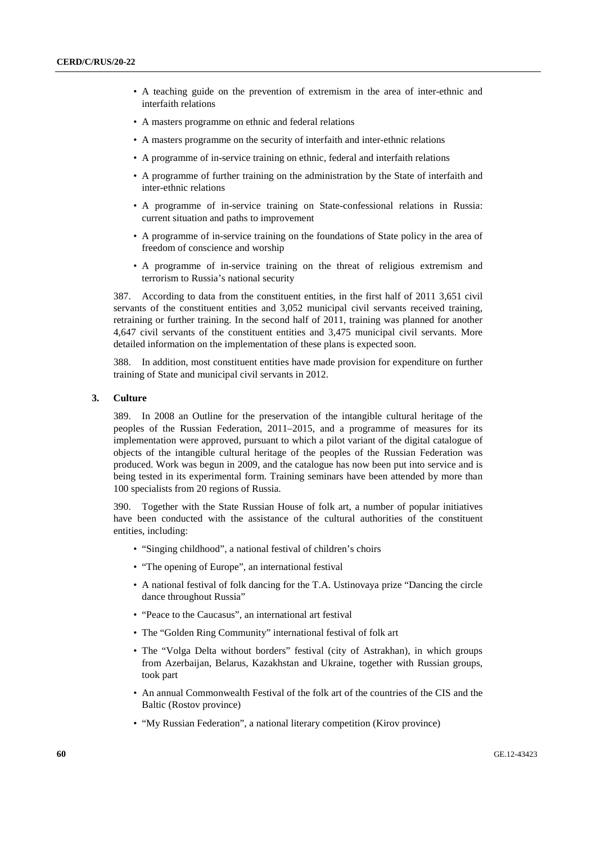- A teaching guide on the prevention of extremism in the area of inter-ethnic and interfaith relations
- A masters programme on ethnic and federal relations
- A masters programme on the security of interfaith and inter-ethnic relations
- A programme of in-service training on ethnic, federal and interfaith relations
- A programme of further training on the administration by the State of interfaith and inter-ethnic relations
- A programme of in-service training on State-confessional relations in Russia: current situation and paths to improvement
- A programme of in-service training on the foundations of State policy in the area of freedom of conscience and worship
- A programme of in-service training on the threat of religious extremism and terrorism to Russia's national security

387. According to data from the constituent entities, in the first half of 2011 3,651 civil servants of the constituent entities and 3,052 municipal civil servants received training, retraining or further training. In the second half of 2011, training was planned for another 4,647 civil servants of the constituent entities and 3,475 municipal civil servants. More detailed information on the implementation of these plans is expected soon.

388. In addition, most constituent entities have made provision for expenditure on further training of State and municipal civil servants in 2012.

#### **3. Culture**

389. In 2008 an Outline for the preservation of the intangible cultural heritage of the peoples of the Russian Federation, 2011–2015, and a programme of measures for its implementation were approved, pursuant to which a pilot variant of the digital catalogue of objects of the intangible cultural heritage of the peoples of the Russian Federation was produced. Work was begun in 2009, and the catalogue has now been put into service and is being tested in its experimental form. Training seminars have been attended by more than 100 specialists from 20 regions of Russia.

390. Together with the State Russian House of folk art, a number of popular initiatives have been conducted with the assistance of the cultural authorities of the constituent entities, including:

- "Singing childhood", a national festival of children's choirs
- "The opening of Europe", an international festival
- A national festival of folk dancing for the T.A. Ustinovaya prize "Dancing the circle dance throughout Russia"
- "Peace to the Caucasus", an international art festival
- The "Golden Ring Community" international festival of folk art
- The "Volga Delta without borders" festival (city of Astrakhan), in which groups from Azerbaijan, Belarus, Kazakhstan and Ukraine, together with Russian groups, took part
- An annual Commonwealth Festival of the folk art of the countries of the CIS and the Baltic (Rostov province)
- "My Russian Federation", a national literary competition (Kirov province)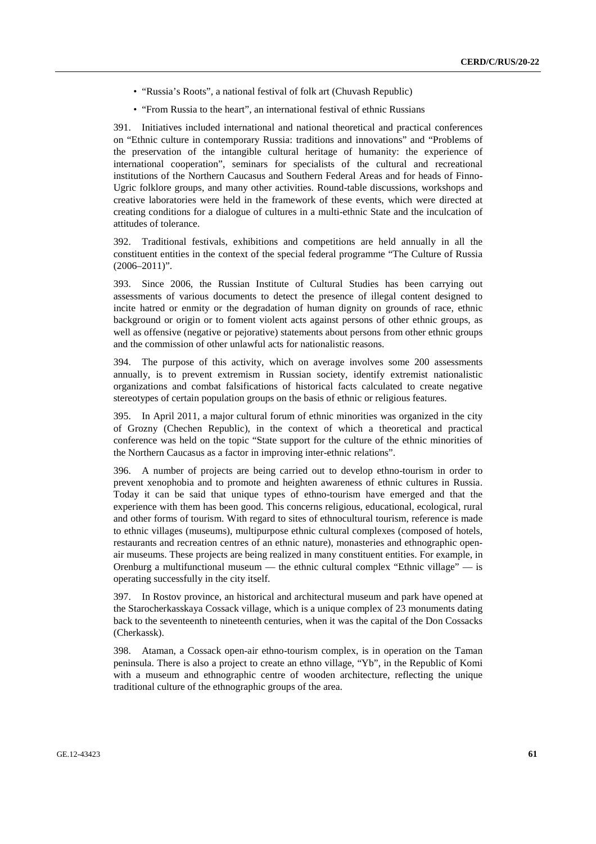- "Russia's Roots", a national festival of folk art (Chuvash Republic)
- "From Russia to the heart", an international festival of ethnic Russians

391. Initiatives included international and national theoretical and practical conferences on "Ethnic culture in contemporary Russia: traditions and innovations" and "Problems of the preservation of the intangible cultural heritage of humanity: the experience of international cooperation", seminars for specialists of the cultural and recreational institutions of the Northern Caucasus and Southern Federal Areas and for heads of Finno-Ugric folklore groups, and many other activities. Round-table discussions, workshops and creative laboratories were held in the framework of these events, which were directed at creating conditions for a dialogue of cultures in a multi-ethnic State and the inculcation of attitudes of tolerance.

392. Traditional festivals, exhibitions and competitions are held annually in all the constituent entities in the context of the special federal programme "The Culture of Russia (2006–2011)".

393. Since 2006, the Russian Institute of Cultural Studies has been carrying out assessments of various documents to detect the presence of illegal content designed to incite hatred or enmity or the degradation of human dignity on grounds of race, ethnic background or origin or to foment violent acts against persons of other ethnic groups, as well as offensive (negative or pejorative) statements about persons from other ethnic groups and the commission of other unlawful acts for nationalistic reasons.

394. The purpose of this activity, which on average involves some 200 assessments annually, is to prevent extremism in Russian society, identify extremist nationalistic organizations and combat falsifications of historical facts calculated to create negative stereotypes of certain population groups on the basis of ethnic or religious features.

395. In April 2011, a major cultural forum of ethnic minorities was organized in the city of Grozny (Chechen Republic), in the context of which a theoretical and practical conference was held on the topic "State support for the culture of the ethnic minorities of the Northern Caucasus as a factor in improving inter-ethnic relations".

396. A number of projects are being carried out to develop ethno-tourism in order to prevent xenophobia and to promote and heighten awareness of ethnic cultures in Russia. Today it can be said that unique types of ethno-tourism have emerged and that the experience with them has been good. This concerns religious, educational, ecological, rural and other forms of tourism. With regard to sites of ethnocultural tourism, reference is made to ethnic villages (museums), multipurpose ethnic cultural complexes (composed of hotels, restaurants and recreation centres of an ethnic nature), monasteries and ethnographic openair museums. These projects are being realized in many constituent entities. For example, in Orenburg a multifunctional museum — the ethnic cultural complex "Ethnic village" — is operating successfully in the city itself.

397. In Rostov province, an historical and architectural museum and park have opened at the Starocherkasskaya Cossack village, which is a unique complex of 23 monuments dating back to the seventeenth to nineteenth centuries, when it was the capital of the Don Cossacks (Cherkassk).

398. Ataman, a Cossack open-air ethno-tourism complex, is in operation on the Taman peninsula. There is also a project to create an ethno village, "Yb", in the Republic of Komi with a museum and ethnographic centre of wooden architecture, reflecting the unique traditional culture of the ethnographic groups of the area.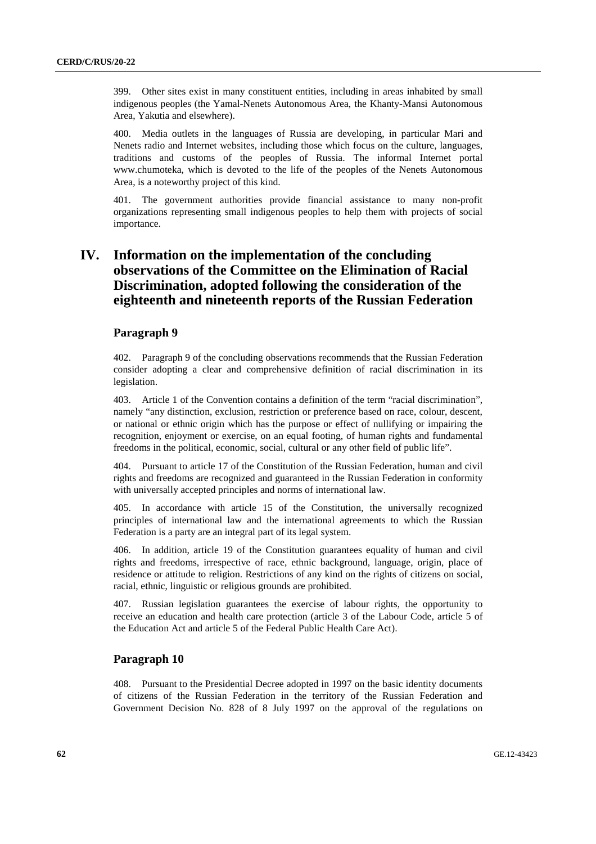399. Other sites exist in many constituent entities, including in areas inhabited by small indigenous peoples (the Yamal-Nenets Autonomous Area, the Khanty-Mansi Autonomous Area, Yakutia and elsewhere).

400. Media outlets in the languages of Russia are developing, in particular Mari and Nenets radio and Internet websites, including those which focus on the culture, languages, traditions and customs of the peoples of Russia. The informal Internet portal www.chumoteka, which is devoted to the life of the peoples of the Nenets Autonomous Area, is a noteworthy project of this kind.

401. The government authorities provide financial assistance to many non-profit organizations representing small indigenous peoples to help them with projects of social importance.

# **IV. Information on the implementation of the concluding observations of the Committee on the Elimination of Racial Discrimination, adopted following the consideration of the eighteenth and nineteenth reports of the Russian Federation**

# **Paragraph 9**

402. Paragraph 9 of the concluding observations recommends that the Russian Federation consider adopting a clear and comprehensive definition of racial discrimination in its legislation.

403. Article 1 of the Convention contains a definition of the term "racial discrimination", namely "any distinction, exclusion, restriction or preference based on race, colour, descent, or national or ethnic origin which has the purpose or effect of nullifying or impairing the recognition, enjoyment or exercise, on an equal footing, of human rights and fundamental freedoms in the political, economic, social, cultural or any other field of public life".

404. Pursuant to article 17 of the Constitution of the Russian Federation, human and civil rights and freedoms are recognized and guaranteed in the Russian Federation in conformity with universally accepted principles and norms of international law.

405. In accordance with article 15 of the Constitution, the universally recognized principles of international law and the international agreements to which the Russian Federation is a party are an integral part of its legal system.

406. In addition, article 19 of the Constitution guarantees equality of human and civil rights and freedoms, irrespective of race, ethnic background, language, origin, place of residence or attitude to religion. Restrictions of any kind on the rights of citizens on social, racial, ethnic, linguistic or religious grounds are prohibited.

407. Russian legislation guarantees the exercise of labour rights, the opportunity to receive an education and health care protection (article 3 of the Labour Code, article 5 of the Education Act and article 5 of the Federal Public Health Care Act).

# **Paragraph 10**

408. Pursuant to the Presidential Decree adopted in 1997 on the basic identity documents of citizens of the Russian Federation in the territory of the Russian Federation and Government Decision No. 828 of 8 July 1997 on the approval of the regulations on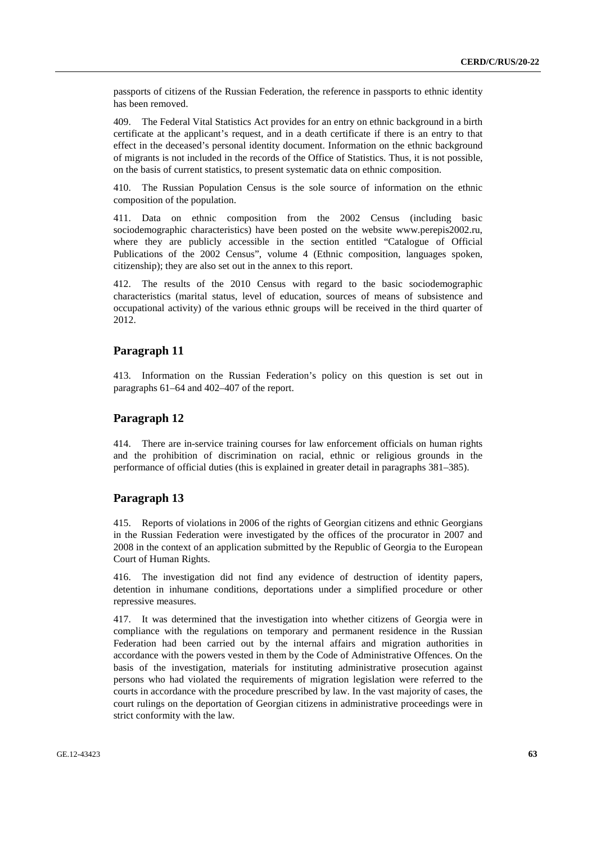passports of citizens of the Russian Federation, the reference in passports to ethnic identity has been removed.

409. The Federal Vital Statistics Act provides for an entry on ethnic background in a birth certificate at the applicant's request, and in a death certificate if there is an entry to that effect in the deceased's personal identity document. Information on the ethnic background of migrants is not included in the records of the Office of Statistics. Thus, it is not possible, on the basis of current statistics, to present systematic data on ethnic composition.

410. The Russian Population Census is the sole source of information on the ethnic composition of the population.

411. Data on ethnic composition from the 2002 Census (including basic sociodemographic characteristics) have been posted on the website www.perepis2002.ru, where they are publicly accessible in the section entitled "Catalogue of Official Publications of the 2002 Census", volume 4 (Ethnic composition, languages spoken, citizenship); they are also set out in the annex to this report.

412. The results of the 2010 Census with regard to the basic sociodemographic characteristics (marital status, level of education, sources of means of subsistence and occupational activity) of the various ethnic groups will be received in the third quarter of 2012.

# **Paragraph 11**

413. Information on the Russian Federation's policy on this question is set out in paragraphs 61–64 and 402–407 of the report.

## **Paragraph 12**

414. There are in-service training courses for law enforcement officials on human rights and the prohibition of discrimination on racial, ethnic or religious grounds in the performance of official duties (this is explained in greater detail in paragraphs 381–385).

## **Paragraph 13**

415. Reports of violations in 2006 of the rights of Georgian citizens and ethnic Georgians in the Russian Federation were investigated by the offices of the procurator in 2007 and 2008 in the context of an application submitted by the Republic of Georgia to the European Court of Human Rights.

416. The investigation did not find any evidence of destruction of identity papers, detention in inhumane conditions, deportations under a simplified procedure or other repressive measures.

417. It was determined that the investigation into whether citizens of Georgia were in compliance with the regulations on temporary and permanent residence in the Russian Federation had been carried out by the internal affairs and migration authorities in accordance with the powers vested in them by the Code of Administrative Offences. On the basis of the investigation, materials for instituting administrative prosecution against persons who had violated the requirements of migration legislation were referred to the courts in accordance with the procedure prescribed by law. In the vast majority of cases, the court rulings on the deportation of Georgian citizens in administrative proceedings were in strict conformity with the law.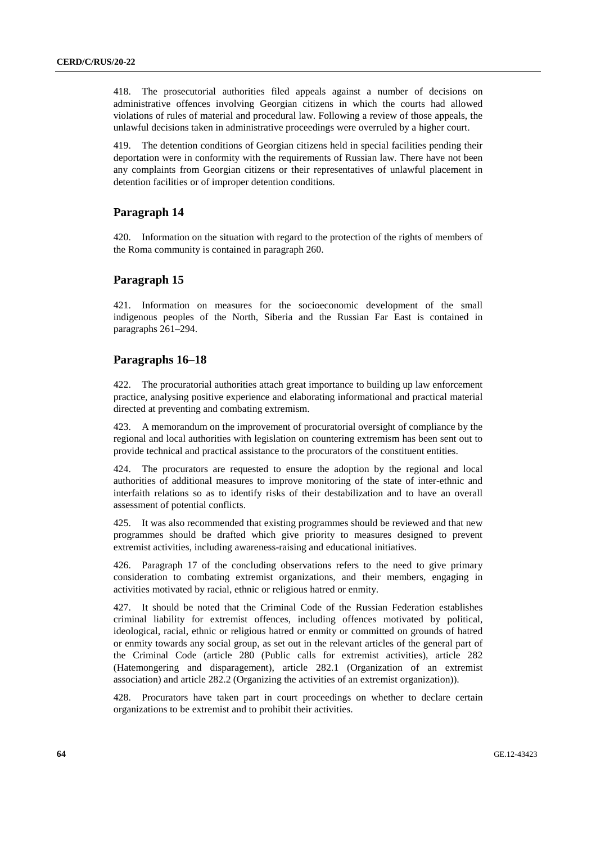418. The prosecutorial authorities filed appeals against a number of decisions on administrative offences involving Georgian citizens in which the courts had allowed violations of rules of material and procedural law. Following a review of those appeals, the unlawful decisions taken in administrative proceedings were overruled by a higher court.

419. The detention conditions of Georgian citizens held in special facilities pending their deportation were in conformity with the requirements of Russian law. There have not been any complaints from Georgian citizens or their representatives of unlawful placement in detention facilities or of improper detention conditions.

## **Paragraph 14**

420. Information on the situation with regard to the protection of the rights of members of the Roma community is contained in paragraph 260.

# **Paragraph 15**

421. Information on measures for the socioeconomic development of the small indigenous peoples of the North, Siberia and the Russian Far East is contained in paragraphs 261–294.

## **Paragraphs 16–18**

422. The procuratorial authorities attach great importance to building up law enforcement practice, analysing positive experience and elaborating informational and practical material directed at preventing and combating extremism.

423. A memorandum on the improvement of procuratorial oversight of compliance by the regional and local authorities with legislation on countering extremism has been sent out to provide technical and practical assistance to the procurators of the constituent entities.

424. The procurators are requested to ensure the adoption by the regional and local authorities of additional measures to improve monitoring of the state of inter-ethnic and interfaith relations so as to identify risks of their destabilization and to have an overall assessment of potential conflicts.

425. It was also recommended that existing programmes should be reviewed and that new programmes should be drafted which give priority to measures designed to prevent extremist activities, including awareness-raising and educational initiatives.

426. Paragraph 17 of the concluding observations refers to the need to give primary consideration to combating extremist organizations, and their members, engaging in activities motivated by racial, ethnic or religious hatred or enmity.

427. It should be noted that the Criminal Code of the Russian Federation establishes criminal liability for extremist offences, including offences motivated by political, ideological, racial, ethnic or religious hatred or enmity or committed on grounds of hatred or enmity towards any social group, as set out in the relevant articles of the general part of the Criminal Code (article 280 (Public calls for extremist activities), article 282 (Hatemongering and disparagement), article 282.1 (Organization of an extremist association) and article 282.2 (Organizing the activities of an extremist organization)).

428. Procurators have taken part in court proceedings on whether to declare certain organizations to be extremist and to prohibit their activities.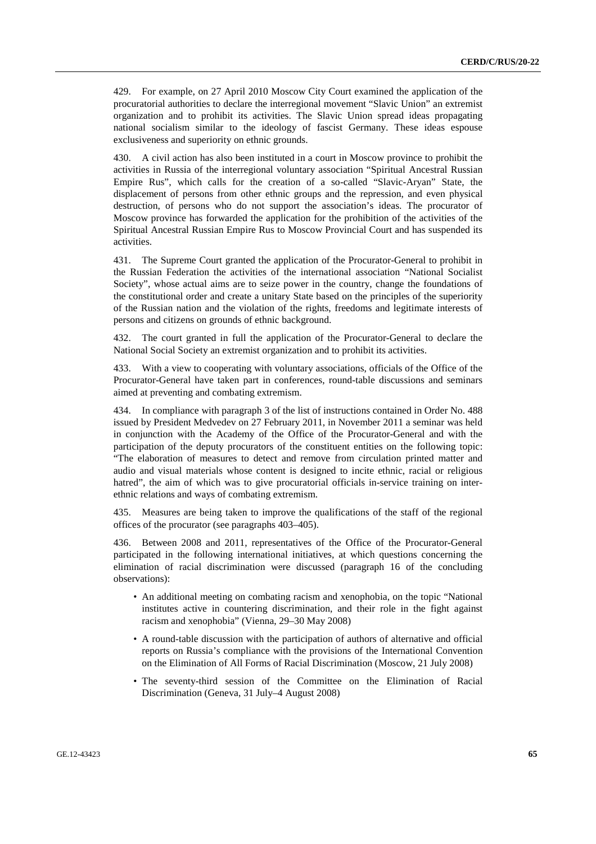429. For example, on 27 April 2010 Moscow City Court examined the application of the procuratorial authorities to declare the interregional movement "Slavic Union" an extremist organization and to prohibit its activities. The Slavic Union spread ideas propagating national socialism similar to the ideology of fascist Germany. These ideas espouse exclusiveness and superiority on ethnic grounds.

430. A civil action has also been instituted in a court in Moscow province to prohibit the activities in Russia of the interregional voluntary association "Spiritual Ancestral Russian Empire Rus", which calls for the creation of a so-called "Slavic-Aryan" State, the displacement of persons from other ethnic groups and the repression, and even physical destruction, of persons who do not support the association's ideas. The procurator of Moscow province has forwarded the application for the prohibition of the activities of the Spiritual Ancestral Russian Empire Rus to Moscow Provincial Court and has suspended its activities.

431. The Supreme Court granted the application of the Procurator-General to prohibit in the Russian Federation the activities of the international association "National Socialist Society", whose actual aims are to seize power in the country, change the foundations of the constitutional order and create a unitary State based on the principles of the superiority of the Russian nation and the violation of the rights, freedoms and legitimate interests of persons and citizens on grounds of ethnic background.

432. The court granted in full the application of the Procurator-General to declare the National Social Society an extremist organization and to prohibit its activities.

433. With a view to cooperating with voluntary associations, officials of the Office of the Procurator-General have taken part in conferences, round-table discussions and seminars aimed at preventing and combating extremism.

434. In compliance with paragraph 3 of the list of instructions contained in Order No. 488 issued by President Medvedev on 27 February 2011, in November 2011 a seminar was held in conjunction with the Academy of the Office of the Procurator-General and with the participation of the deputy procurators of the constituent entities on the following topic: "The elaboration of measures to detect and remove from circulation printed matter and audio and visual materials whose content is designed to incite ethnic, racial or religious hatred", the aim of which was to give procuratorial officials in-service training on interethnic relations and ways of combating extremism.

435. Measures are being taken to improve the qualifications of the staff of the regional offices of the procurator (see paragraphs 403–405).

436. Between 2008 and 2011, representatives of the Office of the Procurator-General participated in the following international initiatives, at which questions concerning the elimination of racial discrimination were discussed (paragraph 16 of the concluding observations):

- An additional meeting on combating racism and xenophobia, on the topic "National institutes active in countering discrimination, and their role in the fight against racism and xenophobia" (Vienna, 29–30 May 2008)
- A round-table discussion with the participation of authors of alternative and official reports on Russia's compliance with the provisions of the International Convention on the Elimination of All Forms of Racial Discrimination (Moscow, 21 July 2008)
- The seventy-third session of the Committee on the Elimination of Racial Discrimination (Geneva, 31 July–4 August 2008)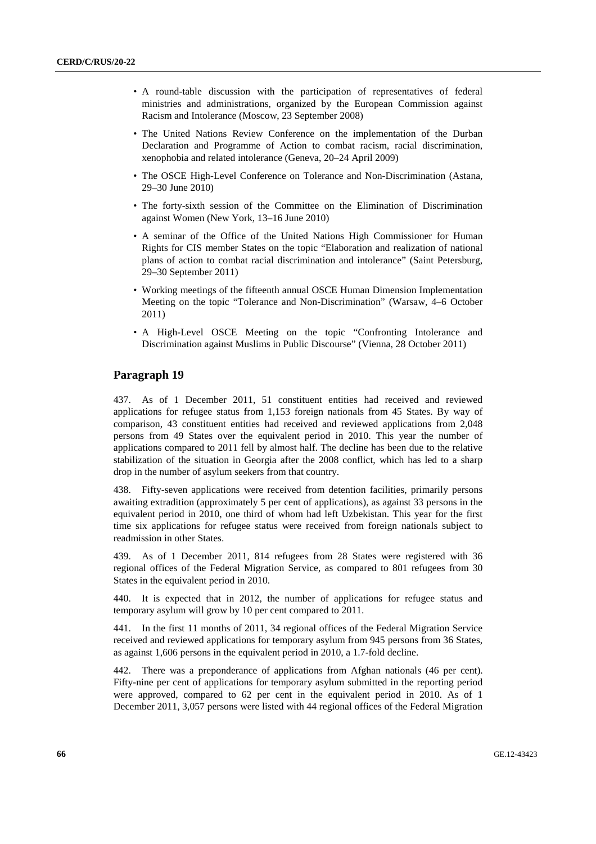- A round-table discussion with the participation of representatives of federal ministries and administrations, organized by the European Commission against Racism and Intolerance (Moscow, 23 September 2008)
- The United Nations Review Conference on the implementation of the Durban Declaration and Programme of Action to combat racism, racial discrimination, xenophobia and related intolerance (Geneva, 20–24 April 2009)
- The OSCE High-Level Conference on Tolerance and Non-Discrimination (Astana, 29–30 June 2010)
- The forty-sixth session of the Committee on the Elimination of Discrimination against Women (New York, 13–16 June 2010)
- A seminar of the Office of the United Nations High Commissioner for Human Rights for CIS member States on the topic "Elaboration and realization of national plans of action to combat racial discrimination and intolerance" (Saint Petersburg, 29–30 September 2011)
- Working meetings of the fifteenth annual OSCE Human Dimension Implementation Meeting on the topic "Tolerance and Non-Discrimination" (Warsaw, 4–6 October 2011)
- A High-Level OSCE Meeting on the topic "Confronting Intolerance and Discrimination against Muslims in Public Discourse" (Vienna, 28 October 2011)

## **Paragraph 19**

437. As of 1 December 2011, 51 constituent entities had received and reviewed applications for refugee status from 1,153 foreign nationals from 45 States. By way of comparison, 43 constituent entities had received and reviewed applications from 2,048 persons from 49 States over the equivalent period in 2010. This year the number of applications compared to 2011 fell by almost half. The decline has been due to the relative stabilization of the situation in Georgia after the 2008 conflict, which has led to a sharp drop in the number of asylum seekers from that country.

438. Fifty-seven applications were received from detention facilities, primarily persons awaiting extradition (approximately 5 per cent of applications), as against 33 persons in the equivalent period in 2010, one third of whom had left Uzbekistan. This year for the first time six applications for refugee status were received from foreign nationals subject to readmission in other States.

439. As of 1 December 2011, 814 refugees from 28 States were registered with 36 regional offices of the Federal Migration Service, as compared to 801 refugees from 30 States in the equivalent period in 2010.

440. It is expected that in 2012, the number of applications for refugee status and temporary asylum will grow by 10 per cent compared to 2011.

441. In the first 11 months of 2011, 34 regional offices of the Federal Migration Service received and reviewed applications for temporary asylum from 945 persons from 36 States, as against 1,606 persons in the equivalent period in 2010, a 1.7-fold decline.

442. There was a preponderance of applications from Afghan nationals (46 per cent). Fifty-nine per cent of applications for temporary asylum submitted in the reporting period were approved, compared to 62 per cent in the equivalent period in 2010. As of 1 December 2011, 3,057 persons were listed with 44 regional offices of the Federal Migration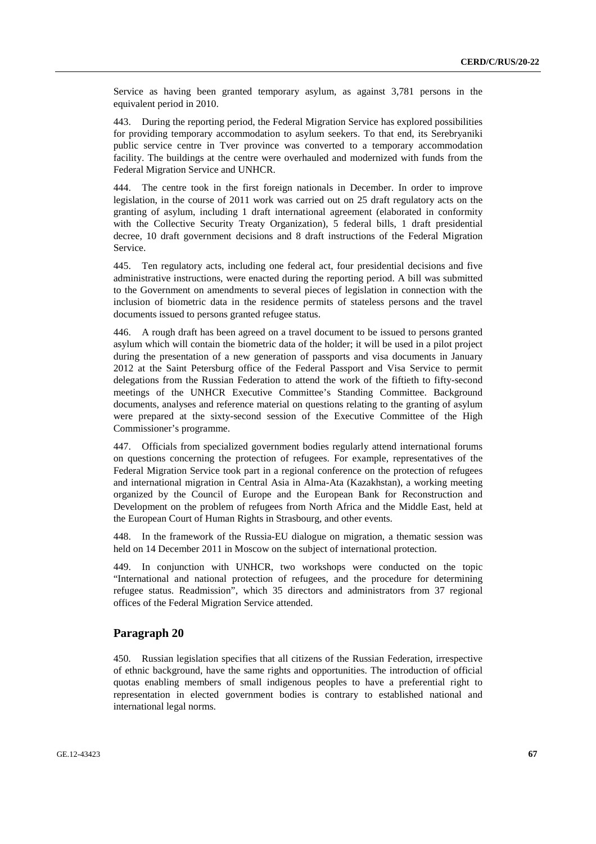Service as having been granted temporary asylum, as against 3,781 persons in the equivalent period in 2010.

443. During the reporting period, the Federal Migration Service has explored possibilities for providing temporary accommodation to asylum seekers. To that end, its Serebryaniki public service centre in Tver province was converted to a temporary accommodation facility. The buildings at the centre were overhauled and modernized with funds from the Federal Migration Service and UNHCR.

444. The centre took in the first foreign nationals in December. In order to improve legislation, in the course of 2011 work was carried out on 25 draft regulatory acts on the granting of asylum, including 1 draft international agreement (elaborated in conformity with the Collective Security Treaty Organization), 5 federal bills, 1 draft presidential decree, 10 draft government decisions and 8 draft instructions of the Federal Migration Service.

445. Ten regulatory acts, including one federal act, four presidential decisions and five administrative instructions, were enacted during the reporting period. A bill was submitted to the Government on amendments to several pieces of legislation in connection with the inclusion of biometric data in the residence permits of stateless persons and the travel documents issued to persons granted refugee status.

446. A rough draft has been agreed on a travel document to be issued to persons granted asylum which will contain the biometric data of the holder; it will be used in a pilot project during the presentation of a new generation of passports and visa documents in January 2012 at the Saint Petersburg office of the Federal Passport and Visa Service to permit delegations from the Russian Federation to attend the work of the fiftieth to fifty-second meetings of the UNHCR Executive Committee's Standing Committee. Background documents, analyses and reference material on questions relating to the granting of asylum were prepared at the sixty-second session of the Executive Committee of the High Commissioner's programme.

447. Officials from specialized government bodies regularly attend international forums on questions concerning the protection of refugees. For example, representatives of the Federal Migration Service took part in a regional conference on the protection of refugees and international migration in Central Asia in Alma-Ata (Kazakhstan), a working meeting organized by the Council of Europe and the European Bank for Reconstruction and Development on the problem of refugees from North Africa and the Middle East, held at the European Court of Human Rights in Strasbourg, and other events.

448. In the framework of the Russia-EU dialogue on migration, a thematic session was held on 14 December 2011 in Moscow on the subject of international protection.

449. In conjunction with UNHCR, two workshops were conducted on the topic "International and national protection of refugees, and the procedure for determining refugee status. Readmission", which 35 directors and administrators from 37 regional offices of the Federal Migration Service attended.

# **Paragraph 20**

450. Russian legislation specifies that all citizens of the Russian Federation, irrespective of ethnic background, have the same rights and opportunities. The introduction of official quotas enabling members of small indigenous peoples to have a preferential right to representation in elected government bodies is contrary to established national and international legal norms.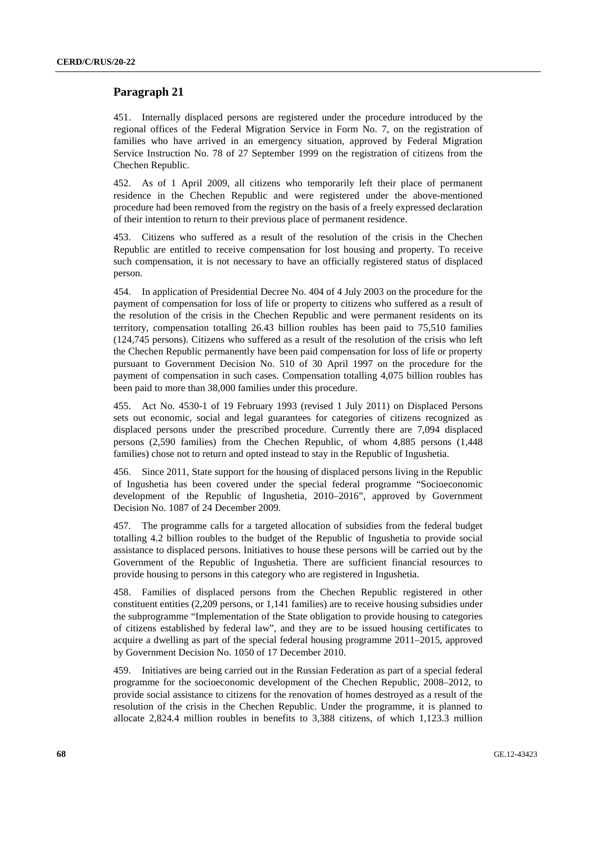# **Paragraph 21**

451. Internally displaced persons are registered under the procedure introduced by the regional offices of the Federal Migration Service in Form No. 7, on the registration of families who have arrived in an emergency situation, approved by Federal Migration Service Instruction No. 78 of 27 September 1999 on the registration of citizens from the Chechen Republic.

452. As of 1 April 2009, all citizens who temporarily left their place of permanent residence in the Chechen Republic and were registered under the above-mentioned procedure had been removed from the registry on the basis of a freely expressed declaration of their intention to return to their previous place of permanent residence.

453. Citizens who suffered as a result of the resolution of the crisis in the Chechen Republic are entitled to receive compensation for lost housing and property. To receive such compensation, it is not necessary to have an officially registered status of displaced person.

454. In application of Presidential Decree No. 404 of 4 July 2003 on the procedure for the payment of compensation for loss of life or property to citizens who suffered as a result of the resolution of the crisis in the Chechen Republic and were permanent residents on its territory, compensation totalling 26.43 billion roubles has been paid to 75,510 families (124,745 persons). Citizens who suffered as a result of the resolution of the crisis who left the Chechen Republic permanently have been paid compensation for loss of life or property pursuant to Government Decision No. 510 of 30 April 1997 on the procedure for the payment of compensation in such cases. Compensation totalling 4,075 billion roubles has been paid to more than 38,000 families under this procedure.

455. Act No. 4530-1 of 19 February 1993 (revised 1 July 2011) on Displaced Persons sets out economic, social and legal guarantees for categories of citizens recognized as displaced persons under the prescribed procedure. Currently there are 7,094 displaced persons (2,590 families) from the Chechen Republic, of whom 4,885 persons (1,448 families) chose not to return and opted instead to stay in the Republic of Ingushetia.

456. Since 2011, State support for the housing of displaced persons living in the Republic of Ingushetia has been covered under the special federal programme "Socioeconomic development of the Republic of Ingushetia, 2010–2016", approved by Government Decision No. 1087 of 24 December 2009.

457. The programme calls for a targeted allocation of subsidies from the federal budget totalling 4.2 billion roubles to the budget of the Republic of Ingushetia to provide social assistance to displaced persons. Initiatives to house these persons will be carried out by the Government of the Republic of Ingushetia. There are sufficient financial resources to provide housing to persons in this category who are registered in Ingushetia.

458. Families of displaced persons from the Chechen Republic registered in other constituent entities (2,209 persons, or 1,141 families) are to receive housing subsidies under the subprogramme "Implementation of the State obligation to provide housing to categories of citizens established by federal law", and they are to be issued housing certificates to acquire a dwelling as part of the special federal housing programme 2011–2015, approved by Government Decision No. 1050 of 17 December 2010.

459. Initiatives are being carried out in the Russian Federation as part of a special federal programme for the socioeconomic development of the Chechen Republic, 2008–2012, to provide social assistance to citizens for the renovation of homes destroyed as a result of the resolution of the crisis in the Chechen Republic. Under the programme, it is planned to allocate 2,824.4 million roubles in benefits to 3,388 citizens, of which 1,123.3 million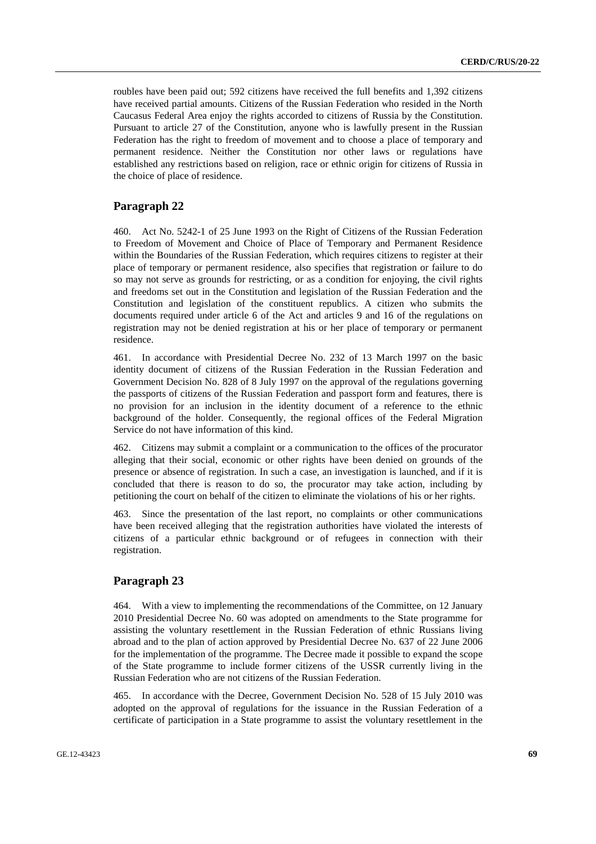roubles have been paid out; 592 citizens have received the full benefits and 1,392 citizens have received partial amounts. Citizens of the Russian Federation who resided in the North Caucasus Federal Area enjoy the rights accorded to citizens of Russia by the Constitution. Pursuant to article 27 of the Constitution, anyone who is lawfully present in the Russian Federation has the right to freedom of movement and to choose a place of temporary and permanent residence. Neither the Constitution nor other laws or regulations have established any restrictions based on religion, race or ethnic origin for citizens of Russia in the choice of place of residence.

# **Paragraph 22**

460. Act No. 5242-1 of 25 June 1993 on the Right of Citizens of the Russian Federation to Freedom of Movement and Choice of Place of Temporary and Permanent Residence within the Boundaries of the Russian Federation, which requires citizens to register at their place of temporary or permanent residence, also specifies that registration or failure to do so may not serve as grounds for restricting, or as a condition for enjoying, the civil rights and freedoms set out in the Constitution and legislation of the Russian Federation and the Constitution and legislation of the constituent republics. A citizen who submits the documents required under article 6 of the Act and articles 9 and 16 of the regulations on registration may not be denied registration at his or her place of temporary or permanent residence.

461. In accordance with Presidential Decree No. 232 of 13 March 1997 on the basic identity document of citizens of the Russian Federation in the Russian Federation and Government Decision No. 828 of 8 July 1997 on the approval of the regulations governing the passports of citizens of the Russian Federation and passport form and features, there is no provision for an inclusion in the identity document of a reference to the ethnic background of the holder. Consequently, the regional offices of the Federal Migration Service do not have information of this kind.

462. Citizens may submit a complaint or a communication to the offices of the procurator alleging that their social, economic or other rights have been denied on grounds of the presence or absence of registration. In such a case, an investigation is launched, and if it is concluded that there is reason to do so, the procurator may take action, including by petitioning the court on behalf of the citizen to eliminate the violations of his or her rights.

463. Since the presentation of the last report, no complaints or other communications have been received alleging that the registration authorities have violated the interests of citizens of a particular ethnic background or of refugees in connection with their registration.

# **Paragraph 23**

464. With a view to implementing the recommendations of the Committee, on 12 January 2010 Presidential Decree No. 60 was adopted on amendments to the State programme for assisting the voluntary resettlement in the Russian Federation of ethnic Russians living abroad and to the plan of action approved by Presidential Decree No. 637 of 22 June 2006 for the implementation of the programme. The Decree made it possible to expand the scope of the State programme to include former citizens of the USSR currently living in the Russian Federation who are not citizens of the Russian Federation.

465. In accordance with the Decree, Government Decision No. 528 of 15 July 2010 was adopted on the approval of regulations for the issuance in the Russian Federation of a certificate of participation in a State programme to assist the voluntary resettlement in the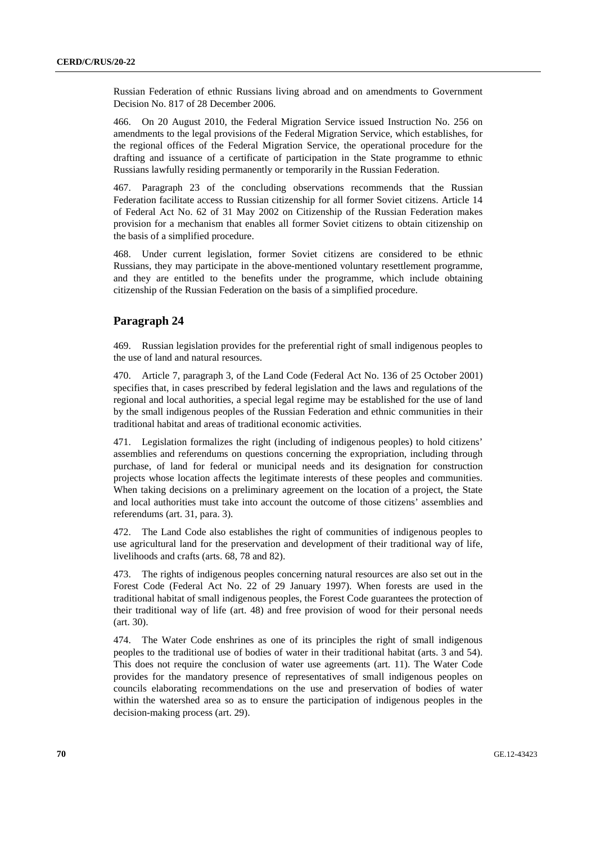Russian Federation of ethnic Russians living abroad and on amendments to Government Decision No. 817 of 28 December 2006.

466. On 20 August 2010, the Federal Migration Service issued Instruction No. 256 on amendments to the legal provisions of the Federal Migration Service, which establishes, for the regional offices of the Federal Migration Service, the operational procedure for the drafting and issuance of a certificate of participation in the State programme to ethnic Russians lawfully residing permanently or temporarily in the Russian Federation.

467. Paragraph 23 of the concluding observations recommends that the Russian Federation facilitate access to Russian citizenship for all former Soviet citizens. Article 14 of Federal Act No. 62 of 31 May 2002 on Citizenship of the Russian Federation makes provision for a mechanism that enables all former Soviet citizens to obtain citizenship on the basis of a simplified procedure.

468. Under current legislation, former Soviet citizens are considered to be ethnic Russians, they may participate in the above-mentioned voluntary resettlement programme, and they are entitled to the benefits under the programme, which include obtaining citizenship of the Russian Federation on the basis of a simplified procedure.

## **Paragraph 24**

469. Russian legislation provides for the preferential right of small indigenous peoples to the use of land and natural resources.

470. Article 7, paragraph 3, of the Land Code (Federal Act No. 136 of 25 October 2001) specifies that, in cases prescribed by federal legislation and the laws and regulations of the regional and local authorities, a special legal regime may be established for the use of land by the small indigenous peoples of the Russian Federation and ethnic communities in their traditional habitat and areas of traditional economic activities.

471. Legislation formalizes the right (including of indigenous peoples) to hold citizens' assemblies and referendums on questions concerning the expropriation, including through purchase, of land for federal or municipal needs and its designation for construction projects whose location affects the legitimate interests of these peoples and communities. When taking decisions on a preliminary agreement on the location of a project, the State and local authorities must take into account the outcome of those citizens' assemblies and referendums (art. 31, para. 3).

472. The Land Code also establishes the right of communities of indigenous peoples to use agricultural land for the preservation and development of their traditional way of life, livelihoods and crafts (arts. 68, 78 and 82).

473. The rights of indigenous peoples concerning natural resources are also set out in the Forest Code (Federal Act No. 22 of 29 January 1997). When forests are used in the traditional habitat of small indigenous peoples, the Forest Code guarantees the protection of their traditional way of life (art. 48) and free provision of wood for their personal needs (art. 30).

474. The Water Code enshrines as one of its principles the right of small indigenous peoples to the traditional use of bodies of water in their traditional habitat (arts. 3 and 54). This does not require the conclusion of water use agreements (art. 11). The Water Code provides for the mandatory presence of representatives of small indigenous peoples on councils elaborating recommendations on the use and preservation of bodies of water within the watershed area so as to ensure the participation of indigenous peoples in the decision-making process (art. 29).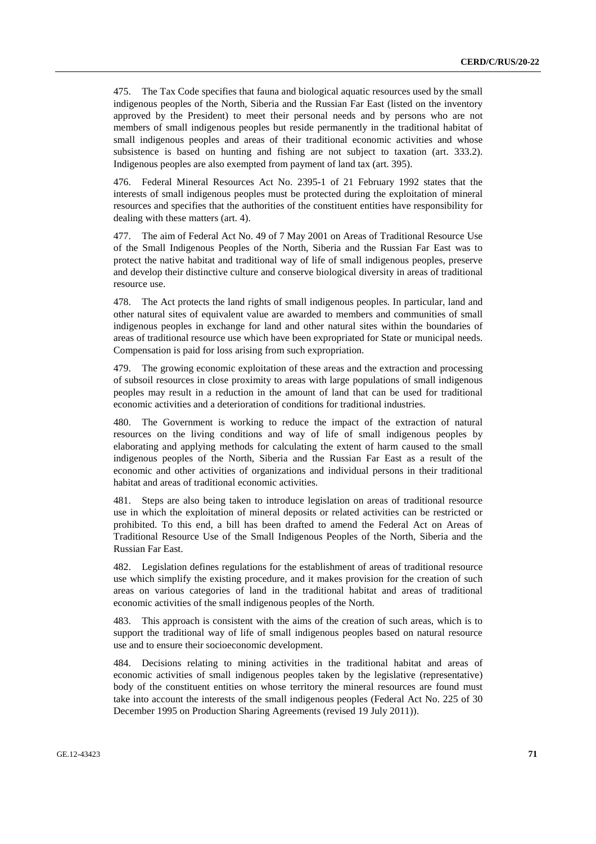475. The Tax Code specifies that fauna and biological aquatic resources used by the small indigenous peoples of the North, Siberia and the Russian Far East (listed on the inventory approved by the President) to meet their personal needs and by persons who are not members of small indigenous peoples but reside permanently in the traditional habitat of small indigenous peoples and areas of their traditional economic activities and whose subsistence is based on hunting and fishing are not subject to taxation (art. 333.2). Indigenous peoples are also exempted from payment of land tax (art. 395).

476. Federal Mineral Resources Act No. 2395-1 of 21 February 1992 states that the interests of small indigenous peoples must be protected during the exploitation of mineral resources and specifies that the authorities of the constituent entities have responsibility for dealing with these matters (art. 4).

477. The aim of Federal Act No. 49 of 7 May 2001 on Areas of Traditional Resource Use of the Small Indigenous Peoples of the North, Siberia and the Russian Far East was to protect the native habitat and traditional way of life of small indigenous peoples, preserve and develop their distinctive culture and conserve biological diversity in areas of traditional resource use.

478. The Act protects the land rights of small indigenous peoples. In particular, land and other natural sites of equivalent value are awarded to members and communities of small indigenous peoples in exchange for land and other natural sites within the boundaries of areas of traditional resource use which have been expropriated for State or municipal needs. Compensation is paid for loss arising from such expropriation.

479. The growing economic exploitation of these areas and the extraction and processing of subsoil resources in close proximity to areas with large populations of small indigenous peoples may result in a reduction in the amount of land that can be used for traditional economic activities and a deterioration of conditions for traditional industries.

480. The Government is working to reduce the impact of the extraction of natural resources on the living conditions and way of life of small indigenous peoples by elaborating and applying methods for calculating the extent of harm caused to the small indigenous peoples of the North, Siberia and the Russian Far East as a result of the economic and other activities of organizations and individual persons in their traditional habitat and areas of traditional economic activities.

481. Steps are also being taken to introduce legislation on areas of traditional resource use in which the exploitation of mineral deposits or related activities can be restricted or prohibited. To this end, a bill has been drafted to amend the Federal Act on Areas of Traditional Resource Use of the Small Indigenous Peoples of the North, Siberia and the Russian Far East.

482. Legislation defines regulations for the establishment of areas of traditional resource use which simplify the existing procedure, and it makes provision for the creation of such areas on various categories of land in the traditional habitat and areas of traditional economic activities of the small indigenous peoples of the North.

483. This approach is consistent with the aims of the creation of such areas, which is to support the traditional way of life of small indigenous peoples based on natural resource use and to ensure their socioeconomic development.

484. Decisions relating to mining activities in the traditional habitat and areas of economic activities of small indigenous peoples taken by the legislative (representative) body of the constituent entities on whose territory the mineral resources are found must take into account the interests of the small indigenous peoples (Federal Act No. 225 of 30 December 1995 on Production Sharing Agreements (revised 19 July 2011)).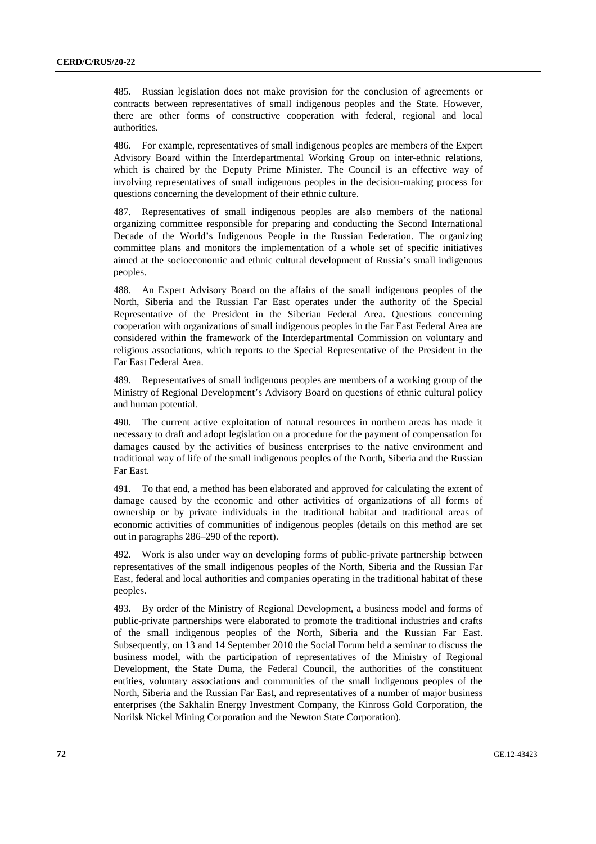485. Russian legislation does not make provision for the conclusion of agreements or contracts between representatives of small indigenous peoples and the State. However, there are other forms of constructive cooperation with federal, regional and local authorities.

486. For example, representatives of small indigenous peoples are members of the Expert Advisory Board within the Interdepartmental Working Group on inter-ethnic relations, which is chaired by the Deputy Prime Minister. The Council is an effective way of involving representatives of small indigenous peoples in the decision-making process for questions concerning the development of their ethnic culture.

487. Representatives of small indigenous peoples are also members of the national organizing committee responsible for preparing and conducting the Second International Decade of the World's Indigenous People in the Russian Federation. The organizing committee plans and monitors the implementation of a whole set of specific initiatives aimed at the socioeconomic and ethnic cultural development of Russia's small indigenous peoples.

488. An Expert Advisory Board on the affairs of the small indigenous peoples of the North, Siberia and the Russian Far East operates under the authority of the Special Representative of the President in the Siberian Federal Area. Questions concerning cooperation with organizations of small indigenous peoples in the Far East Federal Area are considered within the framework of the Interdepartmental Commission on voluntary and religious associations, which reports to the Special Representative of the President in the Far East Federal Area.

489. Representatives of small indigenous peoples are members of a working group of the Ministry of Regional Development's Advisory Board on questions of ethnic cultural policy and human potential.

490. The current active exploitation of natural resources in northern areas has made it necessary to draft and adopt legislation on a procedure for the payment of compensation for damages caused by the activities of business enterprises to the native environment and traditional way of life of the small indigenous peoples of the North, Siberia and the Russian Far East.

491. To that end, a method has been elaborated and approved for calculating the extent of damage caused by the economic and other activities of organizations of all forms of ownership or by private individuals in the traditional habitat and traditional areas of economic activities of communities of indigenous peoples (details on this method are set out in paragraphs 286–290 of the report).

492. Work is also under way on developing forms of public-private partnership between representatives of the small indigenous peoples of the North, Siberia and the Russian Far East, federal and local authorities and companies operating in the traditional habitat of these peoples.

493. By order of the Ministry of Regional Development, a business model and forms of public-private partnerships were elaborated to promote the traditional industries and crafts of the small indigenous peoples of the North, Siberia and the Russian Far East. Subsequently, on 13 and 14 September 2010 the Social Forum held a seminar to discuss the business model, with the participation of representatives of the Ministry of Regional Development, the State Duma, the Federal Council, the authorities of the constituent entities, voluntary associations and communities of the small indigenous peoples of the North, Siberia and the Russian Far East, and representatives of a number of major business enterprises (the Sakhalin Energy Investment Company, the Kinross Gold Corporation, the Norilsk Nickel Mining Corporation and the Newton State Corporation).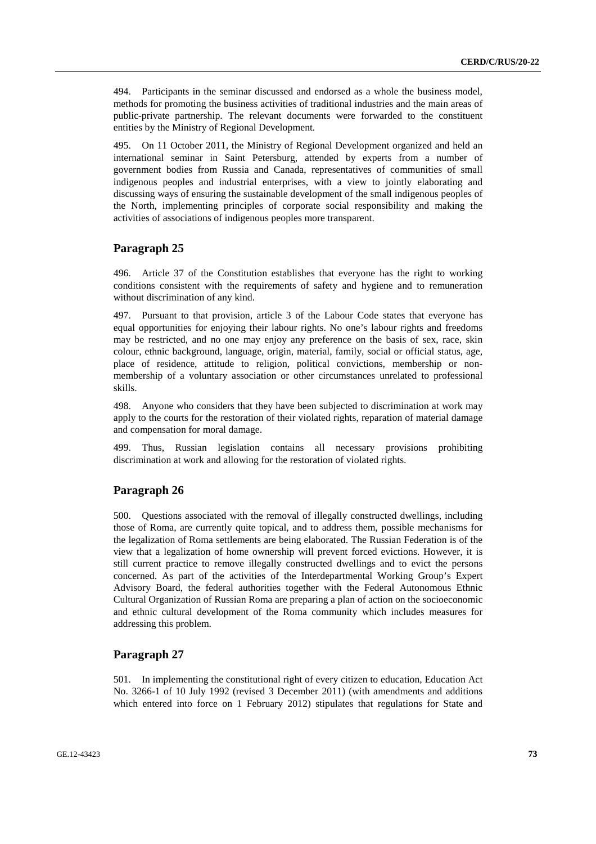494. Participants in the seminar discussed and endorsed as a whole the business model, methods for promoting the business activities of traditional industries and the main areas of public-private partnership. The relevant documents were forwarded to the constituent entities by the Ministry of Regional Development.

495. On 11 October 2011, the Ministry of Regional Development organized and held an international seminar in Saint Petersburg, attended by experts from a number of government bodies from Russia and Canada, representatives of communities of small indigenous peoples and industrial enterprises, with a view to jointly elaborating and discussing ways of ensuring the sustainable development of the small indigenous peoples of the North, implementing principles of corporate social responsibility and making the activities of associations of indigenous peoples more transparent.

# **Paragraph 25**

496. Article 37 of the Constitution establishes that everyone has the right to working conditions consistent with the requirements of safety and hygiene and to remuneration without discrimination of any kind.

497. Pursuant to that provision, article 3 of the Labour Code states that everyone has equal opportunities for enjoying their labour rights. No one's labour rights and freedoms may be restricted, and no one may enjoy any preference on the basis of sex, race, skin colour, ethnic background, language, origin, material, family, social or official status, age, place of residence, attitude to religion, political convictions, membership or nonmembership of a voluntary association or other circumstances unrelated to professional skills.

498. Anyone who considers that they have been subjected to discrimination at work may apply to the courts for the restoration of their violated rights, reparation of material damage and compensation for moral damage.

499. Thus, Russian legislation contains all necessary provisions prohibiting discrimination at work and allowing for the restoration of violated rights.

# **Paragraph 26**

500. Questions associated with the removal of illegally constructed dwellings, including those of Roma, are currently quite topical, and to address them, possible mechanisms for the legalization of Roma settlements are being elaborated. The Russian Federation is of the view that a legalization of home ownership will prevent forced evictions. However, it is still current practice to remove illegally constructed dwellings and to evict the persons concerned. As part of the activities of the Interdepartmental Working Group's Expert Advisory Board, the federal authorities together with the Federal Autonomous Ethnic Cultural Organization of Russian Roma are preparing a plan of action on the socioeconomic and ethnic cultural development of the Roma community which includes measures for addressing this problem.

# **Paragraph 27**

501. In implementing the constitutional right of every citizen to education, Education Act No. 3266-1 of 10 July 1992 (revised 3 December 2011) (with amendments and additions which entered into force on 1 February 2012) stipulates that regulations for State and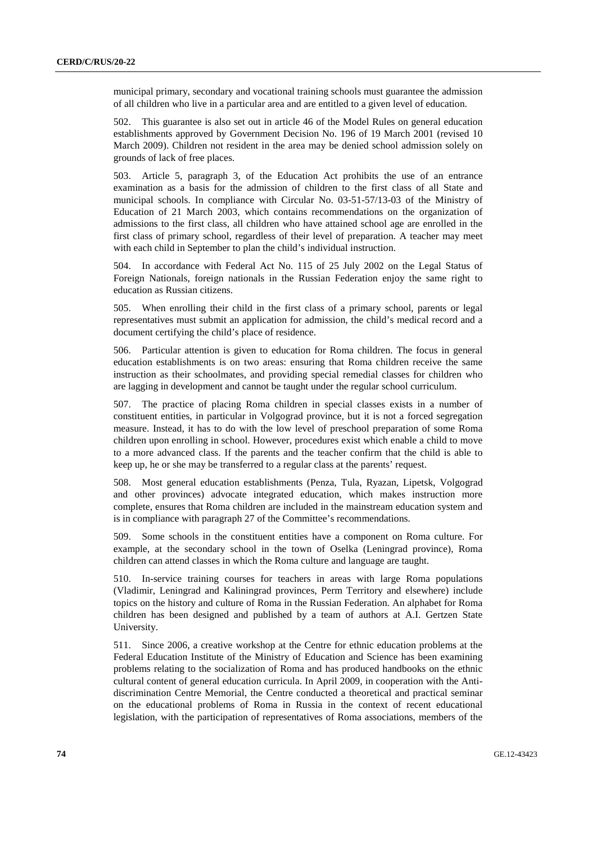municipal primary, secondary and vocational training schools must guarantee the admission of all children who live in a particular area and are entitled to a given level of education.

502. This guarantee is also set out in article 46 of the Model Rules on general education establishments approved by Government Decision No. 196 of 19 March 2001 (revised 10 March 2009). Children not resident in the area may be denied school admission solely on grounds of lack of free places.

503. Article 5, paragraph 3, of the Education Act prohibits the use of an entrance examination as a basis for the admission of children to the first class of all State and municipal schools. In compliance with Circular No. 03-51-57/13-03 of the Ministry of Education of 21 March 2003, which contains recommendations on the organization of admissions to the first class, all children who have attained school age are enrolled in the first class of primary school, regardless of their level of preparation. A teacher may meet with each child in September to plan the child's individual instruction.

504. In accordance with Federal Act No. 115 of 25 July 2002 on the Legal Status of Foreign Nationals, foreign nationals in the Russian Federation enjoy the same right to education as Russian citizens.

505. When enrolling their child in the first class of a primary school, parents or legal representatives must submit an application for admission, the child's medical record and a document certifying the child's place of residence.

506. Particular attention is given to education for Roma children. The focus in general education establishments is on two areas: ensuring that Roma children receive the same instruction as their schoolmates, and providing special remedial classes for children who are lagging in development and cannot be taught under the regular school curriculum.

507. The practice of placing Roma children in special classes exists in a number of constituent entities, in particular in Volgograd province, but it is not a forced segregation measure. Instead, it has to do with the low level of preschool preparation of some Roma children upon enrolling in school. However, procedures exist which enable a child to move to a more advanced class. If the parents and the teacher confirm that the child is able to keep up, he or she may be transferred to a regular class at the parents' request.

508. Most general education establishments (Penza, Tula, Ryazan, Lipetsk, Volgograd and other provinces) advocate integrated education, which makes instruction more complete, ensures that Roma children are included in the mainstream education system and is in compliance with paragraph 27 of the Committee's recommendations.

509. Some schools in the constituent entities have a component on Roma culture. For example, at the secondary school in the town of Oselka (Leningrad province), Roma children can attend classes in which the Roma culture and language are taught.

510. In-service training courses for teachers in areas with large Roma populations (Vladimir, Leningrad and Kaliningrad provinces, Perm Territory and elsewhere) include topics on the history and culture of Roma in the Russian Federation. An alphabet for Roma children has been designed and published by a team of authors at A.I. Gertzen State University.

511. Since 2006, a creative workshop at the Centre for ethnic education problems at the Federal Education Institute of the Ministry of Education and Science has been examining problems relating to the socialization of Roma and has produced handbooks on the ethnic cultural content of general education curricula. In April 2009, in cooperation with the Antidiscrimination Centre Memorial, the Centre conducted a theoretical and practical seminar on the educational problems of Roma in Russia in the context of recent educational legislation, with the participation of representatives of Roma associations, members of the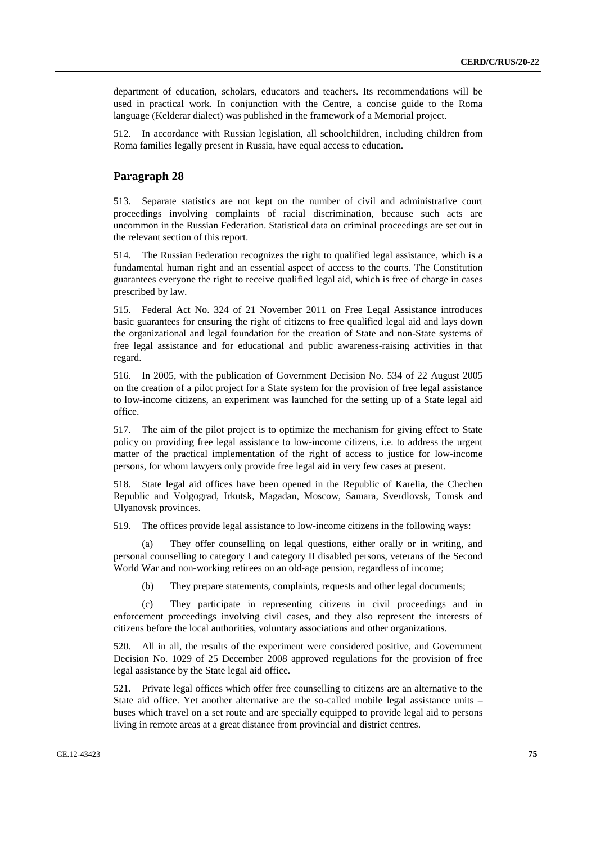department of education, scholars, educators and teachers. Its recommendations will be used in practical work. In conjunction with the Centre, a concise guide to the Roma language (Kelderar dialect) was published in the framework of a Memorial project.

512. In accordance with Russian legislation, all schoolchildren, including children from Roma families legally present in Russia, have equal access to education.

### **Paragraph 28**

513. Separate statistics are not kept on the number of civil and administrative court proceedings involving complaints of racial discrimination, because such acts are uncommon in the Russian Federation. Statistical data on criminal proceedings are set out in the relevant section of this report.

514. The Russian Federation recognizes the right to qualified legal assistance, which is a fundamental human right and an essential aspect of access to the courts. The Constitution guarantees everyone the right to receive qualified legal aid, which is free of charge in cases prescribed by law.

515. Federal Act No. 324 of 21 November 2011 on Free Legal Assistance introduces basic guarantees for ensuring the right of citizens to free qualified legal aid and lays down the organizational and legal foundation for the creation of State and non-State systems of free legal assistance and for educational and public awareness-raising activities in that regard.

516. In 2005, with the publication of Government Decision No. 534 of 22 August 2005 on the creation of a pilot project for a State system for the provision of free legal assistance to low-income citizens, an experiment was launched for the setting up of a State legal aid office.

517. The aim of the pilot project is to optimize the mechanism for giving effect to State policy on providing free legal assistance to low-income citizens, i.e. to address the urgent matter of the practical implementation of the right of access to justice for low-income persons, for whom lawyers only provide free legal aid in very few cases at present.

518. State legal aid offices have been opened in the Republic of Karelia, the Chechen Republic and Volgograd, Irkutsk, Magadan, Moscow, Samara, Sverdlovsk, Tomsk and Ulyanovsk provinces.

519. The offices provide legal assistance to low-income citizens in the following ways:

 (a) They offer counselling on legal questions, either orally or in writing, and personal counselling to category I and category II disabled persons, veterans of the Second World War and non-working retirees on an old-age pension, regardless of income;

(b) They prepare statements, complaints, requests and other legal documents;

 (c) They participate in representing citizens in civil proceedings and in enforcement proceedings involving civil cases, and they also represent the interests of citizens before the local authorities, voluntary associations and other organizations.

520. All in all, the results of the experiment were considered positive, and Government Decision No. 1029 of 25 December 2008 approved regulations for the provision of free legal assistance by the State legal aid office.

521. Private legal offices which offer free counselling to citizens are an alternative to the State aid office. Yet another alternative are the so-called mobile legal assistance units – buses which travel on a set route and are specially equipped to provide legal aid to persons living in remote areas at a great distance from provincial and district centres.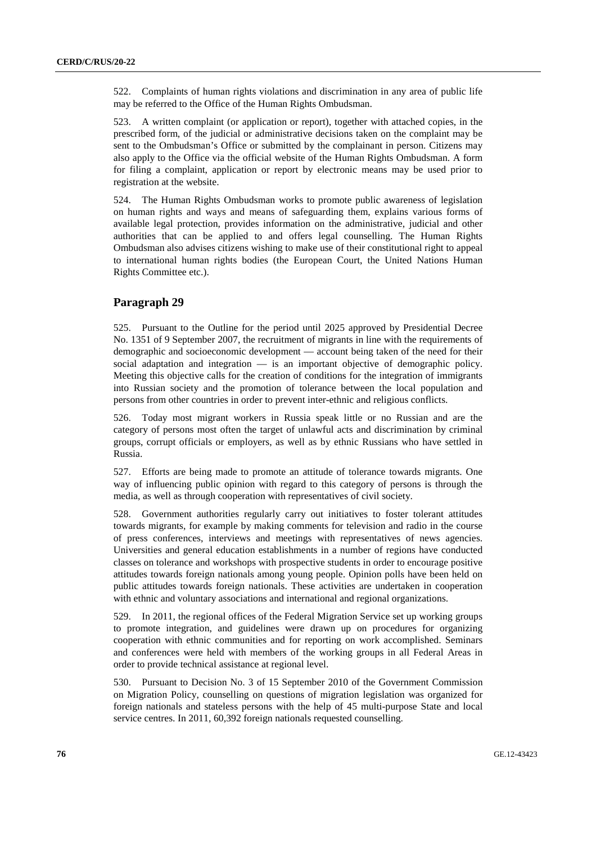522. Complaints of human rights violations and discrimination in any area of public life may be referred to the Office of the Human Rights Ombudsman.

523. A written complaint (or application or report), together with attached copies, in the prescribed form, of the judicial or administrative decisions taken on the complaint may be sent to the Ombudsman's Office or submitted by the complainant in person. Citizens may also apply to the Office via the official website of the Human Rights Ombudsman. A form for filing a complaint, application or report by electronic means may be used prior to registration at the website.

524. The Human Rights Ombudsman works to promote public awareness of legislation on human rights and ways and means of safeguarding them, explains various forms of available legal protection, provides information on the administrative, judicial and other authorities that can be applied to and offers legal counselling. The Human Rights Ombudsman also advises citizens wishing to make use of their constitutional right to appeal to international human rights bodies (the European Court, the United Nations Human Rights Committee etc.).

### **Paragraph 29**

525. Pursuant to the Outline for the period until 2025 approved by Presidential Decree No. 1351 of 9 September 2007, the recruitment of migrants in line with the requirements of demographic and socioeconomic development — account being taken of the need for their social adaptation and integration — is an important objective of demographic policy. Meeting this objective calls for the creation of conditions for the integration of immigrants into Russian society and the promotion of tolerance between the local population and persons from other countries in order to prevent inter-ethnic and religious conflicts.

526. Today most migrant workers in Russia speak little or no Russian and are the category of persons most often the target of unlawful acts and discrimination by criminal groups, corrupt officials or employers, as well as by ethnic Russians who have settled in Russia.

527. Efforts are being made to promote an attitude of tolerance towards migrants. One way of influencing public opinion with regard to this category of persons is through the media, as well as through cooperation with representatives of civil society.

528. Government authorities regularly carry out initiatives to foster tolerant attitudes towards migrants, for example by making comments for television and radio in the course of press conferences, interviews and meetings with representatives of news agencies. Universities and general education establishments in a number of regions have conducted classes on tolerance and workshops with prospective students in order to encourage positive attitudes towards foreign nationals among young people. Opinion polls have been held on public attitudes towards foreign nationals. These activities are undertaken in cooperation with ethnic and voluntary associations and international and regional organizations.

529. In 2011, the regional offices of the Federal Migration Service set up working groups to promote integration, and guidelines were drawn up on procedures for organizing cooperation with ethnic communities and for reporting on work accomplished. Seminars and conferences were held with members of the working groups in all Federal Areas in order to provide technical assistance at regional level.

530. Pursuant to Decision No. 3 of 15 September 2010 of the Government Commission on Migration Policy, counselling on questions of migration legislation was organized for foreign nationals and stateless persons with the help of 45 multi-purpose State and local service centres. In 2011, 60,392 foreign nationals requested counselling.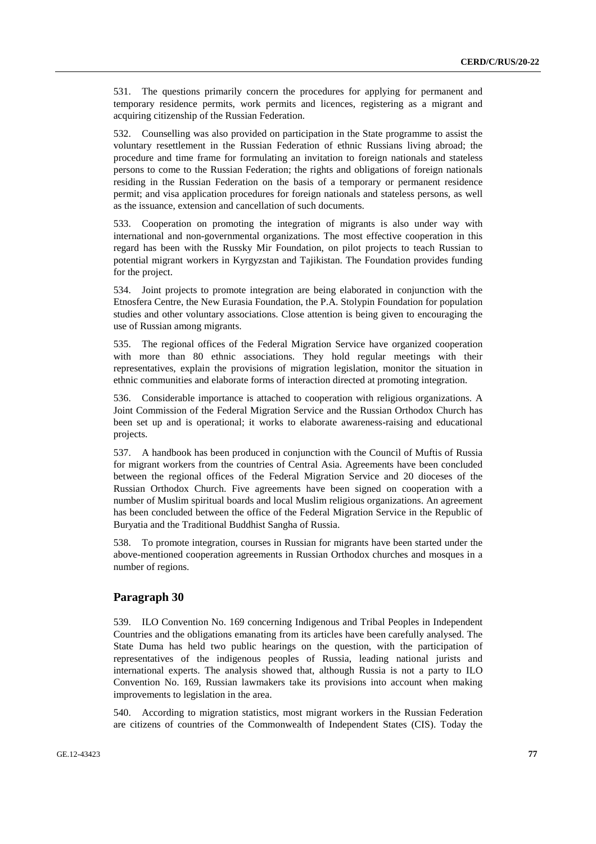531. The questions primarily concern the procedures for applying for permanent and temporary residence permits, work permits and licences, registering as a migrant and acquiring citizenship of the Russian Federation.

532. Counselling was also provided on participation in the State programme to assist the voluntary resettlement in the Russian Federation of ethnic Russians living abroad; the procedure and time frame for formulating an invitation to foreign nationals and stateless persons to come to the Russian Federation; the rights and obligations of foreign nationals residing in the Russian Federation on the basis of a temporary or permanent residence permit; and visa application procedures for foreign nationals and stateless persons, as well as the issuance, extension and cancellation of such documents.

533. Cooperation on promoting the integration of migrants is also under way with international and non-governmental organizations. The most effective cooperation in this regard has been with the Russky Mir Foundation, on pilot projects to teach Russian to potential migrant workers in Kyrgyzstan and Tajikistan. The Foundation provides funding for the project.

534. Joint projects to promote integration are being elaborated in conjunction with the Etnosfera Centre, the New Eurasia Foundation, the P.A. Stolypin Foundation for population studies and other voluntary associations. Close attention is being given to encouraging the use of Russian among migrants.

535. The regional offices of the Federal Migration Service have organized cooperation with more than 80 ethnic associations. They hold regular meetings with their representatives, explain the provisions of migration legislation, monitor the situation in ethnic communities and elaborate forms of interaction directed at promoting integration.

536. Considerable importance is attached to cooperation with religious organizations. A Joint Commission of the Federal Migration Service and the Russian Orthodox Church has been set up and is operational; it works to elaborate awareness-raising and educational projects.

537. A handbook has been produced in conjunction with the Council of Muftis of Russia for migrant workers from the countries of Central Asia. Agreements have been concluded between the regional offices of the Federal Migration Service and 20 dioceses of the Russian Orthodox Church. Five agreements have been signed on cooperation with a number of Muslim spiritual boards and local Muslim religious organizations. An agreement has been concluded between the office of the Federal Migration Service in the Republic of Buryatia and the Traditional Buddhist Sangha of Russia.

538. To promote integration, courses in Russian for migrants have been started under the above-mentioned cooperation agreements in Russian Orthodox churches and mosques in a number of regions.

# **Paragraph 30**

539. ILO Convention No. 169 concerning Indigenous and Tribal Peoples in Independent Countries and the obligations emanating from its articles have been carefully analysed. The State Duma has held two public hearings on the question, with the participation of representatives of the indigenous peoples of Russia, leading national jurists and international experts. The analysis showed that, although Russia is not a party to ILO Convention No. 169, Russian lawmakers take its provisions into account when making improvements to legislation in the area.

540. According to migration statistics, most migrant workers in the Russian Federation are citizens of countries of the Commonwealth of Independent States (CIS). Today the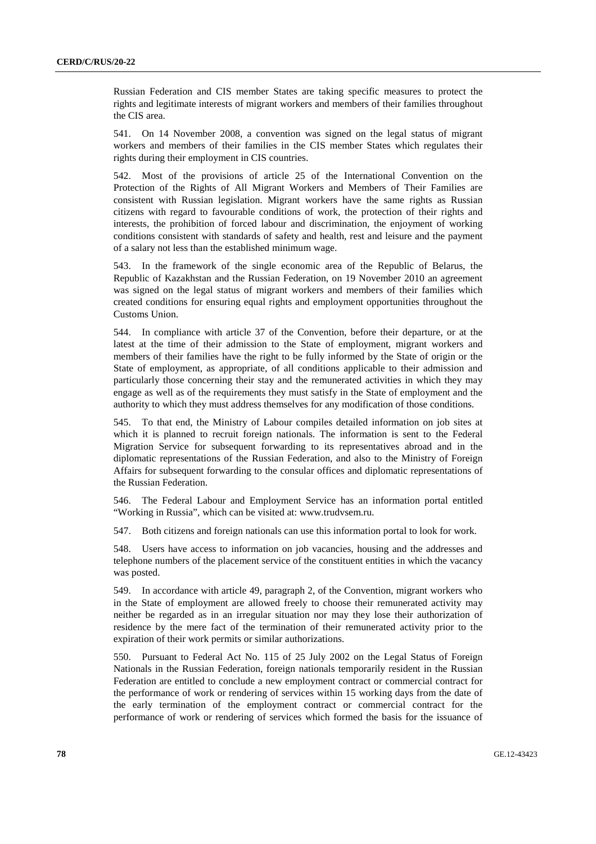Russian Federation and CIS member States are taking specific measures to protect the rights and legitimate interests of migrant workers and members of their families throughout the CIS area.

541. On 14 November 2008, a convention was signed on the legal status of migrant workers and members of their families in the CIS member States which regulates their rights during their employment in CIS countries.

542. Most of the provisions of article 25 of the International Convention on the Protection of the Rights of All Migrant Workers and Members of Their Families are consistent with Russian legislation. Migrant workers have the same rights as Russian citizens with regard to favourable conditions of work, the protection of their rights and interests, the prohibition of forced labour and discrimination, the enjoyment of working conditions consistent with standards of safety and health, rest and leisure and the payment of a salary not less than the established minimum wage.

543. In the framework of the single economic area of the Republic of Belarus, the Republic of Kazakhstan and the Russian Federation, on 19 November 2010 an agreement was signed on the legal status of migrant workers and members of their families which created conditions for ensuring equal rights and employment opportunities throughout the Customs Union.

544. In compliance with article 37 of the Convention, before their departure, or at the latest at the time of their admission to the State of employment, migrant workers and members of their families have the right to be fully informed by the State of origin or the State of employment, as appropriate, of all conditions applicable to their admission and particularly those concerning their stay and the remunerated activities in which they may engage as well as of the requirements they must satisfy in the State of employment and the authority to which they must address themselves for any modification of those conditions.

545. To that end, the Ministry of Labour compiles detailed information on job sites at which it is planned to recruit foreign nationals. The information is sent to the Federal Migration Service for subsequent forwarding to its representatives abroad and in the diplomatic representations of the Russian Federation, and also to the Ministry of Foreign Affairs for subsequent forwarding to the consular offices and diplomatic representations of the Russian Federation.

546. The Federal Labour and Employment Service has an information portal entitled "Working in Russia", which can be visited at: www.trudvsem.ru.

547. Both citizens and foreign nationals can use this information portal to look for work.

548. Users have access to information on job vacancies, housing and the addresses and telephone numbers of the placement service of the constituent entities in which the vacancy was posted.

549. In accordance with article 49, paragraph 2, of the Convention, migrant workers who in the State of employment are allowed freely to choose their remunerated activity may neither be regarded as in an irregular situation nor may they lose their authorization of residence by the mere fact of the termination of their remunerated activity prior to the expiration of their work permits or similar authorizations.

550. Pursuant to Federal Act No. 115 of 25 July 2002 on the Legal Status of Foreign Nationals in the Russian Federation, foreign nationals temporarily resident in the Russian Federation are entitled to conclude a new employment contract or commercial contract for the performance of work or rendering of services within 15 working days from the date of the early termination of the employment contract or commercial contract for the performance of work or rendering of services which formed the basis for the issuance of